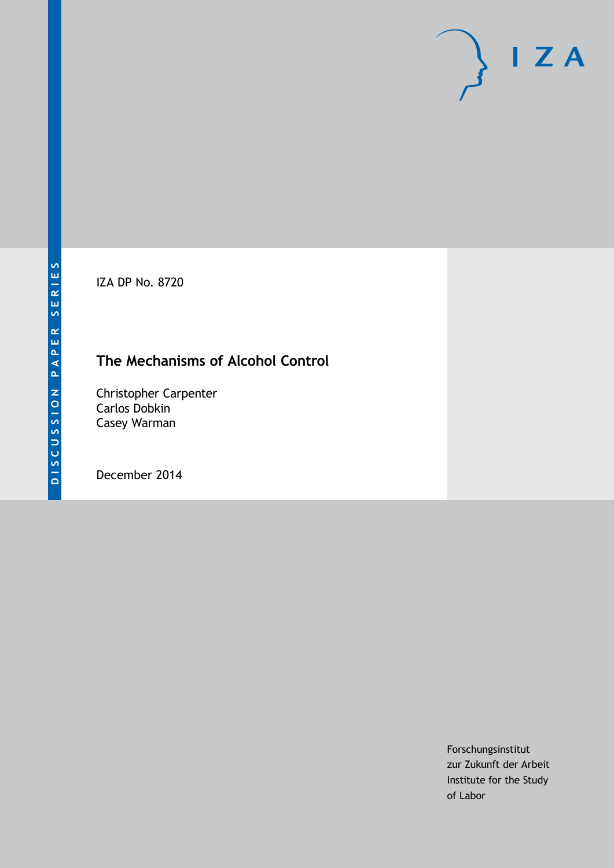IZA DP No. 8720

# **The Mechanisms of Alcohol Control**

Christopher Carpenter Carlos Dobkin Casey Warman

December 2014

Forschungsinstitut zur Zukunft der Arbeit Institute for the Study of Labor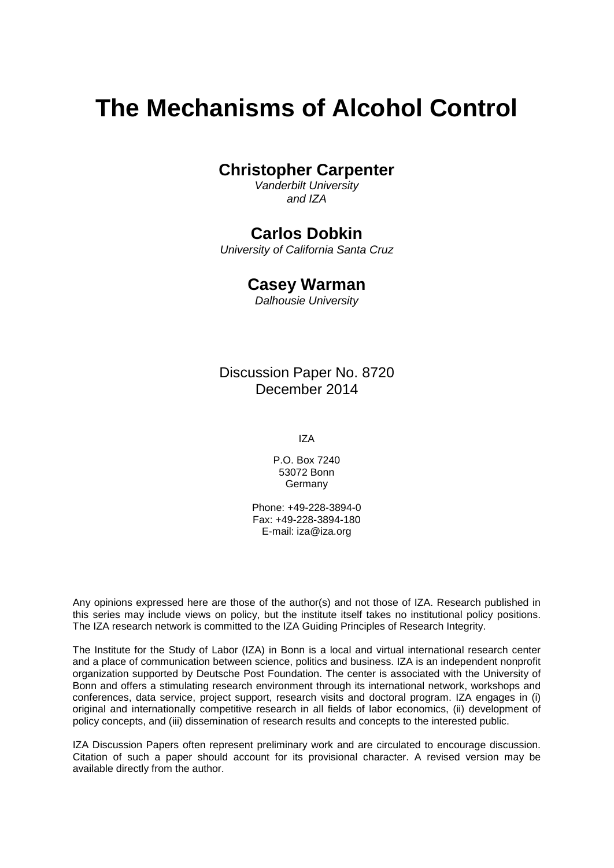# **The Mechanisms of Alcohol Control**

### **Christopher Carpenter**

*Vanderbilt University and IZA*

### **Carlos Dobkin**

*University of California Santa Cruz*

### **Casey Warman**

*Dalhousie University*

### Discussion Paper No. 8720 December 2014

IZA

P.O. Box 7240 53072 Bonn **Germany** 

Phone: +49-228-3894-0 Fax: +49-228-3894-180 E-mail: [iza@iza.org](mailto:iza@iza.org)

Any opinions expressed here are those of the author(s) and not those of IZA. Research published in this series may include views on policy, but the institute itself takes no institutional policy positions. The IZA research network is committed to the IZA Guiding Principles of Research Integrity.

The Institute for the Study of Labor (IZA) in Bonn is a local and virtual international research center and a place of communication between science, politics and business. IZA is an independent nonprofit organization supported by Deutsche Post Foundation. The center is associated with the University of Bonn and offers a stimulating research environment through its international network, workshops and conferences, data service, project support, research visits and doctoral program. IZA engages in (i) original and internationally competitive research in all fields of labor economics, (ii) development of policy concepts, and (iii) dissemination of research results and concepts to the interested public.

<span id="page-1-0"></span>IZA Discussion Papers often represent preliminary work and are circulated to encourage discussion. Citation of such a paper should account for its provisional character. A revised version may be available directly from the author.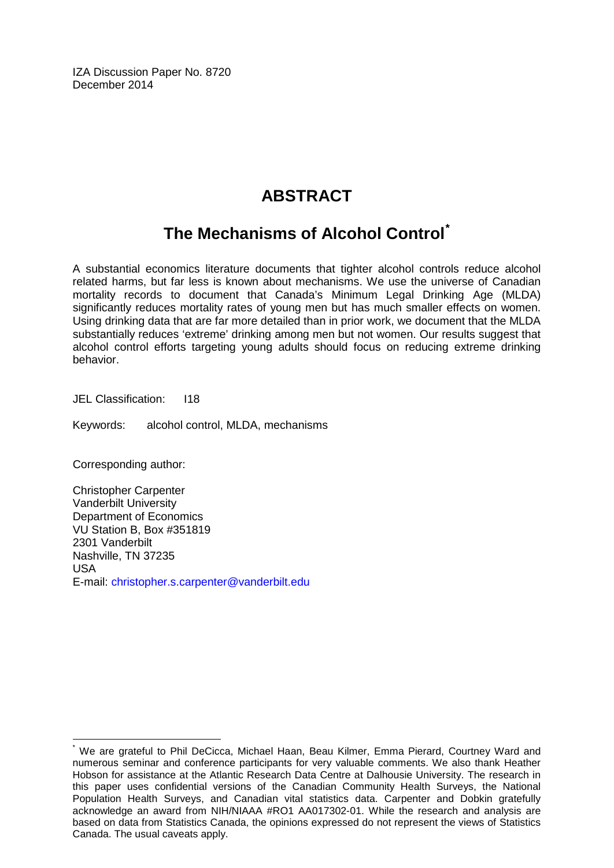IZA Discussion Paper No. 8720 December 2014

# **ABSTRACT**

# **The Mechanisms of Alcohol Control[\\*](#page-1-0)**

A substantial economics literature documents that tighter alcohol controls reduce alcohol related harms, but far less is known about mechanisms. We use the universe of Canadian mortality records to document that Canada's Minimum Legal Drinking Age (MLDA) significantly reduces mortality rates of young men but has much smaller effects on women. Using drinking data that are far more detailed than in prior work, we document that the MLDA substantially reduces 'extreme' drinking among men but not women. Our results suggest that alcohol control efforts targeting young adults should focus on reducing extreme drinking behavior.

JEL Classification: I18

Keywords: alcohol control, MLDA, mechanisms

Corresponding author:

Christopher Carpenter Vanderbilt University Department of Economics VU Station B, Box #351819 2301 Vanderbilt Nashville, TN 37235 USA E-mail: [christopher.s.carpenter@vanderbilt.edu](mailto:christopher.s.carpenter@vanderbilt.edu)

We are grateful to Phil DeCicca, Michael Haan, Beau Kilmer, Emma Pierard, Courtney Ward and numerous seminar and conference participants for very valuable comments. We also thank Heather Hobson for assistance at the Atlantic Research Data Centre at Dalhousie University. The research in this paper uses confidential versions of the Canadian Community Health Surveys, the National Population Health Surveys, and Canadian vital statistics data. Carpenter and Dobkin gratefully acknowledge an award from NIH/NIAAA #RO1 AA017302-01. While the research and analysis are based on data from Statistics Canada, the opinions expressed do not represent the views of Statistics Canada. The usual caveats apply.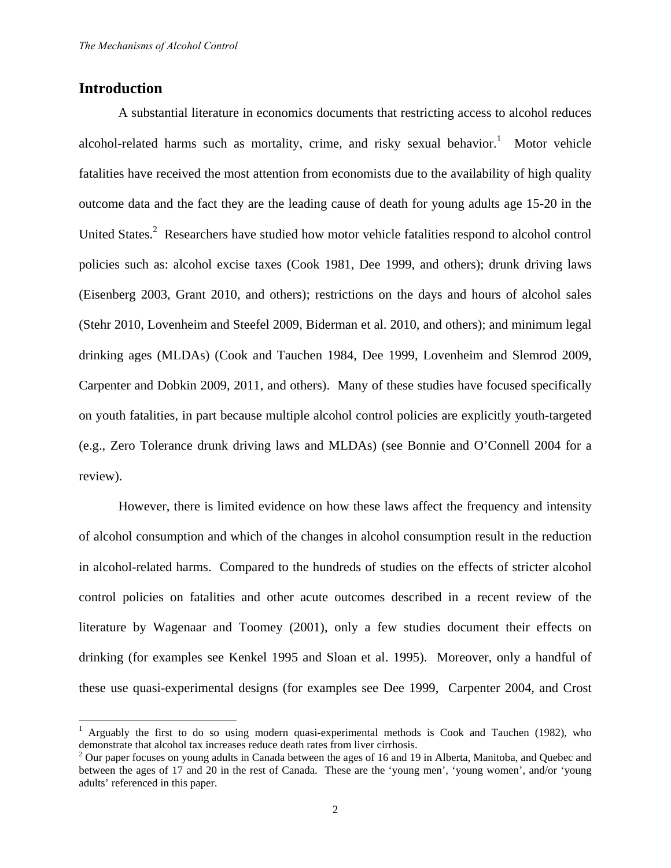#### **Introduction**

 $\overline{a}$ 

A substantial literature in economics documents that restricting access to alcohol reduces alcohol-related harms such as mortality, crime, and risky sexual behavior.<sup>1</sup> Motor vehicle fatalities have received the most attention from economists due to the availability of high quality outcome data and the fact they are the leading cause of death for young adults age 15-20 in the United States.<sup>2</sup> Researchers have studied how motor vehicle fatalities respond to alcohol control policies such as: alcohol excise taxes (Cook 1981, Dee 1999, and others); drunk driving laws (Eisenberg 2003, Grant 2010, and others); restrictions on the days and hours of alcohol sales (Stehr 2010, Lovenheim and Steefel 2009, Biderman et al. 2010, and others); and minimum legal drinking ages (MLDAs) (Cook and Tauchen 1984, Dee 1999, Lovenheim and Slemrod 2009, Carpenter and Dobkin 2009, 2011, and others). Many of these studies have focused specifically on youth fatalities, in part because multiple alcohol control policies are explicitly youth-targeted (e.g., Zero Tolerance drunk driving laws and MLDAs) (see Bonnie and O'Connell 2004 for a review).

However, there is limited evidence on how these laws affect the frequency and intensity of alcohol consumption and which of the changes in alcohol consumption result in the reduction in alcohol-related harms. Compared to the hundreds of studies on the effects of stricter alcohol control policies on fatalities and other acute outcomes described in a recent review of the literature by Wagenaar and Toomey (2001), only a few studies document their effects on drinking (for examples see Kenkel 1995 and Sloan et al. 1995). Moreover, only a handful of these use quasi-experimental designs (for examples see Dee 1999, Carpenter 2004, and Crost

<sup>&</sup>lt;sup>1</sup> Arguably the first to do so using modern quasi-experimental methods is Cook and Tauchen (1982), who demonstrate that alcohol tax increases reduce death rates from liver cirrhosis. 2

 $2$  Our paper focuses on young adults in Canada between the ages of 16 and 19 in Alberta, Manitoba, and Quebec and between the ages of 17 and 20 in the rest of Canada. These are the 'young men', 'young women', and/or 'young adults' referenced in this paper.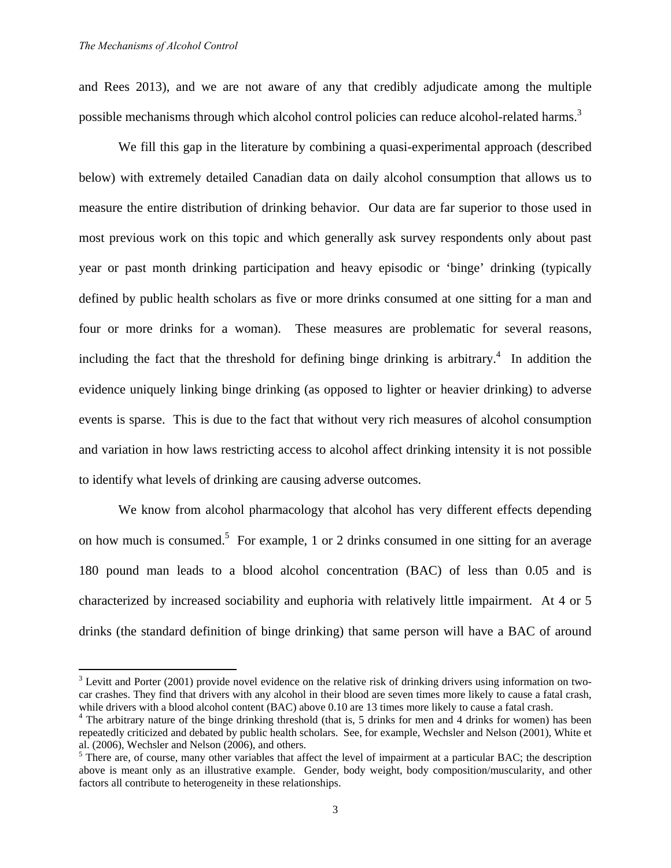and Rees 2013), and we are not aware of any that credibly adjudicate among the multiple possible mechanisms through which alcohol control policies can reduce alcohol-related harms.<sup>3</sup>

We fill this gap in the literature by combining a quasi-experimental approach (described below) with extremely detailed Canadian data on daily alcohol consumption that allows us to measure the entire distribution of drinking behavior. Our data are far superior to those used in most previous work on this topic and which generally ask survey respondents only about past year or past month drinking participation and heavy episodic or 'binge' drinking (typically defined by public health scholars as five or more drinks consumed at one sitting for a man and four or more drinks for a woman). These measures are problematic for several reasons, including the fact that the threshold for defining binge drinking is arbitrary. $4\,$  In addition the evidence uniquely linking binge drinking (as opposed to lighter or heavier drinking) to adverse events is sparse. This is due to the fact that without very rich measures of alcohol consumption and variation in how laws restricting access to alcohol affect drinking intensity it is not possible to identify what levels of drinking are causing adverse outcomes.

We know from alcohol pharmacology that alcohol has very different effects depending on how much is consumed.<sup>5</sup> For example, 1 or 2 drinks consumed in one sitting for an average 180 pound man leads to a blood alcohol concentration (BAC) of less than 0.05 and is characterized by increased sociability and euphoria with relatively little impairment. At 4 or 5 drinks (the standard definition of binge drinking) that same person will have a BAC of around

 $3$  Levitt and Porter (2001) provide novel evidence on the relative risk of drinking drivers using information on twocar crashes. They find that drivers with any alcohol in their blood are seven times more likely to cause a fatal crash, while drivers with a blood alcohol content (BAC) above 0.10 are 13 times more likely to cause a fatal crash.

<sup>&</sup>lt;sup>4</sup> The arbitrary nature of the binge drinking threshold (that is, 5 drinks for men and 4 drinks for women) has been repeatedly criticized and debated by public health scholars. See, for example, Wechsler and Nelson (2001), White et al. (2006), Wechsler and Nelson (2006), and others.

 $<sup>5</sup>$  There are, of course, many other variables that affect the level of impairment at a particular BAC; the description</sup> above is meant only as an illustrative example. Gender, body weight, body composition/muscularity, and other factors all contribute to heterogeneity in these relationships.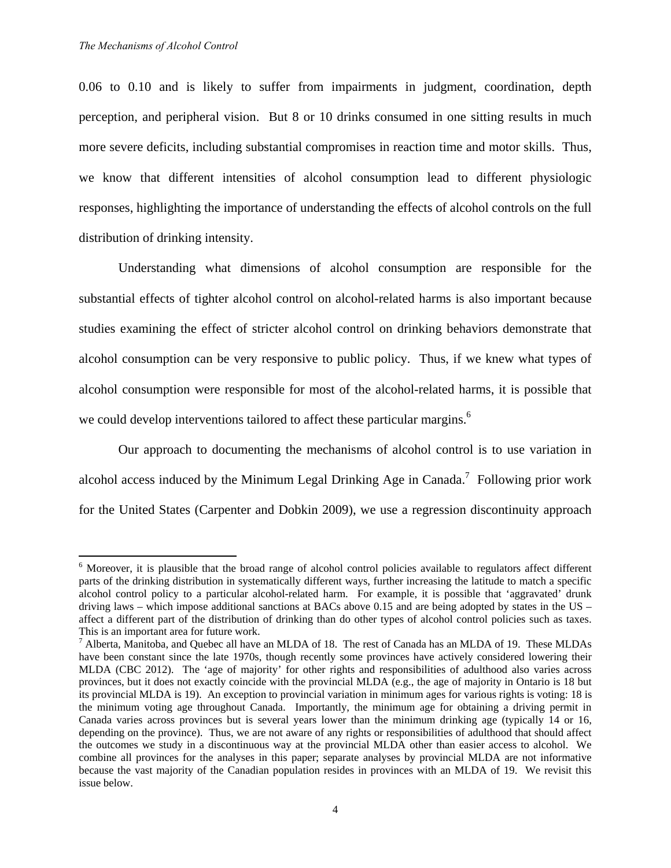0.06 to 0.10 and is likely to suffer from impairments in judgment, coordination, depth perception, and peripheral vision. But 8 or 10 drinks consumed in one sitting results in much more severe deficits, including substantial compromises in reaction time and motor skills. Thus, we know that different intensities of alcohol consumption lead to different physiologic responses, highlighting the importance of understanding the effects of alcohol controls on the full distribution of drinking intensity.

Understanding what dimensions of alcohol consumption are responsible for the substantial effects of tighter alcohol control on alcohol-related harms is also important because studies examining the effect of stricter alcohol control on drinking behaviors demonstrate that alcohol consumption can be very responsive to public policy. Thus, if we knew what types of alcohol consumption were responsible for most of the alcohol-related harms, it is possible that we could develop interventions tailored to affect these particular margins.<sup>6</sup>

Our approach to documenting the mechanisms of alcohol control is to use variation in alcohol access induced by the Minimum Legal Drinking Age in Canada.<sup>7</sup> Following prior work for the United States (Carpenter and Dobkin 2009), we use a regression discontinuity approach

<sup>&</sup>lt;sup>6</sup> Moreover, it is plausible that the broad range of alcohol control policies available to regulators affect different parts of the drinking distribution in systematically different ways, further increasing the latitude to match a specific alcohol control policy to a particular alcohol-related harm. For example, it is possible that 'aggravated' drunk driving laws – which impose additional sanctions at BACs above 0.15 and are being adopted by states in the US – affect a different part of the distribution of drinking than do other types of alcohol control policies such as taxes. This is an important area for future work.

 $<sup>7</sup>$  Alberta, Manitoba, and Quebec all have an MLDA of 18. The rest of Canada has an MLDA of 19. These MLDAs</sup> have been constant since the late 1970s, though recently some provinces have actively considered lowering their MLDA (CBC 2012). The 'age of majority' for other rights and responsibilities of adulthood also varies across provinces, but it does not exactly coincide with the provincial MLDA (e.g., the age of majority in Ontario is 18 but its provincial MLDA is 19). An exception to provincial variation in minimum ages for various rights is voting: 18 is the minimum voting age throughout Canada. Importantly, the minimum age for obtaining a driving permit in Canada varies across provinces but is several years lower than the minimum drinking age (typically 14 or 16, depending on the province). Thus, we are not aware of any rights or responsibilities of adulthood that should affect the outcomes we study in a discontinuous way at the provincial MLDA other than easier access to alcohol. We combine all provinces for the analyses in this paper; separate analyses by provincial MLDA are not informative because the vast majority of the Canadian population resides in provinces with an MLDA of 19. We revisit this issue below.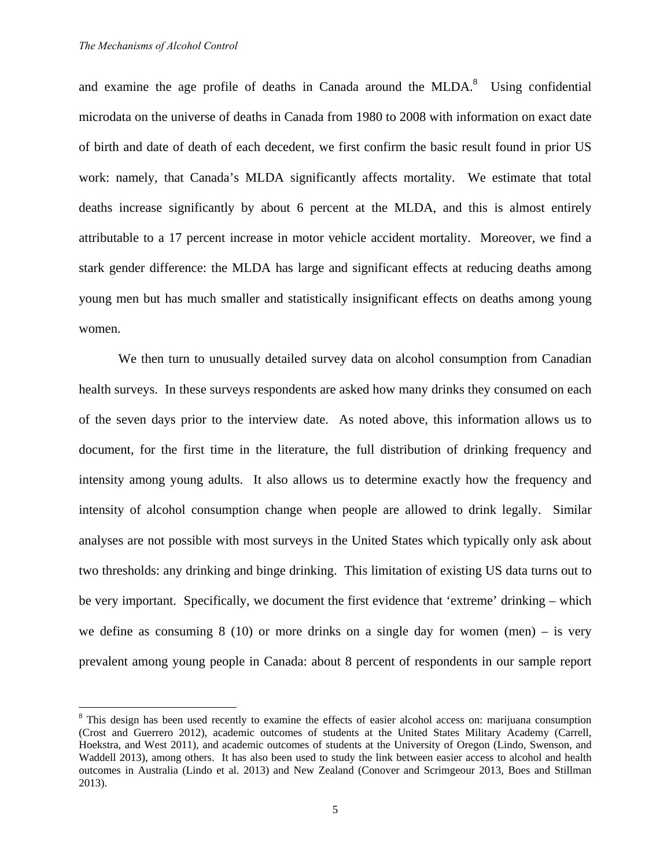and examine the age profile of deaths in Canada around the MLDA. $8$  Using confidential microdata on the universe of deaths in Canada from 1980 to 2008 with information on exact date of birth and date of death of each decedent, we first confirm the basic result found in prior US work: namely, that Canada's MLDA significantly affects mortality. We estimate that total deaths increase significantly by about 6 percent at the MLDA, and this is almost entirely attributable to a 17 percent increase in motor vehicle accident mortality. Moreover, we find a stark gender difference: the MLDA has large and significant effects at reducing deaths among young men but has much smaller and statistically insignificant effects on deaths among young women.

We then turn to unusually detailed survey data on alcohol consumption from Canadian health surveys. In these surveys respondents are asked how many drinks they consumed on each of the seven days prior to the interview date. As noted above, this information allows us to document, for the first time in the literature, the full distribution of drinking frequency and intensity among young adults. It also allows us to determine exactly how the frequency and intensity of alcohol consumption change when people are allowed to drink legally. Similar analyses are not possible with most surveys in the United States which typically only ask about two thresholds: any drinking and binge drinking. This limitation of existing US data turns out to be very important. Specifically, we document the first evidence that 'extreme' drinking – which we define as consuming  $8(10)$  or more drinks on a single day for women (men) – is very prevalent among young people in Canada: about 8 percent of respondents in our sample report

<sup>&</sup>lt;sup>8</sup> This design has been used recently to examine the effects of easier alcohol access on: marijuana consumption (Crost and Guerrero 2012), academic outcomes of students at the United States Military Academy (Carrell, Hoekstra, and West 2011), and academic outcomes of students at the University of Oregon (Lindo, Swenson, and Waddell 2013), among others. It has also been used to study the link between easier access to alcohol and health outcomes in Australia (Lindo et al. 2013) and New Zealand (Conover and Scrimgeour 2013, Boes and Stillman 2013).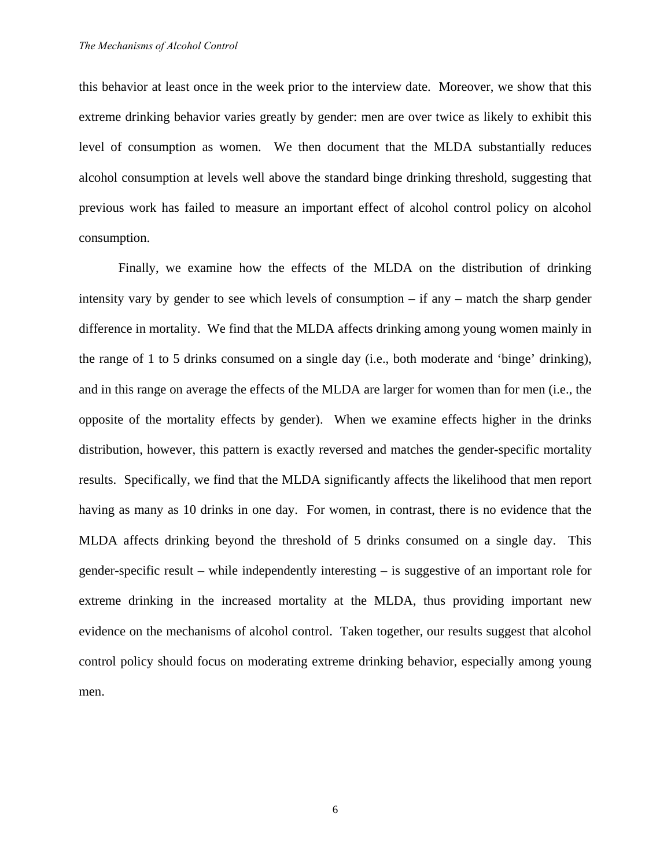this behavior at least once in the week prior to the interview date. Moreover, we show that this extreme drinking behavior varies greatly by gender: men are over twice as likely to exhibit this level of consumption as women. We then document that the MLDA substantially reduces alcohol consumption at levels well above the standard binge drinking threshold, suggesting that previous work has failed to measure an important effect of alcohol control policy on alcohol consumption.

Finally, we examine how the effects of the MLDA on the distribution of drinking intensity vary by gender to see which levels of consumption – if any – match the sharp gender difference in mortality. We find that the MLDA affects drinking among young women mainly in the range of 1 to 5 drinks consumed on a single day (i.e., both moderate and 'binge' drinking), and in this range on average the effects of the MLDA are larger for women than for men (i.e., the opposite of the mortality effects by gender). When we examine effects higher in the drinks distribution, however, this pattern is exactly reversed and matches the gender-specific mortality results. Specifically, we find that the MLDA significantly affects the likelihood that men report having as many as 10 drinks in one day. For women, in contrast, there is no evidence that the MLDA affects drinking beyond the threshold of 5 drinks consumed on a single day. This gender-specific result – while independently interesting – is suggestive of an important role for extreme drinking in the increased mortality at the MLDA, thus providing important new evidence on the mechanisms of alcohol control. Taken together, our results suggest that alcohol control policy should focus on moderating extreme drinking behavior, especially among young men.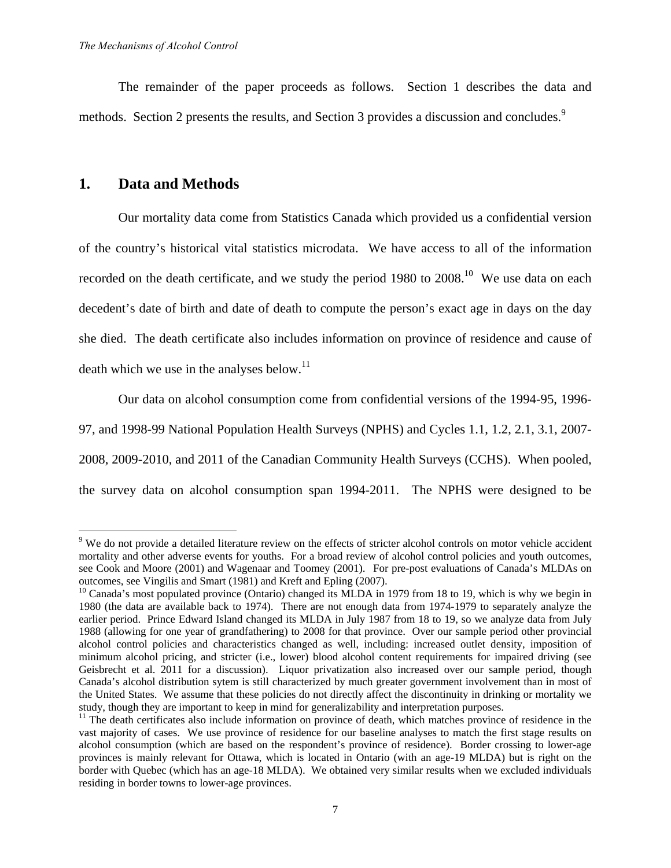The remainder of the paper proceeds as follows. Section 1 describes the data and methods. Section 2 presents the results, and Section 3 provides a discussion and concludes.<sup>9</sup>

#### **1. Data and Methods**

1

Our mortality data come from Statistics Canada which provided us a confidential version of the country's historical vital statistics microdata. We have access to all of the information recorded on the death certificate, and we study the period  $1980$  to  $2008$ .<sup>10</sup> We use data on each decedent's date of birth and date of death to compute the person's exact age in days on the day she died. The death certificate also includes information on province of residence and cause of death which we use in the analyses below. $^{11}$ 

Our data on alcohol consumption come from confidential versions of the 1994-95, 1996- 97, and 1998-99 National Population Health Surveys (NPHS) and Cycles 1.1, 1.2, 2.1, 3.1, 2007- 2008, 2009-2010, and 2011 of the Canadian Community Health Surveys (CCHS). When pooled, the survey data on alcohol consumption span 1994-2011. The NPHS were designed to be

<sup>&</sup>lt;sup>9</sup> We do not provide a detailed literature review on the effects of stricter alcohol controls on motor vehicle accident mortality and other adverse events for youths. For a broad review of alcohol control policies and youth outcomes, see Cook and Moore (2001) and Wagenaar and Toomey (2001). For pre-post evaluations of Canada's MLDAs on outcomes, see Vingilis and Smart (1981) and Kreft and Epling (2007).

<sup>&</sup>lt;sup>10</sup> Canada's most populated province (Ontario) changed its MLDA in 1979 from 18 to 19, which is why we begin in 1980 (the data are available back to 1974). There are not enough data from 1974-1979 to separately analyze the earlier period. Prince Edward Island changed its MLDA in July 1987 from 18 to 19, so we analyze data from July 1988 (allowing for one year of grandfathering) to 2008 for that province. Over our sample period other provincial alcohol control policies and characteristics changed as well, including: increased outlet density, imposition of minimum alcohol pricing, and stricter (i.e., lower) blood alcohol content requirements for impaired driving (see Geisbrecht et al. 2011 for a discussion). Liquor privatization also increased over our sample period, though Canada's alcohol distribution sytem is still characterized by much greater government involvement than in most of the United States. We assume that these policies do not directly affect the discontinuity in drinking or mortality we study, though they are important to keep in mind for generalizability and interpretation purposes.

<sup>&</sup>lt;sup>11</sup> The death certificates also include information on province of death, which matches province of residence in the vast majority of cases. We use province of residence for our baseline analyses to match the first stage results on alcohol consumption (which are based on the respondent's province of residence). Border crossing to lower-age provinces is mainly relevant for Ottawa, which is located in Ontario (with an age-19 MLDA) but is right on the border with Quebec (which has an age-18 MLDA). We obtained very similar results when we excluded individuals residing in border towns to lower-age provinces.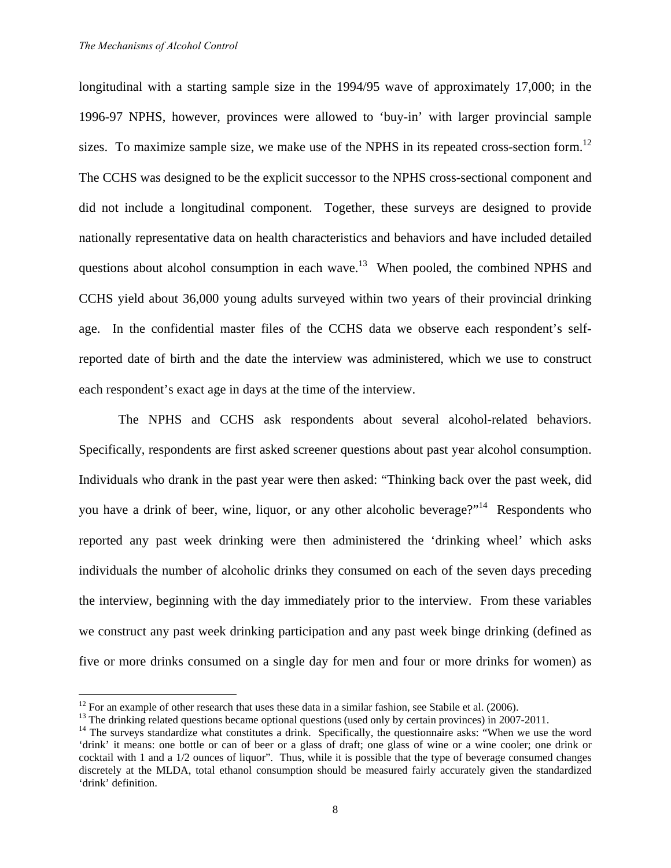<u>.</u>

longitudinal with a starting sample size in the 1994/95 wave of approximately 17,000; in the 1996-97 NPHS, however, provinces were allowed to 'buy-in' with larger provincial sample sizes. To maximize sample size, we make use of the NPHS in its repeated cross-section form.<sup>12</sup> The CCHS was designed to be the explicit successor to the NPHS cross-sectional component and did not include a longitudinal component. Together, these surveys are designed to provide nationally representative data on health characteristics and behaviors and have included detailed questions about alcohol consumption in each wave. $13$  When pooled, the combined NPHS and CCHS yield about 36,000 young adults surveyed within two years of their provincial drinking age. In the confidential master files of the CCHS data we observe each respondent's selfreported date of birth and the date the interview was administered, which we use to construct each respondent's exact age in days at the time of the interview.

The NPHS and CCHS ask respondents about several alcohol-related behaviors. Specifically, respondents are first asked screener questions about past year alcohol consumption. Individuals who drank in the past year were then asked: "Thinking back over the past week, did you have a drink of beer, wine, liquor, or any other alcoholic beverage?"<sup>14</sup> Respondents who reported any past week drinking were then administered the 'drinking wheel' which asks individuals the number of alcoholic drinks they consumed on each of the seven days preceding the interview, beginning with the day immediately prior to the interview. From these variables we construct any past week drinking participation and any past week binge drinking (defined as five or more drinks consumed on a single day for men and four or more drinks for women) as

<sup>&</sup>lt;sup>12</sup> For an example of other research that uses these data in a similar fashion, see Stabile et al. (2006).<br><sup>13</sup> The drinking related questions became optional questions (used only by certain provinces) in 2007-2011.<br><sup>14</sup> 'drink' it means: one bottle or can of beer or a glass of draft; one glass of wine or a wine cooler; one drink or cocktail with 1 and a 1/2 ounces of liquor". Thus, while it is possible that the type of beverage consumed changes discretely at the MLDA, total ethanol consumption should be measured fairly accurately given the standardized 'drink' definition.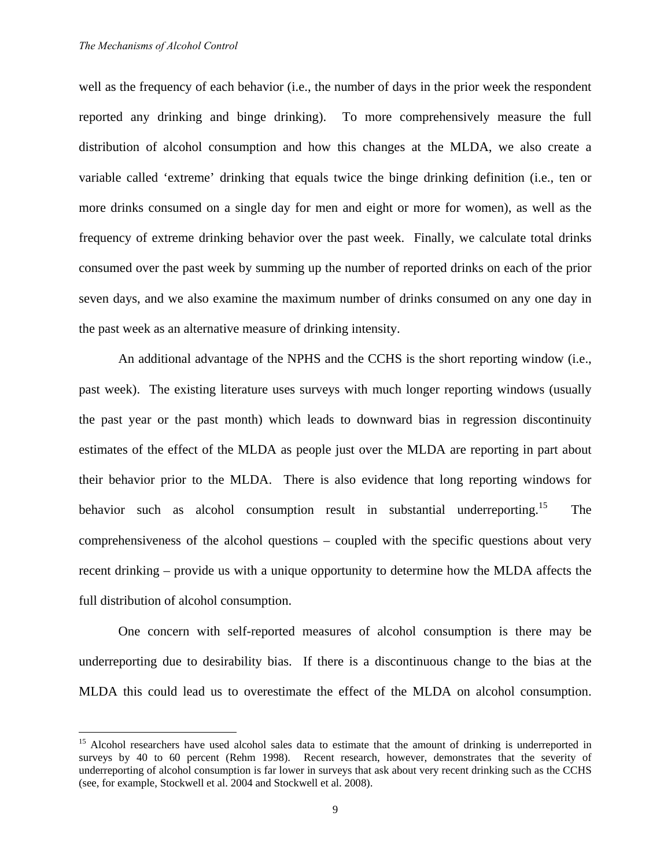<u>.</u>

well as the frequency of each behavior (i.e., the number of days in the prior week the respondent reported any drinking and binge drinking). To more comprehensively measure the full distribution of alcohol consumption and how this changes at the MLDA, we also create a variable called 'extreme' drinking that equals twice the binge drinking definition (i.e., ten or more drinks consumed on a single day for men and eight or more for women), as well as the frequency of extreme drinking behavior over the past week. Finally, we calculate total drinks consumed over the past week by summing up the number of reported drinks on each of the prior seven days, and we also examine the maximum number of drinks consumed on any one day in the past week as an alternative measure of drinking intensity.

An additional advantage of the NPHS and the CCHS is the short reporting window (i.e., past week). The existing literature uses surveys with much longer reporting windows (usually the past year or the past month) which leads to downward bias in regression discontinuity estimates of the effect of the MLDA as people just over the MLDA are reporting in part about their behavior prior to the MLDA. There is also evidence that long reporting windows for behavior such as alcohol consumption result in substantial underreporting.<sup>15</sup> The comprehensiveness of the alcohol questions – coupled with the specific questions about very recent drinking – provide us with a unique opportunity to determine how the MLDA affects the full distribution of alcohol consumption.

One concern with self-reported measures of alcohol consumption is there may be underreporting due to desirability bias. If there is a discontinuous change to the bias at the MLDA this could lead us to overestimate the effect of the MLDA on alcohol consumption.

<sup>&</sup>lt;sup>15</sup> Alcohol researchers have used alcohol sales data to estimate that the amount of drinking is underreported in surveys by 40 to 60 percent (Rehm 1998). Recent research, however, demonstrates that the severity of underreporting of alcohol consumption is far lower in surveys that ask about very recent drinking such as the CCHS (see, for example, Stockwell et al. 2004 and Stockwell et al. 2008).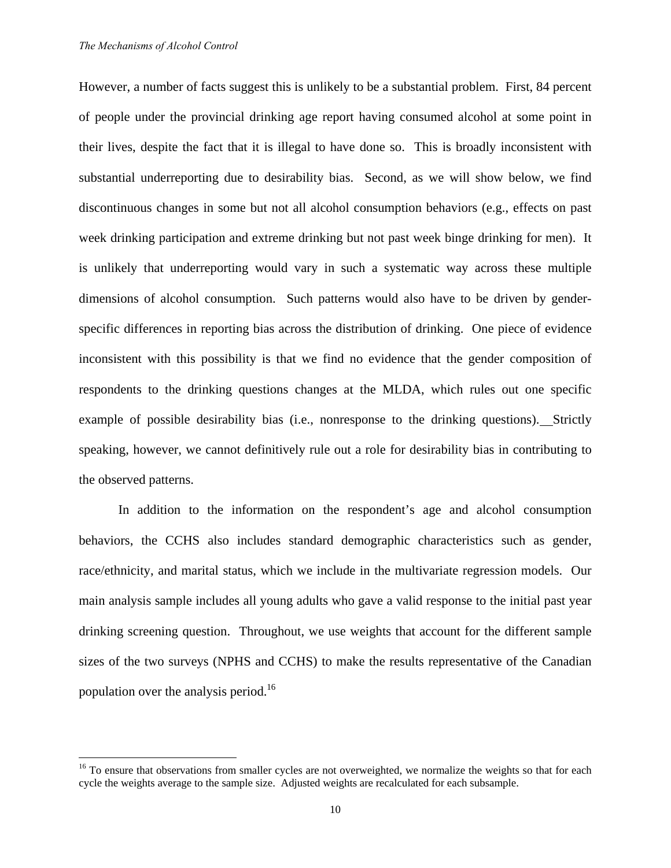However, a number of facts suggest this is unlikely to be a substantial problem. First, 84 percent of people under the provincial drinking age report having consumed alcohol at some point in their lives, despite the fact that it is illegal to have done so. This is broadly inconsistent with substantial underreporting due to desirability bias. Second, as we will show below, we find discontinuous changes in some but not all alcohol consumption behaviors (e.g., effects on past week drinking participation and extreme drinking but not past week binge drinking for men). It is unlikely that underreporting would vary in such a systematic way across these multiple dimensions of alcohol consumption. Such patterns would also have to be driven by genderspecific differences in reporting bias across the distribution of drinking. One piece of evidence inconsistent with this possibility is that we find no evidence that the gender composition of respondents to the drinking questions changes at the MLDA, which rules out one specific example of possible desirability bias (i.e., nonresponse to the drinking questions). Strictly speaking, however, we cannot definitively rule out a role for desirability bias in contributing to the observed patterns.

In addition to the information on the respondent's age and alcohol consumption behaviors, the CCHS also includes standard demographic characteristics such as gender, race/ethnicity, and marital status, which we include in the multivariate regression models. Our main analysis sample includes all young adults who gave a valid response to the initial past year drinking screening question. Throughout, we use weights that account for the different sample sizes of the two surveys (NPHS and CCHS) to make the results representative of the Canadian population over the analysis period.<sup>16</sup>

<sup>&</sup>lt;sup>16</sup> To ensure that observations from smaller cycles are not overweighted, we normalize the weights so that for each cycle the weights average to the sample size. Adjusted weights are recalculated for each subsample.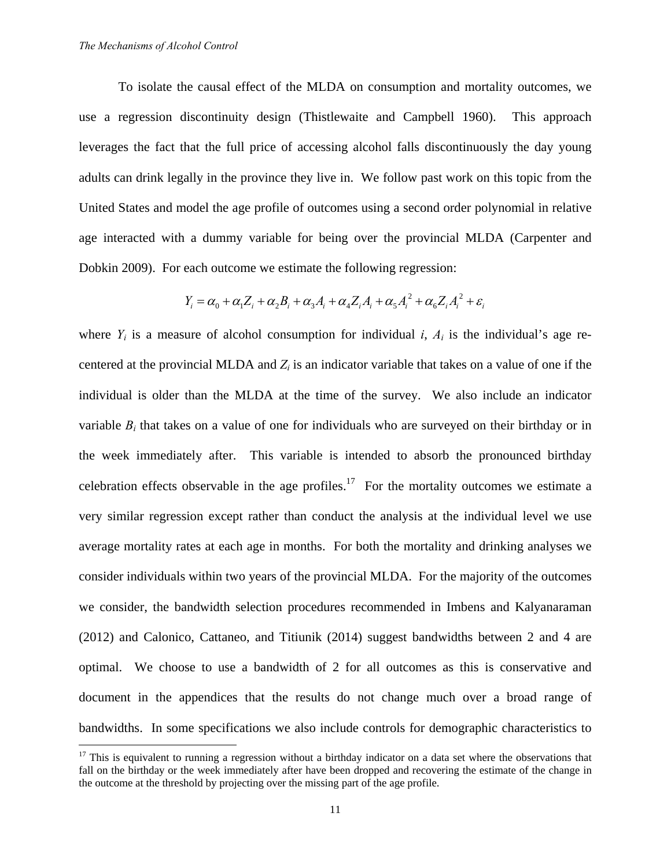1

To isolate the causal effect of the MLDA on consumption and mortality outcomes, we use a regression discontinuity design (Thistlewaite and Campbell 1960). This approach leverages the fact that the full price of accessing alcohol falls discontinuously the day young adults can drink legally in the province they live in. We follow past work on this topic from the United States and model the age profile of outcomes using a second order polynomial in relative age interacted with a dummy variable for being over the provincial MLDA (Carpenter and Dobkin 2009). For each outcome we estimate the following regression:

$$
Y_i = \alpha_0 + \alpha_1 Z_i + \alpha_2 B_i + \alpha_3 A_i + \alpha_4 Z_i A_i + \alpha_5 A_i^2 + \alpha_6 Z_i A_i^2 + \varepsilon_i
$$

where  $Y_i$  is a measure of alcohol consumption for individual *i*,  $A_i$  is the individual's age recentered at the provincial MLDA and  $Z_i$  is an indicator variable that takes on a value of one if the individual is older than the MLDA at the time of the survey. We also include an indicator variable  $B_i$  that takes on a value of one for individuals who are surveyed on their birthday or in the week immediately after. This variable is intended to absorb the pronounced birthday celebration effects observable in the age profiles.<sup>17</sup> For the mortality outcomes we estimate a very similar regression except rather than conduct the analysis at the individual level we use average mortality rates at each age in months. For both the mortality and drinking analyses we consider individuals within two years of the provincial MLDA. For the majority of the outcomes we consider, the bandwidth selection procedures recommended in Imbens and Kalyanaraman (2012) and Calonico, Cattaneo, and Titiunik (2014) suggest bandwidths between 2 and 4 are optimal. We choose to use a bandwidth of 2 for all outcomes as this is conservative and document in the appendices that the results do not change much over a broad range of bandwidths. In some specifications we also include controls for demographic characteristics to

 $17$  This is equivalent to running a regression without a birthday indicator on a data set where the observations that fall on the birthday or the week immediately after have been dropped and recovering the estimate of the change in the outcome at the threshold by projecting over the missing part of the age profile.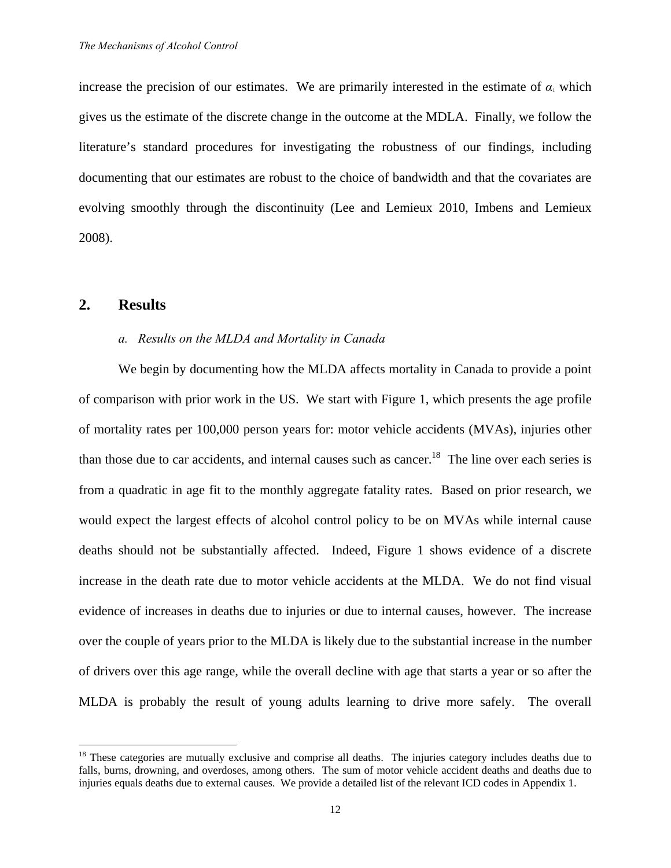increase the precision of our estimates. We are primarily interested in the estimate of  $\alpha_1$  which gives us the estimate of the discrete change in the outcome at the MDLA. Finally, we follow the literature's standard procedures for investigating the robustness of our findings, including documenting that our estimates are robust to the choice of bandwidth and that the covariates are evolving smoothly through the discontinuity (Lee and Lemieux 2010, Imbens and Lemieux 2008).

#### **2. Results**

 $\overline{a}$ 

#### *a. Results on the MLDA and Mortality in Canada*

We begin by documenting how the MLDA affects mortality in Canada to provide a point of comparison with prior work in the US. We start with Figure 1, which presents the age profile of mortality rates per 100,000 person years for: motor vehicle accidents (MVAs), injuries other than those due to car accidents, and internal causes such as cancer.<sup>18</sup> The line over each series is from a quadratic in age fit to the monthly aggregate fatality rates. Based on prior research, we would expect the largest effects of alcohol control policy to be on MVAs while internal cause deaths should not be substantially affected. Indeed, Figure 1 shows evidence of a discrete increase in the death rate due to motor vehicle accidents at the MLDA. We do not find visual evidence of increases in deaths due to injuries or due to internal causes, however. The increase over the couple of years prior to the MLDA is likely due to the substantial increase in the number of drivers over this age range, while the overall decline with age that starts a year or so after the MLDA is probably the result of young adults learning to drive more safely. The overall

<sup>&</sup>lt;sup>18</sup> These categories are mutually exclusive and comprise all deaths. The injuries category includes deaths due to falls, burns, drowning, and overdoses, among others. The sum of motor vehicle accident deaths and deaths due to injuries equals deaths due to external causes. We provide a detailed list of the relevant ICD codes in Appendix 1.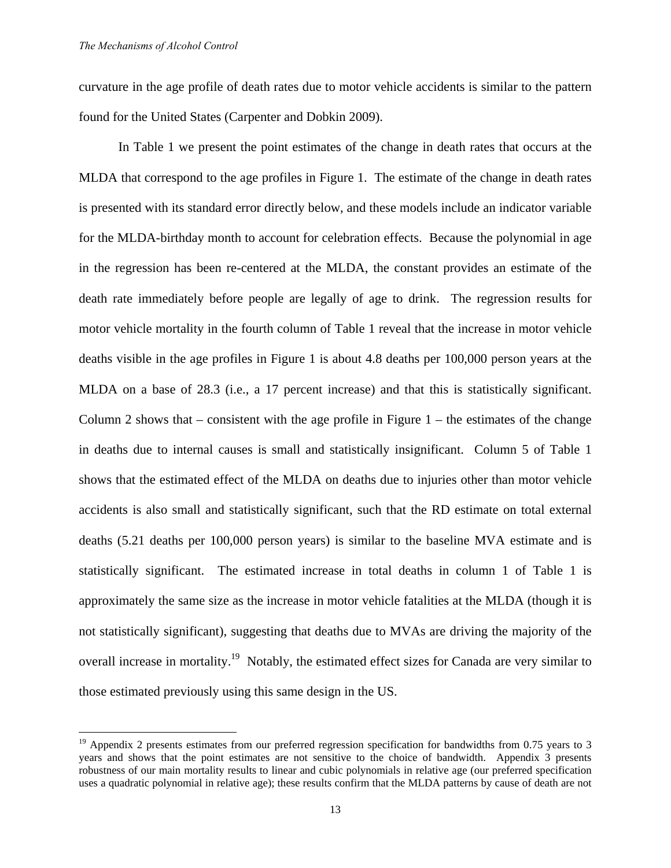curvature in the age profile of death rates due to motor vehicle accidents is similar to the pattern found for the United States (Carpenter and Dobkin 2009).

 In Table 1 we present the point estimates of the change in death rates that occurs at the MLDA that correspond to the age profiles in Figure 1. The estimate of the change in death rates is presented with its standard error directly below, and these models include an indicator variable for the MLDA-birthday month to account for celebration effects. Because the polynomial in age in the regression has been re-centered at the MLDA, the constant provides an estimate of the death rate immediately before people are legally of age to drink. The regression results for motor vehicle mortality in the fourth column of Table 1 reveal that the increase in motor vehicle deaths visible in the age profiles in Figure 1 is about 4.8 deaths per 100,000 person years at the MLDA on a base of 28.3 (i.e., a 17 percent increase) and that this is statistically significant. Column 2 shows that – consistent with the age profile in Figure  $1$  – the estimates of the change in deaths due to internal causes is small and statistically insignificant. Column 5 of Table 1 shows that the estimated effect of the MLDA on deaths due to injuries other than motor vehicle accidents is also small and statistically significant, such that the RD estimate on total external deaths (5.21 deaths per 100,000 person years) is similar to the baseline MVA estimate and is statistically significant. The estimated increase in total deaths in column 1 of Table 1 is approximately the same size as the increase in motor vehicle fatalities at the MLDA (though it is not statistically significant), suggesting that deaths due to MVAs are driving the majority of the overall increase in mortality.<sup>19</sup> Notably, the estimated effect sizes for Canada are very similar to those estimated previously using this same design in the US.

<sup>&</sup>lt;sup>19</sup> Appendix 2 presents estimates from our preferred regression specification for bandwidths from 0.75 years to 3 years and shows that the point estimates are not sensitive to the choice of bandwidth. Appendix 3 presents robustness of our main mortality results to linear and cubic polynomials in relative age (our preferred specification uses a quadratic polynomial in relative age); these results confirm that the MLDA patterns by cause of death are not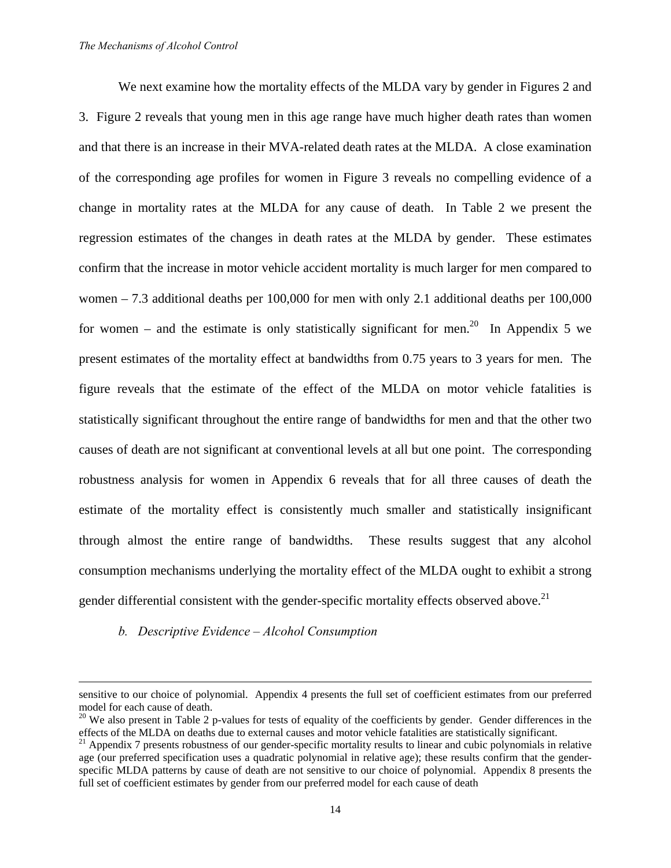We next examine how the mortality effects of the MLDA vary by gender in Figures 2 and 3. Figure 2 reveals that young men in this age range have much higher death rates than women and that there is an increase in their MVA-related death rates at the MLDA. A close examination of the corresponding age profiles for women in Figure 3 reveals no compelling evidence of a change in mortality rates at the MLDA for any cause of death. In Table 2 we present the regression estimates of the changes in death rates at the MLDA by gender. These estimates confirm that the increase in motor vehicle accident mortality is much larger for men compared to women – 7.3 additional deaths per 100,000 for men with only 2.1 additional deaths per 100,000 for women – and the estimate is only statistically significant for men.<sup>20</sup> In Appendix 5 we present estimates of the mortality effect at bandwidths from 0.75 years to 3 years for men. The figure reveals that the estimate of the effect of the MLDA on motor vehicle fatalities is statistically significant throughout the entire range of bandwidths for men and that the other two causes of death are not significant at conventional levels at all but one point. The corresponding robustness analysis for women in Appendix 6 reveals that for all three causes of death the estimate of the mortality effect is consistently much smaller and statistically insignificant through almost the entire range of bandwidths. These results suggest that any alcohol consumption mechanisms underlying the mortality effect of the MLDA ought to exhibit a strong gender differential consistent with the gender-specific mortality effects observed above.<sup>21</sup>

*b. Descriptive Evidence – Alcohol Consumption* 

sensitive to our choice of polynomial. Appendix 4 presents the full set of coefficient estimates from our preferred model for each cause of death.

<sup>&</sup>lt;sup>20</sup> We also present in Table 2 p-values for tests of equality of the coefficients by gender. Gender differences in the effects of the MLDA on deaths due to external causes and motor vehicle fatalities are statistically significant.

 $21$  Appendix 7 presents robustness of our gender-specific mortality results to linear and cubic polynomials in relative age (our preferred specification uses a quadratic polynomial in relative age); these results confirm that the genderspecific MLDA patterns by cause of death are not sensitive to our choice of polynomial. Appendix 8 presents the full set of coefficient estimates by gender from our preferred model for each cause of death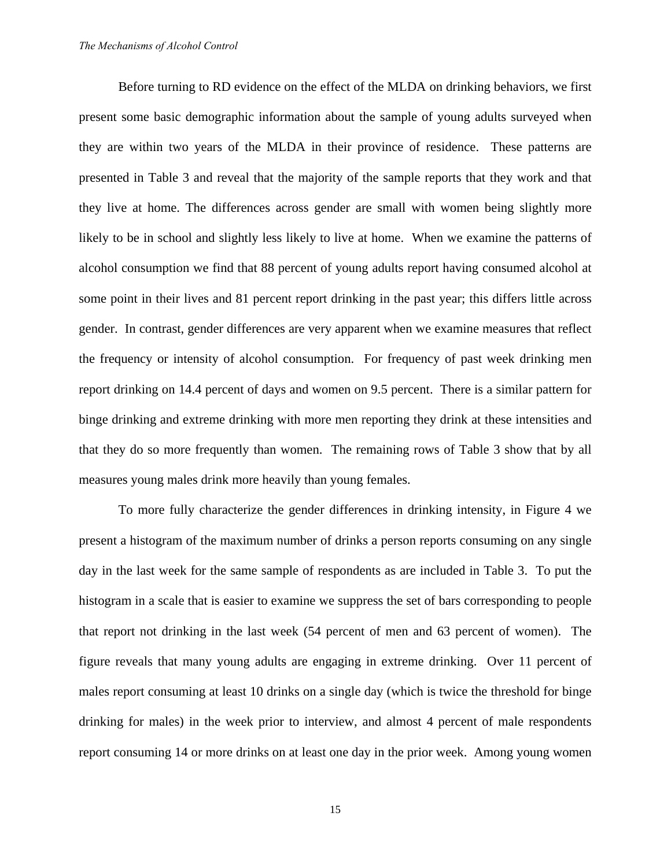Before turning to RD evidence on the effect of the MLDA on drinking behaviors, we first present some basic demographic information about the sample of young adults surveyed when they are within two years of the MLDA in their province of residence. These patterns are presented in Table 3 and reveal that the majority of the sample reports that they work and that they live at home. The differences across gender are small with women being slightly more likely to be in school and slightly less likely to live at home. When we examine the patterns of alcohol consumption we find that 88 percent of young adults report having consumed alcohol at some point in their lives and 81 percent report drinking in the past year; this differs little across gender. In contrast, gender differences are very apparent when we examine measures that reflect the frequency or intensity of alcohol consumption. For frequency of past week drinking men report drinking on 14.4 percent of days and women on 9.5 percent. There is a similar pattern for binge drinking and extreme drinking with more men reporting they drink at these intensities and that they do so more frequently than women. The remaining rows of Table 3 show that by all measures young males drink more heavily than young females.

To more fully characterize the gender differences in drinking intensity, in Figure 4 we present a histogram of the maximum number of drinks a person reports consuming on any single day in the last week for the same sample of respondents as are included in Table 3. To put the histogram in a scale that is easier to examine we suppress the set of bars corresponding to people that report not drinking in the last week (54 percent of men and 63 percent of women). The figure reveals that many young adults are engaging in extreme drinking. Over 11 percent of males report consuming at least 10 drinks on a single day (which is twice the threshold for binge drinking for males) in the week prior to interview, and almost 4 percent of male respondents report consuming 14 or more drinks on at least one day in the prior week. Among young women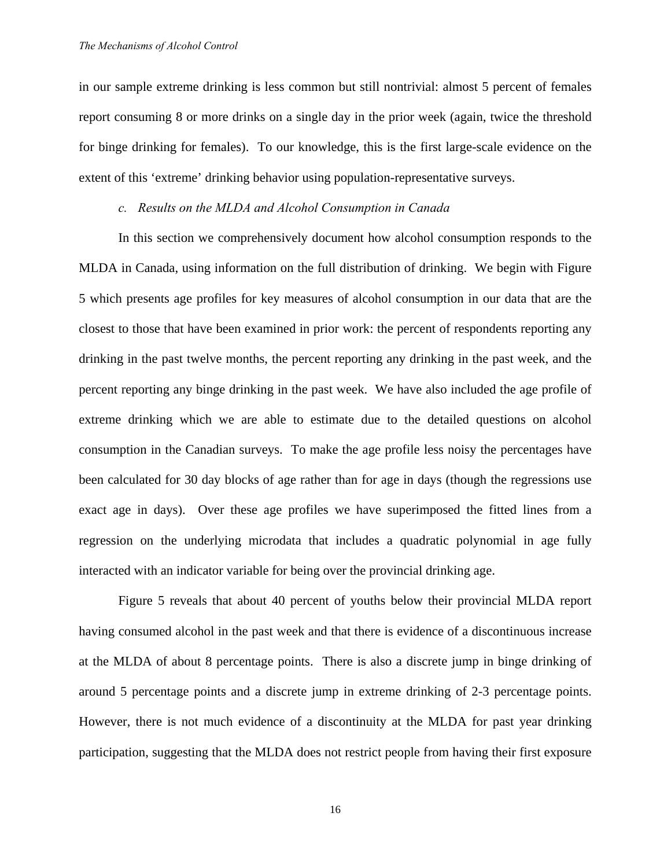in our sample extreme drinking is less common but still nontrivial: almost 5 percent of females report consuming 8 or more drinks on a single day in the prior week (again, twice the threshold for binge drinking for females). To our knowledge, this is the first large-scale evidence on the extent of this 'extreme' drinking behavior using population-representative surveys.

#### *c. Results on the MLDA and Alcohol Consumption in Canada*

In this section we comprehensively document how alcohol consumption responds to the MLDA in Canada, using information on the full distribution of drinking. We begin with Figure 5 which presents age profiles for key measures of alcohol consumption in our data that are the closest to those that have been examined in prior work: the percent of respondents reporting any drinking in the past twelve months, the percent reporting any drinking in the past week, and the percent reporting any binge drinking in the past week. We have also included the age profile of extreme drinking which we are able to estimate due to the detailed questions on alcohol consumption in the Canadian surveys. To make the age profile less noisy the percentages have been calculated for 30 day blocks of age rather than for age in days (though the regressions use exact age in days). Over these age profiles we have superimposed the fitted lines from a regression on the underlying microdata that includes a quadratic polynomial in age fully interacted with an indicator variable for being over the provincial drinking age.

Figure 5 reveals that about 40 percent of youths below their provincial MLDA report having consumed alcohol in the past week and that there is evidence of a discontinuous increase at the MLDA of about 8 percentage points. There is also a discrete jump in binge drinking of around 5 percentage points and a discrete jump in extreme drinking of 2-3 percentage points. However, there is not much evidence of a discontinuity at the MLDA for past year drinking participation, suggesting that the MLDA does not restrict people from having their first exposure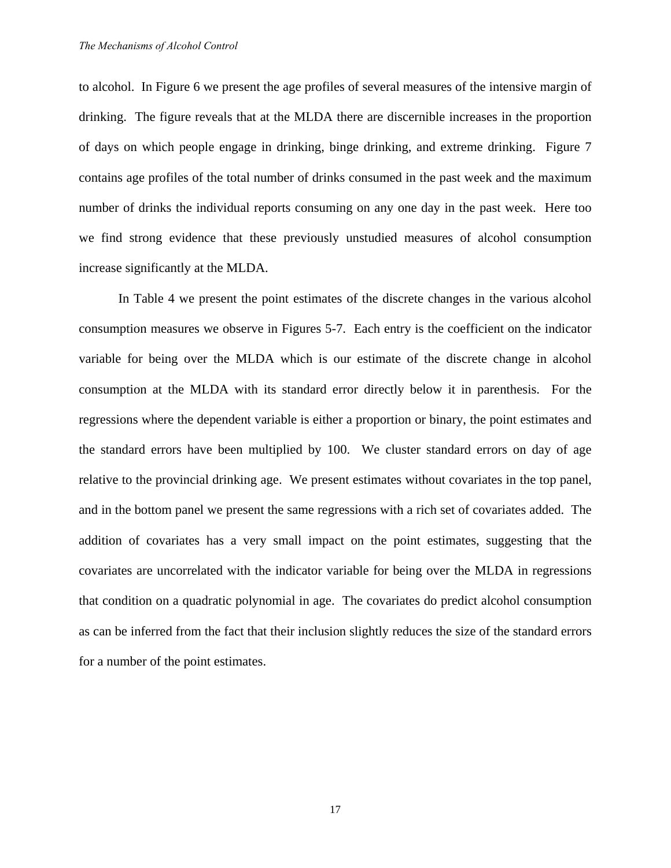to alcohol. In Figure 6 we present the age profiles of several measures of the intensive margin of drinking. The figure reveals that at the MLDA there are discernible increases in the proportion of days on which people engage in drinking, binge drinking, and extreme drinking. Figure 7 contains age profiles of the total number of drinks consumed in the past week and the maximum number of drinks the individual reports consuming on any one day in the past week. Here too we find strong evidence that these previously unstudied measures of alcohol consumption increase significantly at the MLDA.

In Table 4 we present the point estimates of the discrete changes in the various alcohol consumption measures we observe in Figures 5-7. Each entry is the coefficient on the indicator variable for being over the MLDA which is our estimate of the discrete change in alcohol consumption at the MLDA with its standard error directly below it in parenthesis. For the regressions where the dependent variable is either a proportion or binary, the point estimates and the standard errors have been multiplied by 100. We cluster standard errors on day of age relative to the provincial drinking age. We present estimates without covariates in the top panel, and in the bottom panel we present the same regressions with a rich set of covariates added. The addition of covariates has a very small impact on the point estimates, suggesting that the covariates are uncorrelated with the indicator variable for being over the MLDA in regressions that condition on a quadratic polynomial in age. The covariates do predict alcohol consumption as can be inferred from the fact that their inclusion slightly reduces the size of the standard errors for a number of the point estimates.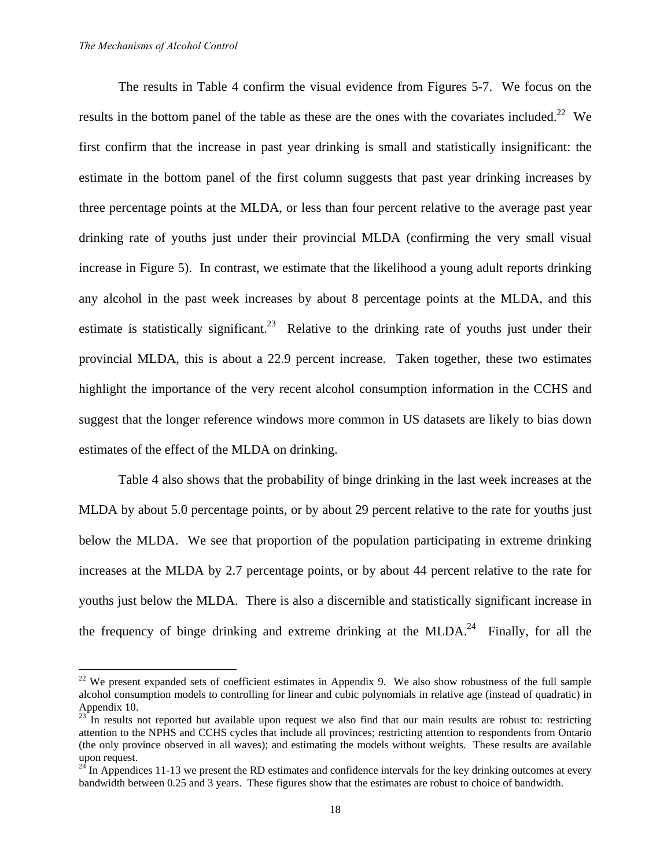The results in Table 4 confirm the visual evidence from Figures 5-7. We focus on the results in the bottom panel of the table as these are the ones with the covariates included.<sup>22</sup> We first confirm that the increase in past year drinking is small and statistically insignificant: the estimate in the bottom panel of the first column suggests that past year drinking increases by three percentage points at the MLDA, or less than four percent relative to the average past year drinking rate of youths just under their provincial MLDA (confirming the very small visual increase in Figure 5). In contrast, we estimate that the likelihood a young adult reports drinking any alcohol in the past week increases by about 8 percentage points at the MLDA, and this estimate is statistically significant.<sup>23</sup> Relative to the drinking rate of youths just under their provincial MLDA, this is about a 22.9 percent increase. Taken together, these two estimates highlight the importance of the very recent alcohol consumption information in the CCHS and suggest that the longer reference windows more common in US datasets are likely to bias down estimates of the effect of the MLDA on drinking.

Table 4 also shows that the probability of binge drinking in the last week increases at the MLDA by about 5.0 percentage points, or by about 29 percent relative to the rate for youths just below the MLDA. We see that proportion of the population participating in extreme drinking increases at the MLDA by 2.7 percentage points, or by about 44 percent relative to the rate for youths just below the MLDA. There is also a discernible and statistically significant increase in the frequency of binge drinking and extreme drinking at the MLDA.<sup>24</sup> Finally, for all the

<sup>&</sup>lt;sup>22</sup> We present expanded sets of coefficient estimates in Appendix 9. We also show robustness of the full sample alcohol consumption models to controlling for linear and cubic polynomials in relative age (instead of quadratic) in Appendix 10.

 $23<sup>23</sup>$  In results not reported but available upon request we also find that our main results are robust to: restricting attention to the NPHS and CCHS cycles that include all provinces; restricting attention to respondents from Ontario (the only province observed in all waves); and estimating the models without weights. These results are available upon request.

 $24$  In Appendices 11-13 we present the RD estimates and confidence intervals for the key drinking outcomes at every bandwidth between 0.25 and 3 years. These figures show that the estimates are robust to choice of bandwidth.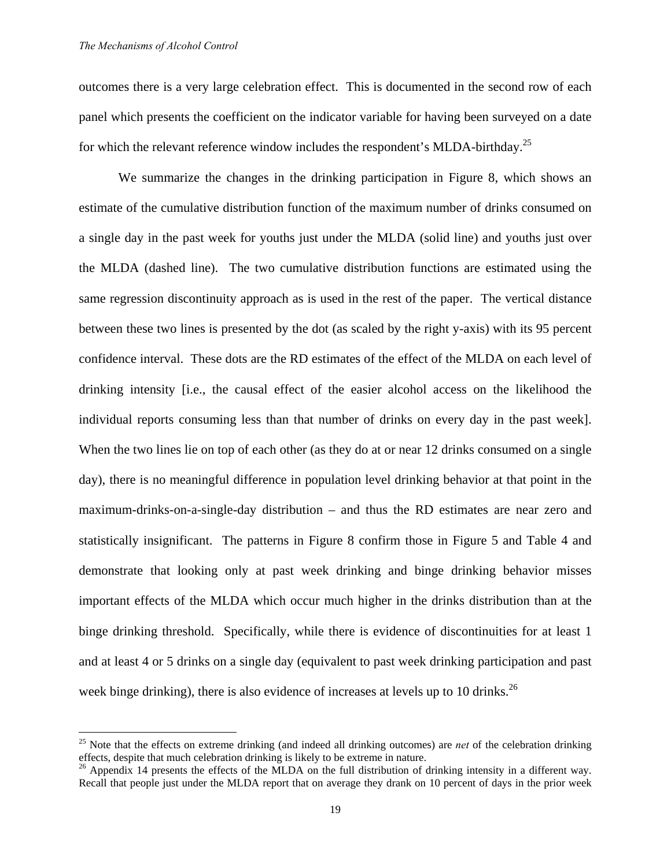outcomes there is a very large celebration effect. This is documented in the second row of each panel which presents the coefficient on the indicator variable for having been surveyed on a date for which the relevant reference window includes the respondent's MLDA-birthday.<sup>25</sup>

We summarize the changes in the drinking participation in Figure 8, which shows an estimate of the cumulative distribution function of the maximum number of drinks consumed on a single day in the past week for youths just under the MLDA (solid line) and youths just over the MLDA (dashed line). The two cumulative distribution functions are estimated using the same regression discontinuity approach as is used in the rest of the paper. The vertical distance between these two lines is presented by the dot (as scaled by the right y-axis) with its 95 percent confidence interval. These dots are the RD estimates of the effect of the MLDA on each level of drinking intensity [i.e., the causal effect of the easier alcohol access on the likelihood the individual reports consuming less than that number of drinks on every day in the past week]. When the two lines lie on top of each other (as they do at or near 12 drinks consumed on a single day), there is no meaningful difference in population level drinking behavior at that point in the maximum-drinks-on-a-single-day distribution – and thus the RD estimates are near zero and statistically insignificant. The patterns in Figure 8 confirm those in Figure 5 and Table 4 and demonstrate that looking only at past week drinking and binge drinking behavior misses important effects of the MLDA which occur much higher in the drinks distribution than at the binge drinking threshold. Specifically, while there is evidence of discontinuities for at least 1 and at least 4 or 5 drinks on a single day (equivalent to past week drinking participation and past week binge drinking), there is also evidence of increases at levels up to 10 drinks.<sup>26</sup>

<sup>&</sup>lt;sup>25</sup> Note that the effects on extreme drinking (and indeed all drinking outcomes) are *net* of the celebration drinking effects, despite that much celebration drinking is likely to be extreme in nature.

 $^{26}$  Appendix 14 presents the effects of the MLDA on the full distribution of drinking intensity in a different way. Recall that people just under the MLDA report that on average they drank on 10 percent of days in the prior week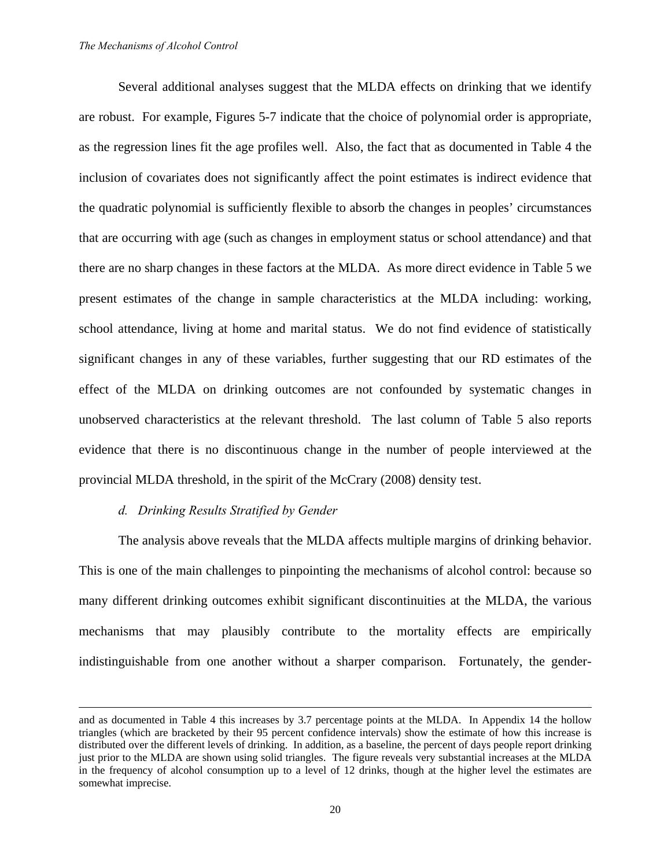Several additional analyses suggest that the MLDA effects on drinking that we identify are robust. For example, Figures 5-7 indicate that the choice of polynomial order is appropriate, as the regression lines fit the age profiles well. Also, the fact that as documented in Table 4 the inclusion of covariates does not significantly affect the point estimates is indirect evidence that the quadratic polynomial is sufficiently flexible to absorb the changes in peoples' circumstances that are occurring with age (such as changes in employment status or school attendance) and that there are no sharp changes in these factors at the MLDA. As more direct evidence in Table 5 we present estimates of the change in sample characteristics at the MLDA including: working, school attendance, living at home and marital status. We do not find evidence of statistically significant changes in any of these variables, further suggesting that our RD estimates of the effect of the MLDA on drinking outcomes are not confounded by systematic changes in unobserved characteristics at the relevant threshold. The last column of Table 5 also reports evidence that there is no discontinuous change in the number of people interviewed at the provincial MLDA threshold, in the spirit of the McCrary (2008) density test.

#### *d. Drinking Results Stratified by Gender*

The analysis above reveals that the MLDA affects multiple margins of drinking behavior. This is one of the main challenges to pinpointing the mechanisms of alcohol control: because so many different drinking outcomes exhibit significant discontinuities at the MLDA, the various mechanisms that may plausibly contribute to the mortality effects are empirically indistinguishable from one another without a sharper comparison. Fortunately, the gender-

and as documented in Table 4 this increases by 3.7 percentage points at the MLDA. In Appendix 14 the hollow triangles (which are bracketed by their 95 percent confidence intervals) show the estimate of how this increase is distributed over the different levels of drinking. In addition, as a baseline, the percent of days people report drinking just prior to the MLDA are shown using solid triangles. The figure reveals very substantial increases at the MLDA in the frequency of alcohol consumption up to a level of 12 drinks, though at the higher level the estimates are somewhat imprecise.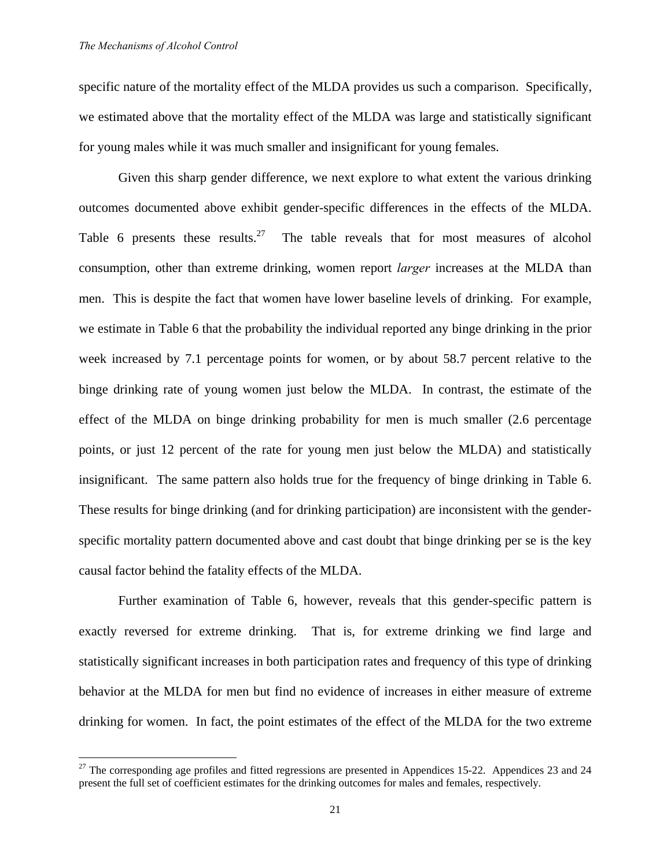specific nature of the mortality effect of the MLDA provides us such a comparison. Specifically, we estimated above that the mortality effect of the MLDA was large and statistically significant for young males while it was much smaller and insignificant for young females.

Given this sharp gender difference, we next explore to what extent the various drinking outcomes documented above exhibit gender-specific differences in the effects of the MLDA. Table 6 presents these results. $27$  The table reveals that for most measures of alcohol consumption, other than extreme drinking, women report *larger* increases at the MLDA than men. This is despite the fact that women have lower baseline levels of drinking. For example, we estimate in Table 6 that the probability the individual reported any binge drinking in the prior week increased by 7.1 percentage points for women, or by about 58.7 percent relative to the binge drinking rate of young women just below the MLDA. In contrast, the estimate of the effect of the MLDA on binge drinking probability for men is much smaller (2.6 percentage points, or just 12 percent of the rate for young men just below the MLDA) and statistically insignificant. The same pattern also holds true for the frequency of binge drinking in Table 6. These results for binge drinking (and for drinking participation) are inconsistent with the genderspecific mortality pattern documented above and cast doubt that binge drinking per se is the key causal factor behind the fatality effects of the MLDA.

Further examination of Table 6, however, reveals that this gender-specific pattern is exactly reversed for extreme drinking. That is, for extreme drinking we find large and statistically significant increases in both participation rates and frequency of this type of drinking behavior at the MLDA for men but find no evidence of increases in either measure of extreme drinking for women. In fact, the point estimates of the effect of the MLDA for the two extreme

 $27$  The corresponding age profiles and fitted regressions are presented in Appendices 15-22. Appendices 23 and 24 present the full set of coefficient estimates for the drinking outcomes for males and females, respectively.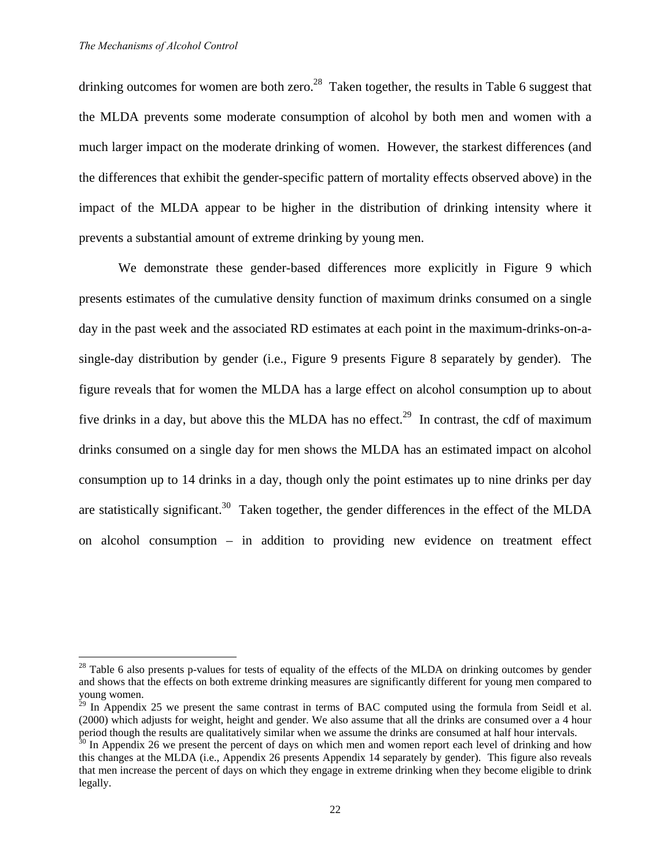drinking outcomes for women are both zero.<sup>28</sup> Taken together, the results in Table 6 suggest that the MLDA prevents some moderate consumption of alcohol by both men and women with a much larger impact on the moderate drinking of women. However, the starkest differences (and the differences that exhibit the gender-specific pattern of mortality effects observed above) in the impact of the MLDA appear to be higher in the distribution of drinking intensity where it prevents a substantial amount of extreme drinking by young men.

We demonstrate these gender-based differences more explicitly in Figure 9 which presents estimates of the cumulative density function of maximum drinks consumed on a single day in the past week and the associated RD estimates at each point in the maximum-drinks-on-asingle-day distribution by gender (i.e., Figure 9 presents Figure 8 separately by gender). The figure reveals that for women the MLDA has a large effect on alcohol consumption up to about five drinks in a day, but above this the MLDA has no effect.<sup>29</sup> In contrast, the cdf of maximum drinks consumed on a single day for men shows the MLDA has an estimated impact on alcohol consumption up to 14 drinks in a day, though only the point estimates up to nine drinks per day are statistically significant.<sup>30</sup> Taken together, the gender differences in the effect of the MLDA on alcohol consumption – in addition to providing new evidence on treatment effect

<sup>&</sup>lt;sup>28</sup> Table 6 also presents p-values for tests of equality of the effects of the MLDA on drinking outcomes by gender and shows that the effects on both extreme drinking measures are significantly different for young men compared to young women.<br> $^{29}$   $\frac{1}{29}$ 

In Appendix 25 we present the same contrast in terms of BAC computed using the formula from Seidl et al. (2000) which adjusts for weight, height and gender. We also assume that all the drinks are consumed over a 4 hour<br>period though the results are qualitatively similar when we assume the drinks are consumed at half hour inte

 $30$  In Appendix 26 we present the percent of days on which men and women report each level of drinking and how this changes at the MLDA (i.e., Appendix 26 presents Appendix 14 separately by gender). This figure also reveals that men increase the percent of days on which they engage in extreme drinking when they become eligible to drink legally.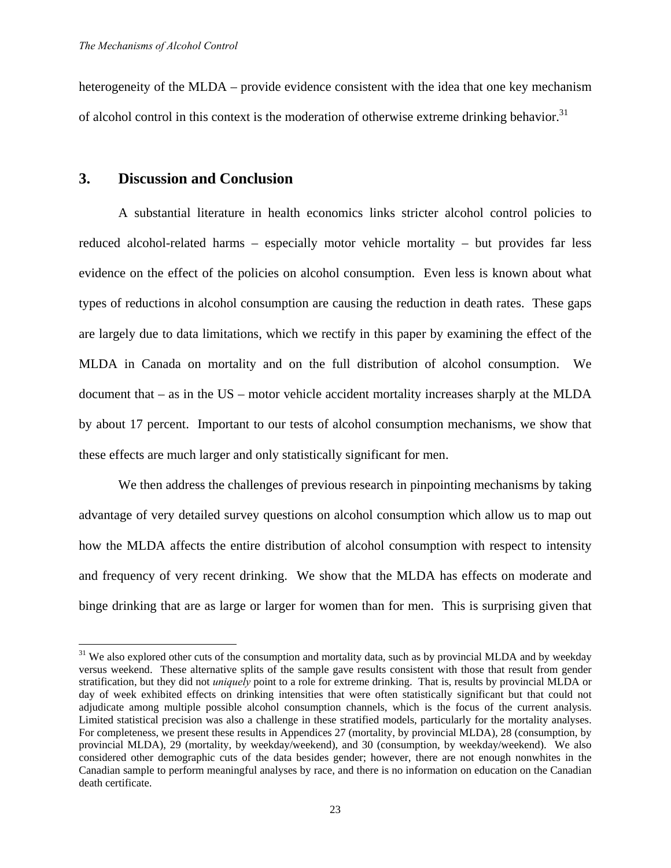heterogeneity of the MLDA – provide evidence consistent with the idea that one key mechanism of alcohol control in this context is the moderation of otherwise extreme drinking behavior.<sup>31</sup>

#### **3. Discussion and Conclusion**

A substantial literature in health economics links stricter alcohol control policies to reduced alcohol-related harms – especially motor vehicle mortality – but provides far less evidence on the effect of the policies on alcohol consumption. Even less is known about what types of reductions in alcohol consumption are causing the reduction in death rates. These gaps are largely due to data limitations, which we rectify in this paper by examining the effect of the MLDA in Canada on mortality and on the full distribution of alcohol consumption. We document that – as in the US – motor vehicle accident mortality increases sharply at the MLDA by about 17 percent. Important to our tests of alcohol consumption mechanisms, we show that these effects are much larger and only statistically significant for men.

We then address the challenges of previous research in pinpointing mechanisms by taking advantage of very detailed survey questions on alcohol consumption which allow us to map out how the MLDA affects the entire distribution of alcohol consumption with respect to intensity and frequency of very recent drinking. We show that the MLDA has effects on moderate and binge drinking that are as large or larger for women than for men. This is surprising given that

<sup>&</sup>lt;sup>31</sup> We also explored other cuts of the consumption and mortality data, such as by provincial MLDA and by weekday versus weekend. These alternative splits of the sample gave results consistent with those that result from gender stratification, but they did not *uniquely* point to a role for extreme drinking. That is, results by provincial MLDA or day of week exhibited effects on drinking intensities that were often statistically significant but that could not adjudicate among multiple possible alcohol consumption channels, which is the focus of the current analysis. Limited statistical precision was also a challenge in these stratified models, particularly for the mortality analyses. For completeness, we present these results in Appendices 27 (mortality, by provincial MLDA), 28 (consumption, by provincial MLDA), 29 (mortality, by weekday/weekend), and 30 (consumption, by weekday/weekend). We also considered other demographic cuts of the data besides gender; however, there are not enough nonwhites in the Canadian sample to perform meaningful analyses by race, and there is no information on education on the Canadian death certificate.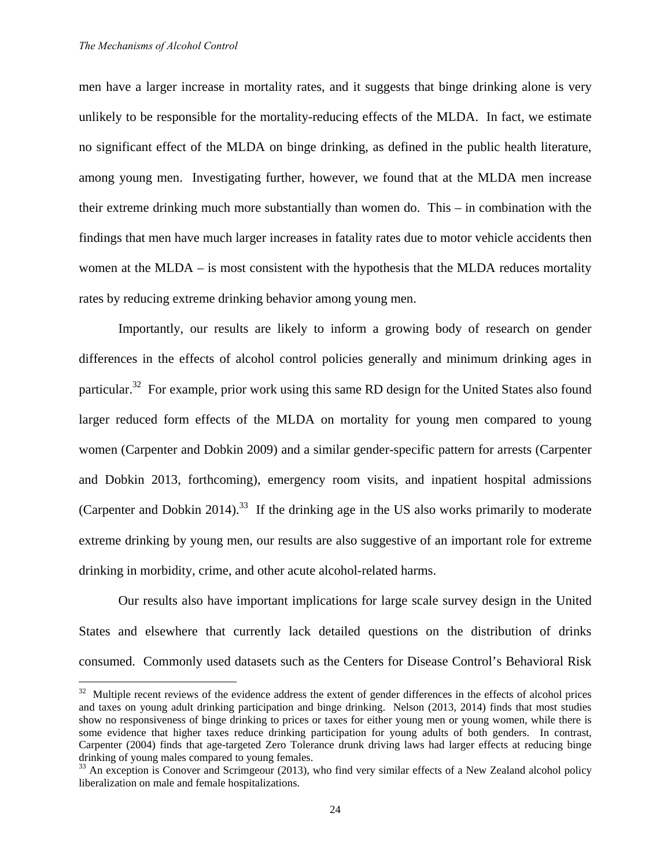1

men have a larger increase in mortality rates, and it suggests that binge drinking alone is very unlikely to be responsible for the mortality-reducing effects of the MLDA. In fact, we estimate no significant effect of the MLDA on binge drinking, as defined in the public health literature, among young men. Investigating further, however, we found that at the MLDA men increase their extreme drinking much more substantially than women do. This – in combination with the findings that men have much larger increases in fatality rates due to motor vehicle accidents then women at the MLDA – is most consistent with the hypothesis that the MLDA reduces mortality rates by reducing extreme drinking behavior among young men.

Importantly, our results are likely to inform a growing body of research on gender differences in the effects of alcohol control policies generally and minimum drinking ages in particular.<sup>32</sup> For example, prior work using this same RD design for the United States also found larger reduced form effects of the MLDA on mortality for young men compared to young women (Carpenter and Dobkin 2009) and a similar gender-specific pattern for arrests (Carpenter and Dobkin 2013, forthcoming), emergency room visits, and inpatient hospital admissions (Carpenter and Dobkin 2014).<sup>33</sup> If the drinking age in the US also works primarily to moderate extreme drinking by young men, our results are also suggestive of an important role for extreme drinking in morbidity, crime, and other acute alcohol-related harms.

Our results also have important implications for large scale survey design in the United States and elsewhere that currently lack detailed questions on the distribution of drinks consumed. Commonly used datasets such as the Centers for Disease Control's Behavioral Risk

<sup>&</sup>lt;sup>32</sup> Multiple recent reviews of the evidence address the extent of gender differences in the effects of alcohol prices and taxes on young adult drinking participation and binge drinking. Nelson (2013, 2014) finds that most studies show no responsiveness of binge drinking to prices or taxes for either young men or young women, while there is some evidence that higher taxes reduce drinking participation for young adults of both genders. In contrast, Carpenter (2004) finds that age-targeted Zero Tolerance drunk driving laws had larger effects at reducing binge drinking of young males compared to young females.

<sup>&</sup>lt;sup>33</sup> An exception is Conover and Scrimgeour (2013), who find very similar effects of a New Zealand alcohol policy liberalization on male and female hospitalizations.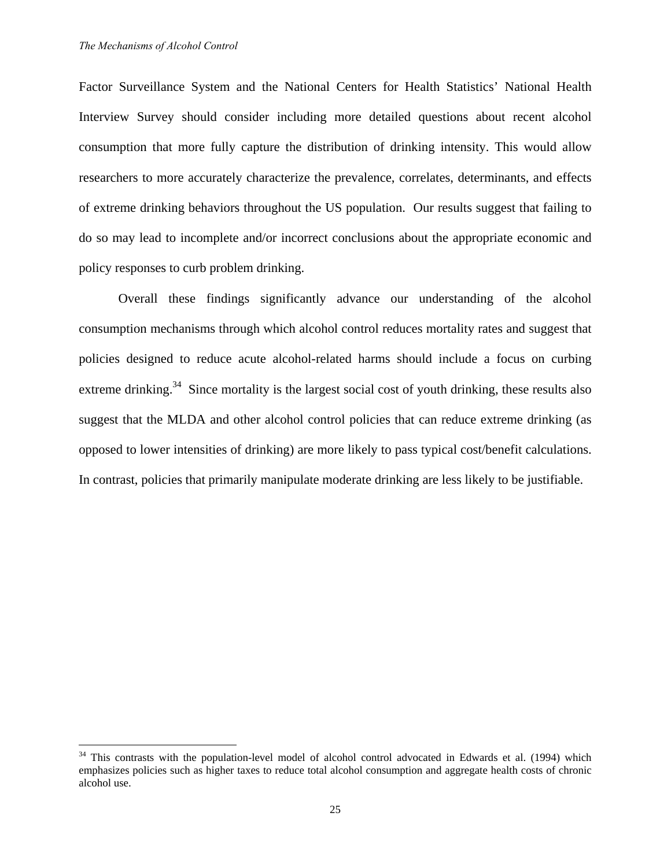1

Factor Surveillance System and the National Centers for Health Statistics' National Health Interview Survey should consider including more detailed questions about recent alcohol consumption that more fully capture the distribution of drinking intensity. This would allow researchers to more accurately characterize the prevalence, correlates, determinants, and effects of extreme drinking behaviors throughout the US population. Our results suggest that failing to do so may lead to incomplete and/or incorrect conclusions about the appropriate economic and policy responses to curb problem drinking.

Overall these findings significantly advance our understanding of the alcohol consumption mechanisms through which alcohol control reduces mortality rates and suggest that policies designed to reduce acute alcohol-related harms should include a focus on curbing extreme drinking.<sup>34</sup> Since mortality is the largest social cost of youth drinking, these results also suggest that the MLDA and other alcohol control policies that can reduce extreme drinking (as opposed to lower intensities of drinking) are more likely to pass typical cost/benefit calculations. In contrast, policies that primarily manipulate moderate drinking are less likely to be justifiable.

<sup>&</sup>lt;sup>34</sup> This contrasts with the population-level model of alcohol control advocated in Edwards et al. (1994) which emphasizes policies such as higher taxes to reduce total alcohol consumption and aggregate health costs of chronic alcohol use.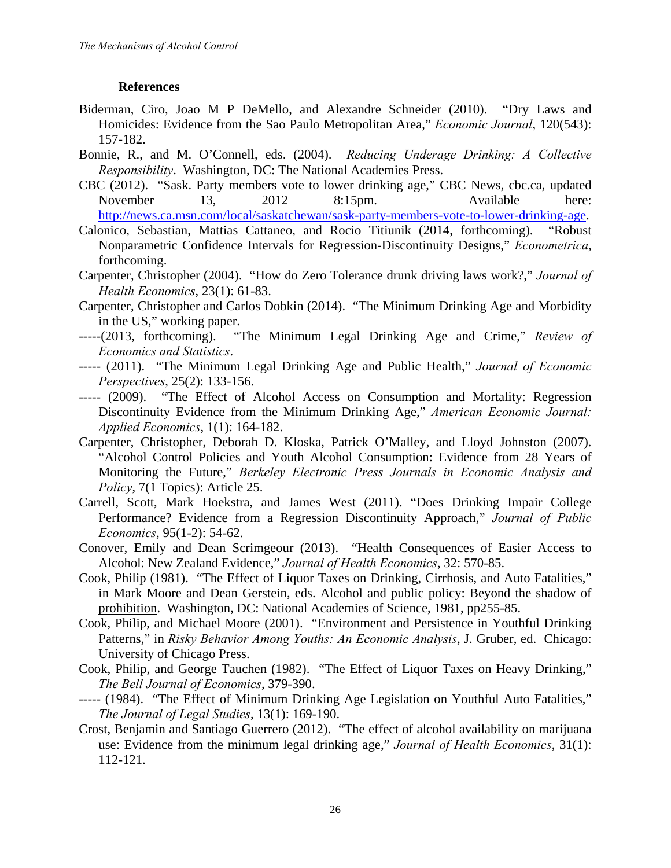#### **References**

- Biderman, Ciro, Joao M P DeMello, and Alexandre Schneider (2010). "Dry Laws and Homicides: Evidence from the Sao Paulo Metropolitan Area," *Economic Journal*, 120(543): 157-182.
- Bonnie, R., and M. O'Connell, eds. (2004). *Reducing Underage Drinking: A Collective Responsibility*. Washington, DC: The National Academies Press.
- CBC (2012). "Sask. Party members vote to lower drinking age," CBC News, cbc.ca, updated November 13, 2012 8:15pm. Available here: http://news.ca.msn.com/local/saskatchewan/sask-party-members-vote-to-lower-drinking-age.
- Calonico, Sebastian, Mattias Cattaneo, and Rocio Titiunik (2014, forthcoming). "Robust Nonparametric Confidence Intervals for Regression-Discontinuity Designs," *Econometrica*, forthcoming.
- Carpenter, Christopher (2004). "How do Zero Tolerance drunk driving laws work?," *Journal of Health Economics*, 23(1): 61-83.
- Carpenter, Christopher and Carlos Dobkin (2014). "The Minimum Drinking Age and Morbidity in the US," working paper.
- -----(2013, forthcoming). "The Minimum Legal Drinking Age and Crime," *Review of Economics and Statistics*.
- ----- (2011). "The Minimum Legal Drinking Age and Public Health," *Journal of Economic Perspectives*, 25(2): 133-156.
- ----- (2009). "The Effect of Alcohol Access on Consumption and Mortality: Regression Discontinuity Evidence from the Minimum Drinking Age," *American Economic Journal: Applied Economics*, 1(1): 164-182.
- Carpenter, Christopher, Deborah D. Kloska, Patrick O'Malley, and Lloyd Johnston (2007). "Alcohol Control Policies and Youth Alcohol Consumption: Evidence from 28 Years of Monitoring the Future," *Berkeley Electronic Press Journals in Economic Analysis and Policy*, 7(1 Topics): Article 25.
- Carrell, Scott, Mark Hoekstra, and James West (2011). "Does Drinking Impair College Performance? Evidence from a Regression Discontinuity Approach," *Journal of Public Economics*, 95(1-2): 54-62.
- Conover, Emily and Dean Scrimgeour (2013). "Health Consequences of Easier Access to Alcohol: New Zealand Evidence," *Journal of Health Economics*, 32: 570-85.
- Cook, Philip (1981). "The Effect of Liquor Taxes on Drinking, Cirrhosis, and Auto Fatalities," in Mark Moore and Dean Gerstein, eds. Alcohol and public policy: Beyond the shadow of prohibition. Washington, DC: National Academies of Science, 1981, pp255-85.
- Cook, Philip, and Michael Moore (2001). "Environment and Persistence in Youthful Drinking Patterns," in *Risky Behavior Among Youths: An Economic Analysis*, J. Gruber, ed. Chicago: University of Chicago Press.
- Cook, Philip, and George Tauchen (1982). "The Effect of Liquor Taxes on Heavy Drinking," *The Bell Journal of Economics*, 379-390.
- ----- (1984). "The Effect of Minimum Drinking Age Legislation on Youthful Auto Fatalities," *The Journal of Legal Studies*, 13(1): 169-190.
- Crost, Benjamin and Santiago Guerrero (2012). "The effect of alcohol availability on marijuana use: Evidence from the minimum legal drinking age," *Journal of Health Economics*, 31(1): 112-121.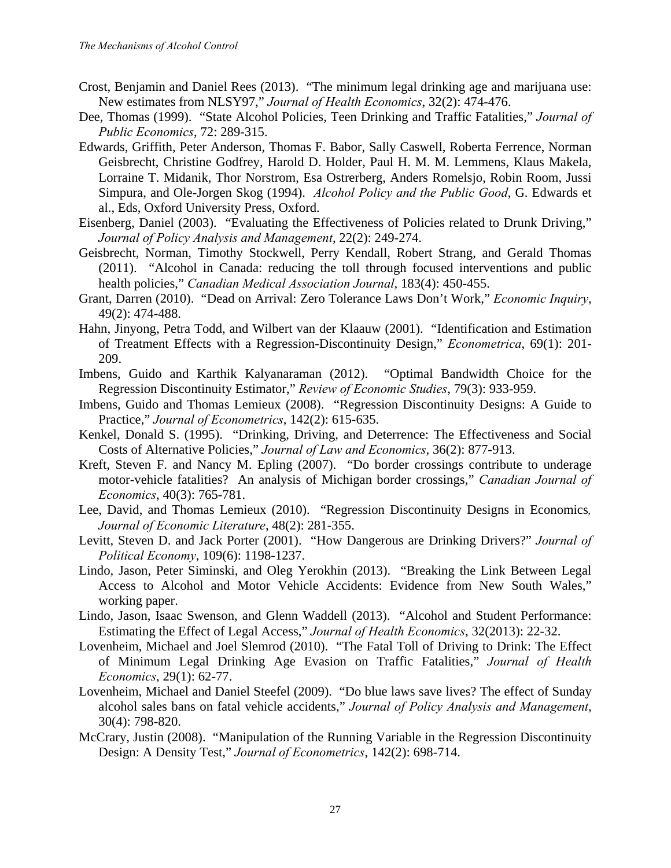- Crost, Benjamin and Daniel Rees (2013). "The minimum legal drinking age and marijuana use: New estimates from NLSY97," *Journal of Health Economics*, 32(2): 474-476.
- Dee, Thomas (1999). "State Alcohol Policies, Teen Drinking and Traffic Fatalities," *Journal of Public Economics*, 72: 289-315.
- Edwards, Griffith, Peter Anderson, Thomas F. Babor, Sally Caswell, Roberta Ferrence, Norman Geisbrecht, Christine Godfrey, Harold D. Holder, Paul H. M. M. Lemmens, Klaus Makela, Lorraine T. Midanik, Thor Norstrom, Esa Ostrerberg, Anders Romelsjo, Robin Room, Jussi Simpura, and Ole-Jorgen Skog (1994). *Alcohol Policy and the Public Good*, G. Edwards et al., Eds, Oxford University Press, Oxford.
- Eisenberg, Daniel (2003). "Evaluating the Effectiveness of Policies related to Drunk Driving," *Journal of Policy Analysis and Management*, 22(2): 249-274.
- Geisbrecht, Norman, Timothy Stockwell, Perry Kendall, Robert Strang, and Gerald Thomas (2011). "Alcohol in Canada: reducing the toll through focused interventions and public health policies," *Canadian Medical Association Journal*, 183(4): 450-455.
- Grant, Darren (2010). "Dead on Arrival: Zero Tolerance Laws Don't Work," *Economic Inquiry*, 49(2): 474-488.
- Hahn, Jinyong, Petra Todd, and Wilbert van der Klaauw (2001). "Identification and Estimation of Treatment Effects with a Regression-Discontinuity Design," *Econometrica*, 69(1): 201- 209.
- Imbens, Guido and Karthik Kalyanaraman (2012). "Optimal Bandwidth Choice for the Regression Discontinuity Estimator," *Review of Economic Studies*, 79(3): 933-959.
- Imbens, Guido and Thomas Lemieux (2008). "Regression Discontinuity Designs: A Guide to Practice," *Journal of Econometrics*, 142(2): 615-635.
- Kenkel, Donald S. (1995). "Drinking, Driving, and Deterrence: The Effectiveness and Social Costs of Alternative Policies," *Journal of Law and Economics*, 36(2): 877-913.
- Kreft, Steven F. and Nancy M. Epling (2007). "Do border crossings contribute to underage motor-vehicle fatalities? An analysis of Michigan border crossings," *Canadian Journal of Economics*, 40(3): 765-781.
- Lee, David, and Thomas Lemieux (2010). "Regression Discontinuity Designs in Economics*, Journal of Economic Literature*, 48(2): 281-355.
- Levitt, Steven D. and Jack Porter (2001). "How Dangerous are Drinking Drivers?" *Journal of Political Economy*, 109(6): 1198-1237.
- Lindo, Jason, Peter Siminski, and Oleg Yerokhin (2013). "Breaking the Link Between Legal Access to Alcohol and Motor Vehicle Accidents: Evidence from New South Wales," working paper.
- Lindo, Jason, Isaac Swenson, and Glenn Waddell (2013). "Alcohol and Student Performance: Estimating the Effect of Legal Access," *Journal of Health Economics*, 32(2013): 22-32.
- Lovenheim, Michael and Joel Slemrod (2010). "The Fatal Toll of Driving to Drink: The Effect of Minimum Legal Drinking Age Evasion on Traffic Fatalities," *Journal of Health Economics*, 29(1): 62-77.
- Lovenheim, Michael and Daniel Steefel (2009). "Do blue laws save lives? The effect of Sunday alcohol sales bans on fatal vehicle accidents," *Journal of Policy Analysis and Management*, 30(4): 798-820.
- McCrary, Justin (2008). "Manipulation of the Running Variable in the Regression Discontinuity Design: A Density Test," *Journal of Econometrics*, 142(2): 698-714.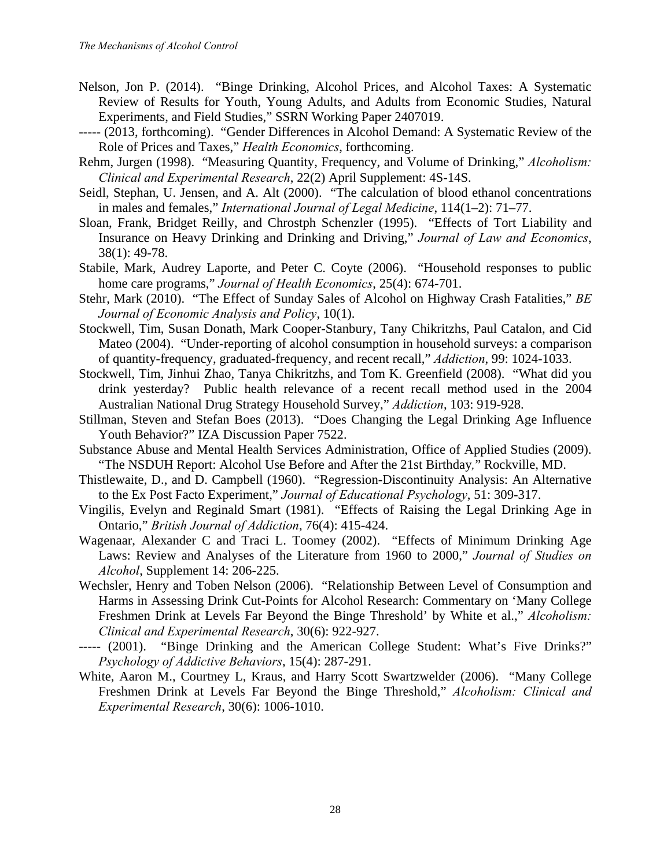- Nelson, Jon P. (2014). "Binge Drinking, Alcohol Prices, and Alcohol Taxes: A Systematic Review of Results for Youth, Young Adults, and Adults from Economic Studies, Natural Experiments, and Field Studies," SSRN Working Paper 2407019.
- ----- (2013, forthcoming). "Gender Differences in Alcohol Demand: A Systematic Review of the Role of Prices and Taxes," *Health Economics*, forthcoming.
- Rehm, Jurgen (1998). "Measuring Quantity, Frequency, and Volume of Drinking," *Alcoholism: Clinical and Experimental Research*, 22(2) April Supplement: 4S-14S.
- Seidl, Stephan, U. Jensen, and A. Alt (2000). "The calculation of blood ethanol concentrations in males and females," *International Journal of Legal Medicine*, 114(1–2): 71–77.
- Sloan, Frank, Bridget Reilly, and Chrostph Schenzler (1995). "Effects of Tort Liability and Insurance on Heavy Drinking and Drinking and Driving," *Journal of Law and Economics*, 38(1): 49-78.
- Stabile, Mark, Audrey Laporte, and Peter C. Coyte (2006). "Household responses to public home care programs," *Journal of Health Economics*, 25(4): 674-701.
- Stehr, Mark (2010). "The Effect of Sunday Sales of Alcohol on Highway Crash Fatalities," *BE Journal of Economic Analysis and Policy*, 10(1).
- Stockwell, Tim, Susan Donath, Mark Cooper-Stanbury, Tany Chikritzhs, Paul Catalon, and Cid Mateo (2004). "Under-reporting of alcohol consumption in household surveys: a comparison of quantity-frequency, graduated-frequency, and recent recall," *Addiction*, 99: 1024-1033.
- Stockwell, Tim, Jinhui Zhao, Tanya Chikritzhs, and Tom K. Greenfield (2008). "What did you drink yesterday? Public health relevance of a recent recall method used in the 2004 Australian National Drug Strategy Household Survey," *Addiction*, 103: 919-928.
- Stillman, Steven and Stefan Boes (2013). "Does Changing the Legal Drinking Age Influence Youth Behavior?" IZA Discussion Paper 7522.
- Substance Abuse and Mental Health Services Administration, Office of Applied Studies (2009). "The NSDUH Report: Alcohol Use Before and After the 21st Birthday*,*" Rockville, MD.
- Thistlewaite, D., and D. Campbell (1960). "Regression-Discontinuity Analysis: An Alternative to the Ex Post Facto Experiment," *Journal of Educational Psychology*, 51: 309-317.
- Vingilis, Evelyn and Reginald Smart (1981). "Effects of Raising the Legal Drinking Age in Ontario," *British Journal of Addiction*, 76(4): 415-424.
- Wagenaar, Alexander C and Traci L. Toomey (2002). "Effects of Minimum Drinking Age Laws: Review and Analyses of the Literature from 1960 to 2000," *Journal of Studies on Alcohol*, Supplement 14: 206-225.
- Wechsler, Henry and Toben Nelson (2006). "Relationship Between Level of Consumption and Harms in Assessing Drink Cut-Points for Alcohol Research: Commentary on 'Many College Freshmen Drink at Levels Far Beyond the Binge Threshold' by White et al.," *Alcoholism: Clinical and Experimental Research*, 30(6): 922-927.
- ----- (2001). "Binge Drinking and the American College Student: What's Five Drinks?" *Psychology of Addictive Behaviors*, 15(4): 287-291.
- White, Aaron M., Courtney L, Kraus, and Harry Scott Swartzwelder (2006). "Many College Freshmen Drink at Levels Far Beyond the Binge Threshold," *Alcoholism: Clinical and Experimental Research*, 30(6): 1006-1010.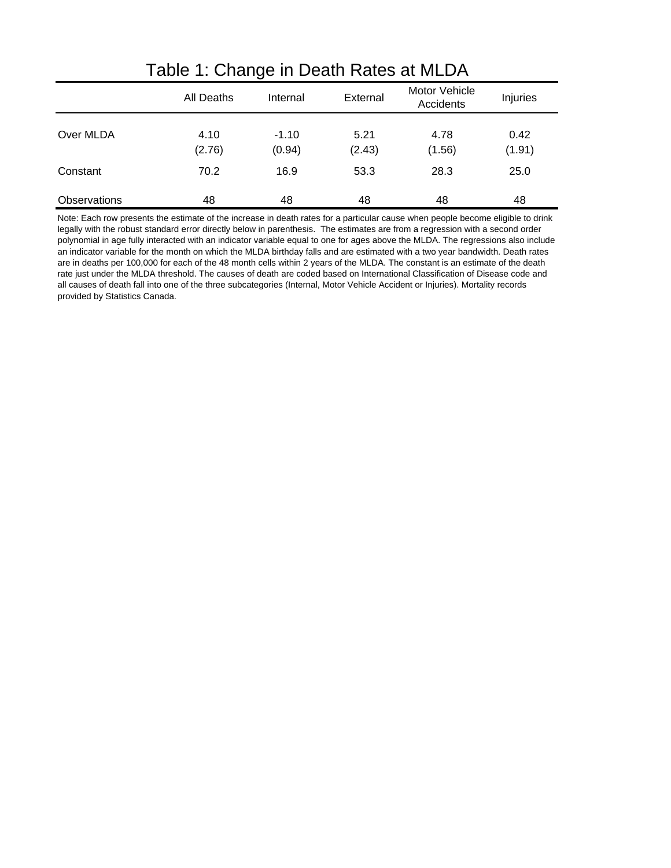|              |                | ັ                 |                |                            |                |  |
|--------------|----------------|-------------------|----------------|----------------------------|----------------|--|
|              | All Deaths     | Internal          | External       | Motor Vehicle<br>Accidents | Injuries       |  |
| Over MLDA    | 4.10<br>(2.76) | $-1.10$<br>(0.94) | 5.21<br>(2.43) | 4.78<br>(1.56)             | 0.42<br>(1.91) |  |
| Constant     | 70.2           | 16.9              | 53.3           | 28.3                       | 25.0           |  |
| Observations | 48             | 48                | 48             | 48                         | 48             |  |

# Table 1: Change in Death Rates at MLDA

Note: Each row presents the estimate of the increase in death rates for a particular cause when people become eligible to drink legally with the robust standard error directly below in parenthesis. The estimates are from a regression with a second order polynomial in age fully interacted with an indicator variable equal to one for ages above the MLDA. The regressions also include an indicator variable for the month on which the MLDA birthday falls and are estimated with a two year bandwidth. Death rates are in deaths per 100,000 for each of the 48 month cells within 2 years of the MLDA. The constant is an estimate of the death rate just under the MLDA threshold. The causes of death are coded based on International Classification of Disease code and all causes of death fall into one of the three subcategories (Internal, Motor Vehicle Accident or Injuries). Mortality records provided by Statistics Canada.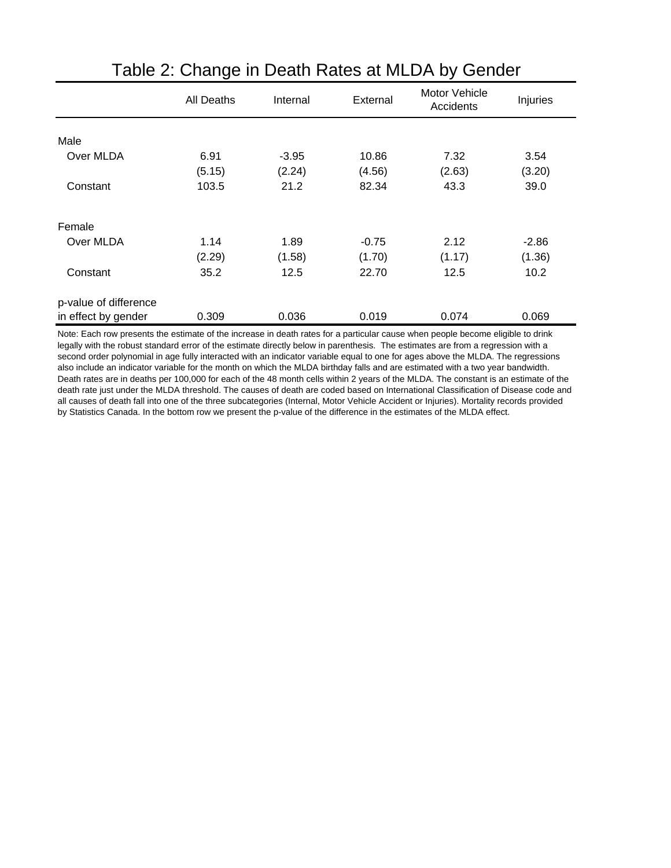|                       | <b>All Deaths</b> | Internal | External | Motor Vehicle<br>Accidents |         |
|-----------------------|-------------------|----------|----------|----------------------------|---------|
|                       |                   |          |          |                            |         |
| Male                  |                   |          |          |                            |         |
| Over MLDA             | 6.91              | $-3.95$  | 10.86    | 7.32                       | 3.54    |
|                       | (5.15)            | (2.24)   | (4.56)   | (2.63)                     | (3.20)  |
| Constant              | 103.5             | 21.2     | 82.34    | 43.3                       | 39.0    |
| Female                |                   |          |          |                            |         |
| Over MLDA             | 1.14              | 1.89     | $-0.75$  | 2.12                       | $-2.86$ |
|                       | (2.29)            | (1.58)   | (1.70)   | (1.17)                     | (1.36)  |
| Constant              | 35.2              | 12.5     | 22.70    | 12.5                       | 10.2    |
| p-value of difference |                   |          |          |                            |         |
| in effect by gender   | 0.309             | 0.036    | 0.019    | 0.074                      | 0.069   |

### Table 2: Change in Death Rates at MLDA by Gender

Note: Each row presents the estimate of the increase in death rates for a particular cause when people become eligible to drink legally with the robust standard error of the estimate directly below in parenthesis. The estimates are from a regression with a second order polynomial in age fully interacted with an indicator variable equal to one for ages above the MLDA. The regressions also include an indicator variable for the month on which the MLDA birthday falls and are estimated with a two year bandwidth. Death rates are in deaths per 100,000 for each of the 48 month cells within 2 years of the MLDA. The constant is an estimate of the death rate just under the MLDA threshold. The causes of death are coded based on International Classification of Disease code and all causes of death fall into one of the three subcategories (Internal, Motor Vehicle Accident or Injuries). Mortality records provided by Statistics Canada. In the bottom row we present the p-value of the difference in the estimates of the MLDA effect.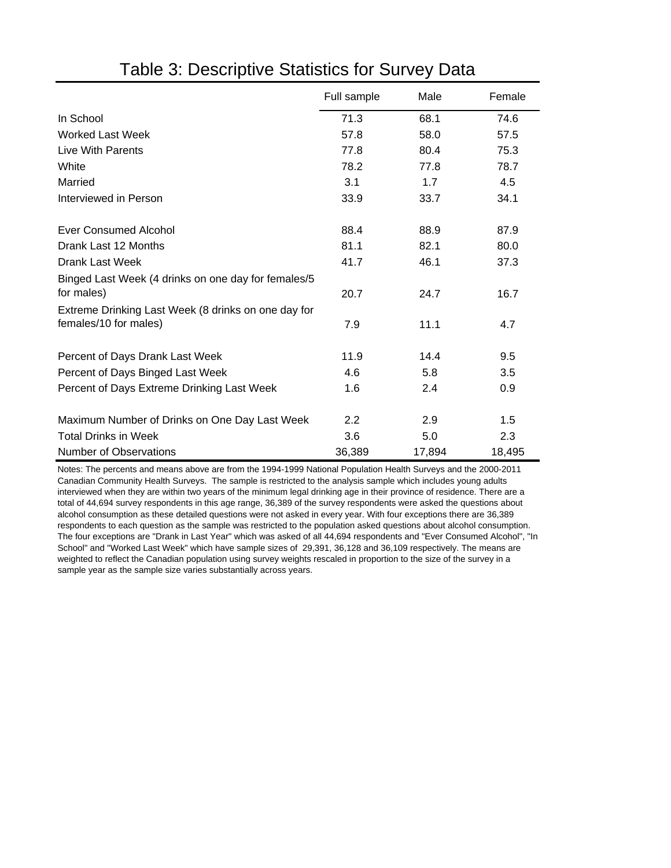|                                                                              | Full sample      | Male   | Female |
|------------------------------------------------------------------------------|------------------|--------|--------|
| In School                                                                    | 71.3             | 68.1   | 74.6   |
| <b>Worked Last Week</b>                                                      | 57.8             | 58.0   | 57.5   |
| Live With Parents                                                            | 77.8             | 80.4   | 75.3   |
| White                                                                        | 78.2             | 77.8   | 78.7   |
| Married                                                                      | 3.1              | 1.7    | 4.5    |
| Interviewed in Person                                                        | 33.9             | 33.7   | 34.1   |
| Ever Consumed Alcohol                                                        | 88.4             | 88.9   | 87.9   |
| Drank Last 12 Months                                                         | 81.1             | 82.1   | 80.0   |
| Drank Last Week                                                              | 41.7             | 46.1   | 37.3   |
| Binged Last Week (4 drinks on one day for females/5<br>for males)            | 20.7             | 24.7   | 16.7   |
| Extreme Drinking Last Week (8 drinks on one day for<br>females/10 for males) | 7.9              | 11.1   | 4.7    |
| Percent of Days Drank Last Week                                              | 11.9             | 14.4   | 9.5    |
| Percent of Days Binged Last Week                                             | 4.6              | 5.8    | 3.5    |
| Percent of Days Extreme Drinking Last Week                                   | 1.6              | 2.4    | 0.9    |
| Maximum Number of Drinks on One Day Last Week                                | $2.2\phantom{0}$ | 2.9    | 1.5    |
| <b>Total Drinks in Week</b>                                                  | 3.6              | 5.0    | 2.3    |
| Number of Observations                                                       | 36,389           | 17,894 | 18,495 |

### Table 3: Descriptive Statistics for Survey Data

Notes: The percents and means above are from the 1994-1999 National Population Health Surveys and the 2000-2011 Canadian Community Health Surveys. The sample is restricted to the analysis sample which includes young adults interviewed when they are within two years of the minimum legal drinking age in their province of residence. There are a total of 44,694 survey respondents in this age range, 36,389 of the survey respondents were asked the questions about alcohol consumption as these detailed questions were not asked in every year. With four exceptions there are 36,389 respondents to each question as the sample was restricted to the population asked questions about alcohol consumption. The four exceptions are "Drank in Last Year" which was asked of all 44,694 respondents and "Ever Consumed Alcohol", "In School" and "Worked Last Week" which have sample sizes of 29,391, 36,128 and 36,109 respectively. The means are weighted to reflect the Canadian population using survey weights rescaled in proportion to the size of the survey in a sample year as the sample size varies substantially across years.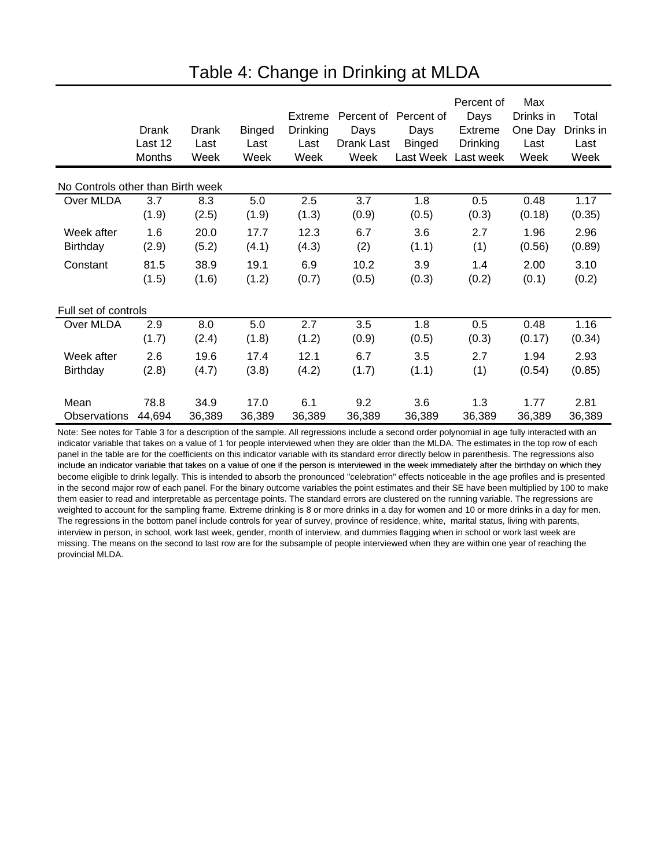|                                   |         |        |               |                 |            |                       | Percent of      | Max       |           |
|-----------------------------------|---------|--------|---------------|-----------------|------------|-----------------------|-----------------|-----------|-----------|
|                                   |         |        |               | <b>Extreme</b>  |            | Percent of Percent of | Days            | Drinks in | Total     |
|                                   | Drank   | Drank  | <b>Binged</b> | <b>Drinking</b> | Days       | Days                  | <b>Extreme</b>  | One Day   | Drinks in |
|                                   | Last 12 | Last   | Last          | Last            | Drank Last | <b>Binged</b>         | <b>Drinking</b> | Last      | Last      |
|                                   | Months  | Week   | Week          | Week            | Week       | Last Week             | Last week       | Week      | Week      |
| No Controls other than Birth week |         |        |               |                 |            |                       |                 |           |           |
| Over MLDA                         | 3.7     | 8.3    | 5.0           | 2.5             | 3.7        | 1.8                   | 0.5             | 0.48      | 1.17      |
|                                   | (1.9)   | (2.5)  | (1.9)         | (1.3)           | (0.9)      | (0.5)                 | (0.3)           | (0.18)    | (0.35)    |
| Week after                        | 1.6     | 20.0   | 17.7          | 12.3            | 6.7        | 3.6                   | 2.7             | 1.96      | 2.96      |
| <b>Birthday</b>                   | (2.9)   | (5.2)  | (4.1)         | (4.3)           | (2)        | (1.1)                 | (1)             | (0.56)    | (0.89)    |
| Constant                          | 81.5    | 38.9   | 19.1          | 6.9             | 10.2       | 3.9                   | 1.4             | 2.00      | 3.10      |
|                                   | (1.5)   | (1.6)  | (1.2)         | (0.7)           | (0.5)      | (0.3)                 | (0.2)           | (0.1)     | (0.2)     |
|                                   |         |        |               |                 |            |                       |                 |           |           |
| Full set of controls              |         |        |               |                 |            |                       |                 |           |           |
| Over MLDA                         | 2.9     | 8.0    | 5.0           | 2.7             | 3.5        | 1.8                   | 0.5             | 0.48      | 1.16      |
|                                   | (1.7)   | (2.4)  | (1.8)         | (1.2)           | (0.9)      | (0.5)                 | (0.3)           | (0.17)    | (0.34)    |
| Week after                        | 2.6     | 19.6   | 17.4          | 12.1            | 6.7        | 3.5                   | 2.7             | 1.94      | 2.93      |
| <b>Birthday</b>                   | (2.8)   | (4.7)  | (3.8)         | (4.2)           | (1.7)      | (1.1)                 | (1)             | (0.54)    | (0.85)    |
|                                   |         |        |               |                 |            |                       |                 |           |           |
| Mean                              | 78.8    | 34.9   | 17.0          | 6.1             | 9.2        | 3.6                   | 1.3             | 1.77      | 2.81      |
| Observations                      | 44,694  | 36,389 | 36,389        | 36,389          | 36,389     | 36,389                | 36,389          | 36,389    | 36,389    |

### Table 4: Change in Drinking at MLDA

Note: See notes for Table 3 for a description of the sample. All regressions include a second order polynomial in age fully interacted with an indicator variable that takes on a value of 1 for people interviewed when they are older than the MLDA. The estimates in the top row of each panel in the table are for the coefficients on this indicator variable with its standard error directly below in parenthesis. The regressions also include an indicator variable that takes on a value of one if the person is interviewed in the week immediately after the birthday on which they become eligible to drink legally. This is intended to absorb the pronounced "celebration" effects noticeable in the age profiles and is presented in the second major row of each panel. For the binary outcome variables the point estimates and their SE have been multiplied by 100 to make them easier to read and interpretable as percentage points. The standard errors are clustered on the running variable. The regressions are weighted to account for the sampling frame. Extreme drinking is 8 or more drinks in a day for women and 10 or more drinks in a day for men. The regressions in the bottom panel include controls for year of survey, province of residence, white, marital status, living with parents, interview in person, in school, work last week, gender, month of interview, and dummies flagging when in school or work last week are missing. The means on the second to last row are for the subsample of people interviewed when they are within one year of reaching the provincial MLDA.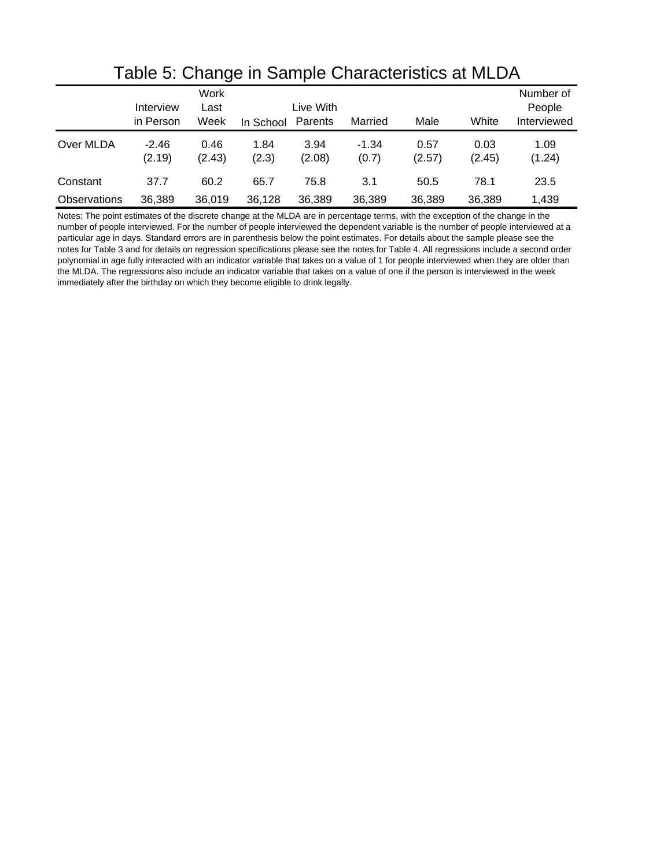|              |           | ັ      |           |           |         |        |        |             |
|--------------|-----------|--------|-----------|-----------|---------|--------|--------|-------------|
|              |           | Work   |           |           |         |        |        | Number of   |
|              | Interview | Last   |           | Live With |         |        |        | People      |
|              | in Person | Week   | In School | Parents   | Married | Male   | White  | Interviewed |
| Over MLDA    | $-2.46$   | 0.46   | 1.84      | 3.94      | $-1.34$ | 0.57   | 0.03   | 1.09        |
|              | (2.19)    | (2.43) | (2.3)     | (2.08)    | (0.7)   | (2.57) | (2.45) | (1.24)      |
| Constant     | 37.7      | 60.2   | 65.7      | 75.8      | 3.1     | 50.5   | 78.1   | 23.5        |
| Observations | 36,389    | 36.019 | 36.128    | 36,389    | 36,389  | 36,389 | 36,389 | 1,439       |

### Table 5: Change in Sample Characteristics at MLDA

Notes: The point estimates of the discrete change at the MLDA are in percentage terms, with the exception of the change in the number of people interviewed. For the number of people interviewed the dependent variable is the number of people interviewed at a particular age in days. Standard errors are in parenthesis below the point estimates. For details about the sample please see the notes for Table 3 and for details on regression specifications please see the notes for Table 4. All regressions include a second order polynomial in age fully interacted with an indicator variable that takes on a value of 1 for people interviewed when they are older than the MLDA. The regressions also include an indicator variable that takes on a value of one if the person is interviewed in the week immediately after the birthday on which they become eligible to drink legally.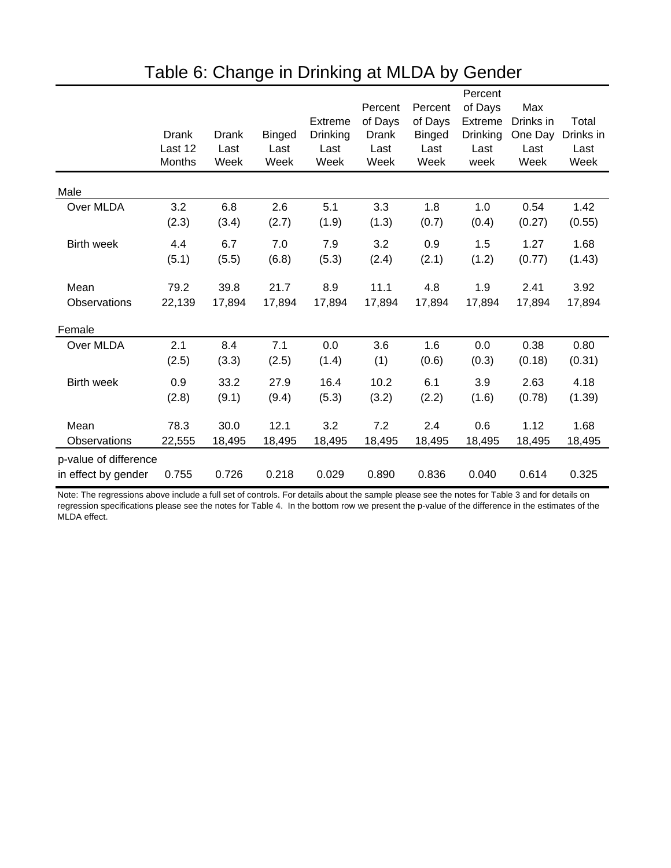|                                              | Drank<br>Last 12<br>Months | Drank<br>Last<br>Week | <b>Binged</b><br>Last<br>Week | Extreme<br>Drinking<br>Last<br>Week | Percent<br>of Days<br>Drank<br>Last<br>Week | Percent<br>of Days<br><b>Binged</b><br>Last<br>Week | Percent<br>of Days<br><b>Extreme</b><br><b>Drinking</b><br>Last<br>week | Max<br>Drinks in<br>One Day<br>Last<br>Week | Total<br>Drinks in<br>Last<br>Week |
|----------------------------------------------|----------------------------|-----------------------|-------------------------------|-------------------------------------|---------------------------------------------|-----------------------------------------------------|-------------------------------------------------------------------------|---------------------------------------------|------------------------------------|
| Male                                         |                            |                       |                               |                                     |                                             |                                                     |                                                                         |                                             |                                    |
| Over MLDA                                    | 3.2                        | 6.8                   | 2.6                           | 5.1                                 | 3.3                                         | 1.8                                                 | 1.0                                                                     | 0.54                                        | 1.42                               |
|                                              | (2.3)                      | (3.4)                 | (2.7)                         | (1.9)                               | (1.3)                                       | (0.7)                                               | (0.4)                                                                   | (0.27)                                      | (0.55)                             |
| <b>Birth week</b>                            | 4.4                        | 6.7                   | 7.0                           | 7.9                                 | 3.2                                         | 0.9                                                 | 1.5                                                                     | 1.27                                        | 1.68                               |
|                                              | (5.1)                      | (5.5)                 | (6.8)                         | (5.3)                               | (2.4)                                       | (2.1)                                               | (1.2)                                                                   | (0.77)                                      | (1.43)                             |
| Mean                                         | 79.2                       | 39.8                  | 21.7                          | 8.9                                 | 11.1                                        | 4.8                                                 | 1.9                                                                     | 2.41                                        | 3.92                               |
| Observations                                 | 22,139                     | 17,894                | 17,894                        | 17,894                              | 17,894                                      | 17,894                                              | 17,894                                                                  | 17,894                                      | 17,894                             |
| Female                                       |                            |                       |                               |                                     |                                             |                                                     |                                                                         |                                             |                                    |
| Over MLDA                                    | 2.1                        | 8.4                   | 7.1                           | 0.0                                 | 3.6                                         | 1.6                                                 | 0.0                                                                     | 0.38                                        | 0.80                               |
|                                              | (2.5)                      | (3.3)                 | (2.5)                         | (1.4)                               | (1)                                         | (0.6)                                               | (0.3)                                                                   | (0.18)                                      | (0.31)                             |
| <b>Birth week</b>                            | 0.9                        | 33.2                  | 27.9                          | 16.4                                | 10.2                                        | 6.1                                                 | 3.9                                                                     | 2.63                                        | 4.18                               |
|                                              | (2.8)                      | (9.1)                 | (9.4)                         | (5.3)                               | (3.2)                                       | (2.2)                                               | (1.6)                                                                   | (0.78)                                      | (1.39)                             |
| Mean                                         | 78.3                       | 30.0                  | 12.1                          | 3.2                                 | 7.2                                         | 2.4                                                 | 0.6                                                                     | 1.12                                        | 1.68                               |
| Observations                                 | 22,555                     | 18,495                | 18,495                        | 18,495                              | 18,495                                      | 18,495                                              | 18,495                                                                  | 18,495                                      | 18,495                             |
| p-value of difference<br>in effect by gender | 0.755                      | 0.726                 | 0.218                         | 0.029                               | 0.890                                       | 0.836                                               | 0.040                                                                   | 0.614                                       | 0.325                              |

# Table 6: Change in Drinking at MLDA by Gender

Note: The regressions above include a full set of controls. For details about the sample please see the notes for Table 3 and for details on regression specifications please see the notes for Table 4. In the bottom row we present the p-value of the difference in the estimates of the MLDA effect.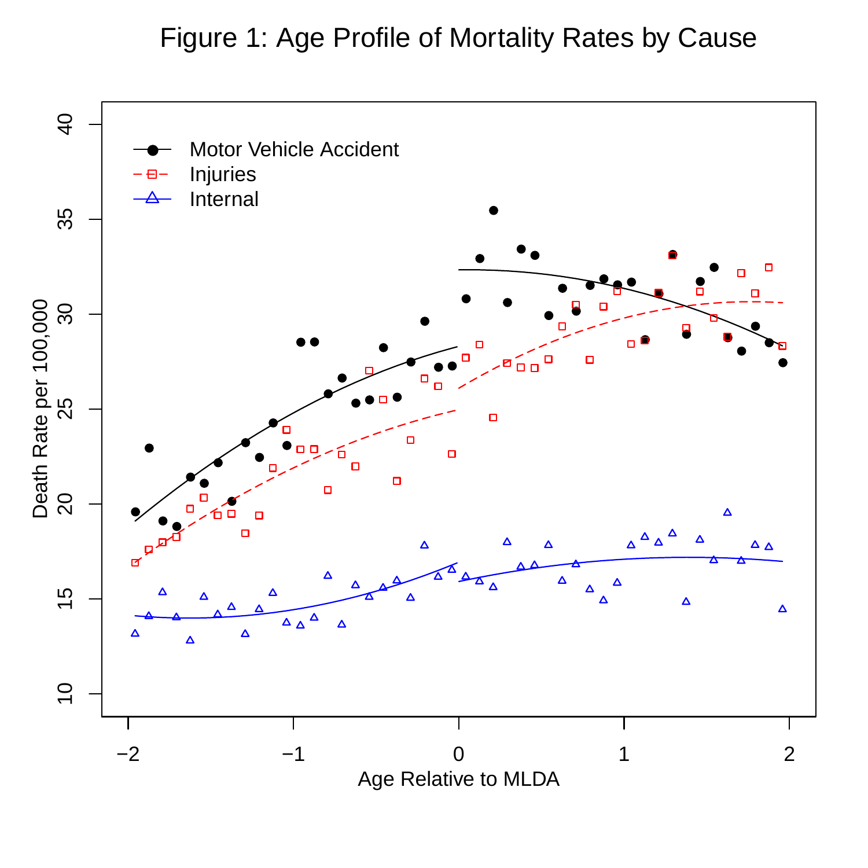#### Figure 1: Age Profile of Mortality Rates by Cause

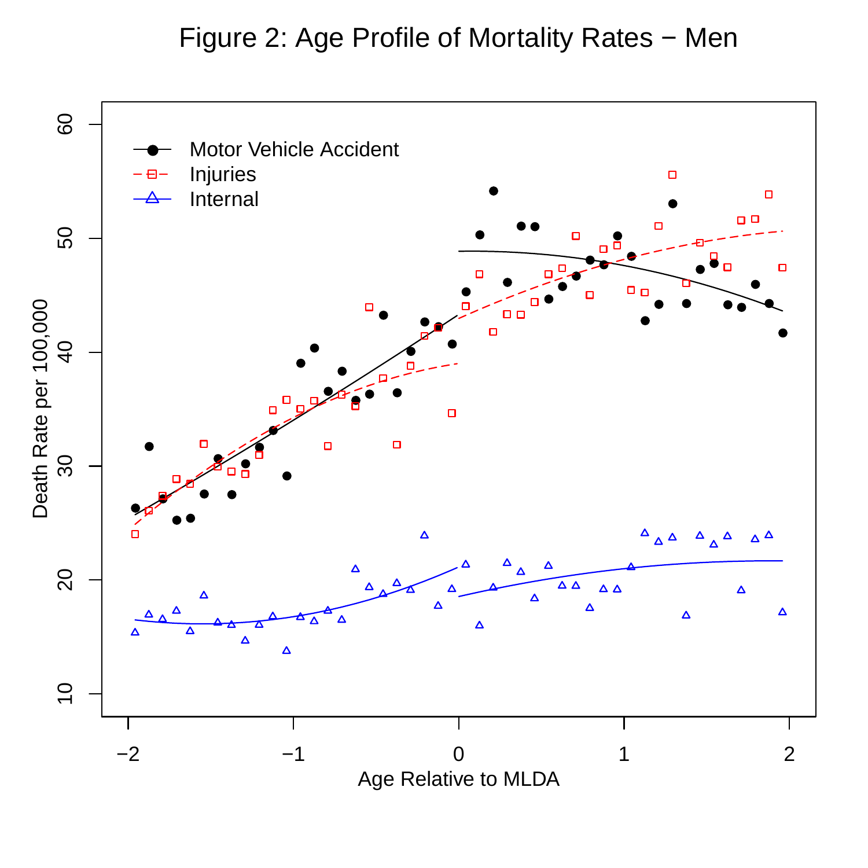## Figure 2: Age Profile of Mortality Rates − Men

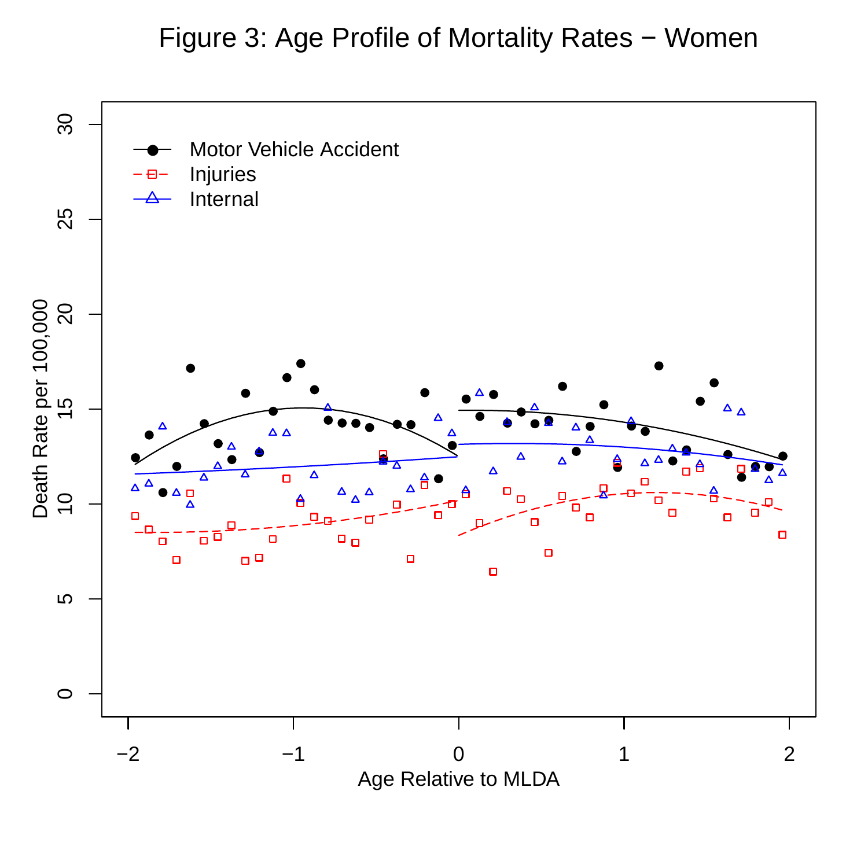## Figure 3: Age Profile of Mortality Rates − Women

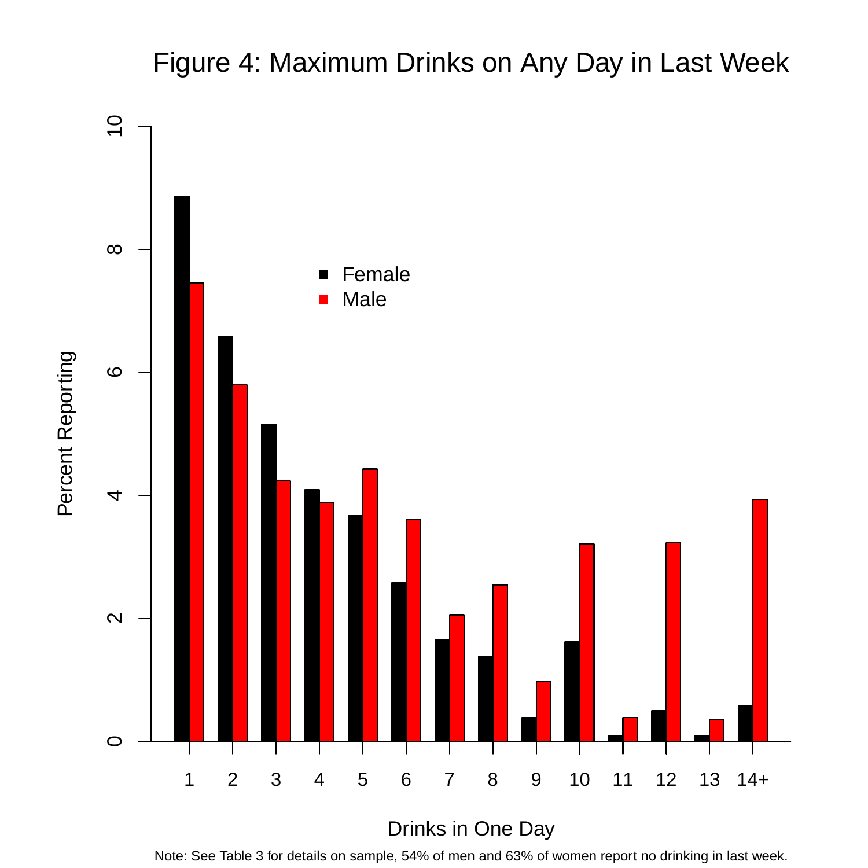## Figure 4: Maximum Drinks on Any Day in Last Week



Note: See Table 3 for details on sample, 54% of men and 63% of women report no drinking in last week.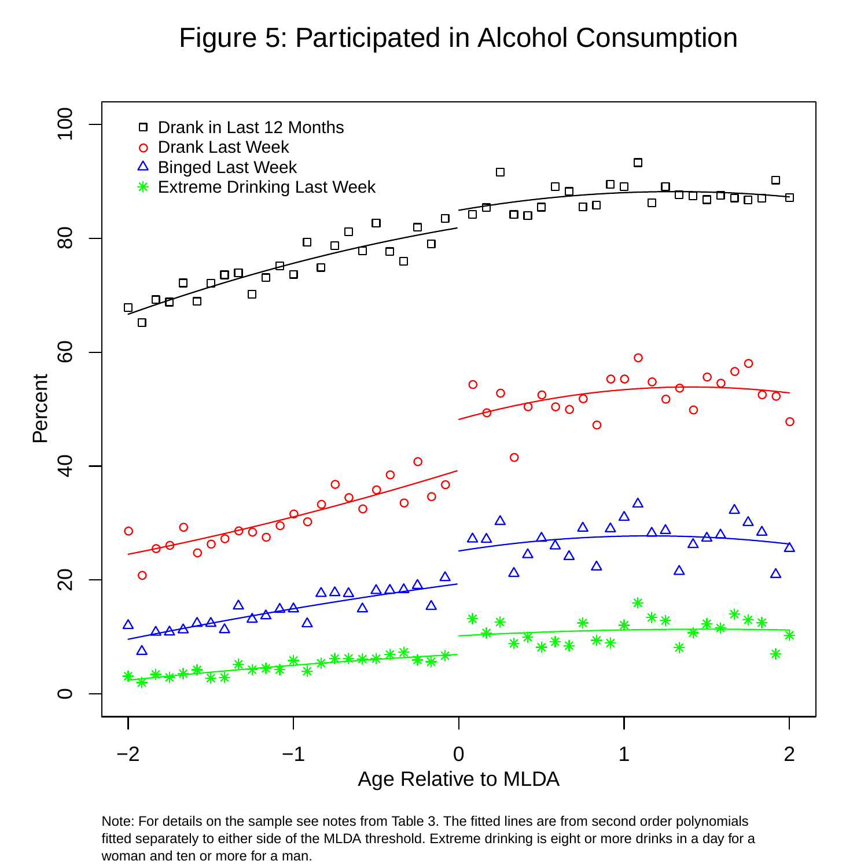#### Figure 5: Participated in Alcohol Consumption



Note: For details on the sample see notes from Table 3. The fitted lines are from second order polynomials fitted separately to either side of the MLDA threshold. Extreme drinking is eight or more drinks in a day for a woman and ten or more for a man.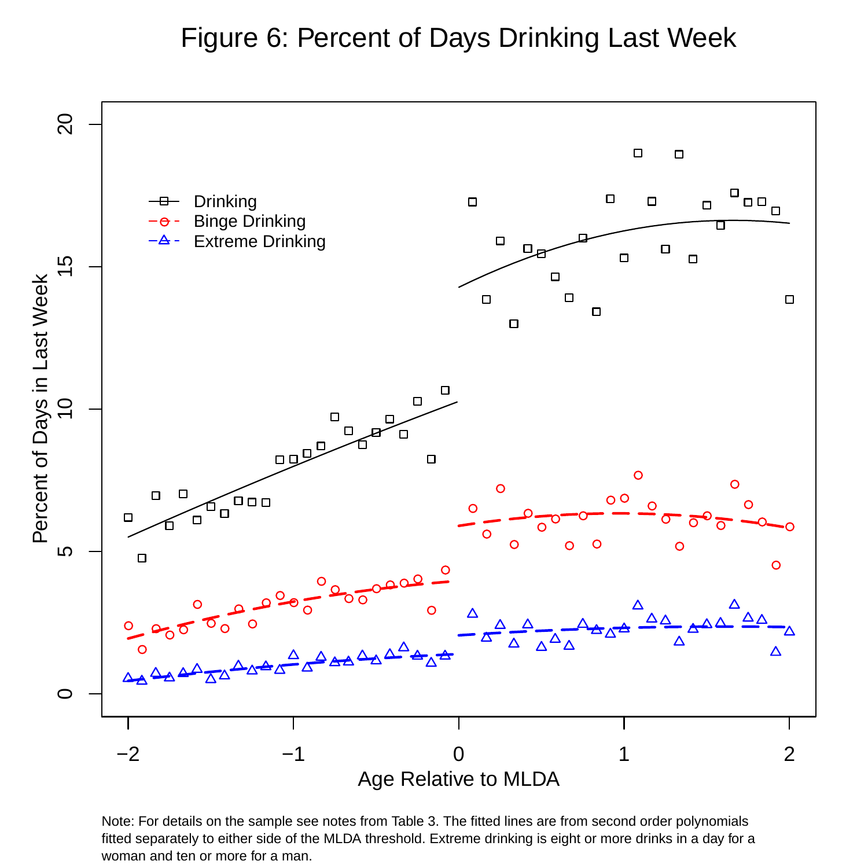#### Figure 6: Percent of Days Drinking Last Week



Note: For details on the sample see notes from Table 3. The fitted lines are from second order polynomials fitted separately to either side of the MLDA threshold. Extreme drinking is eight or more drinks in a day for a woman and ten or more for a man.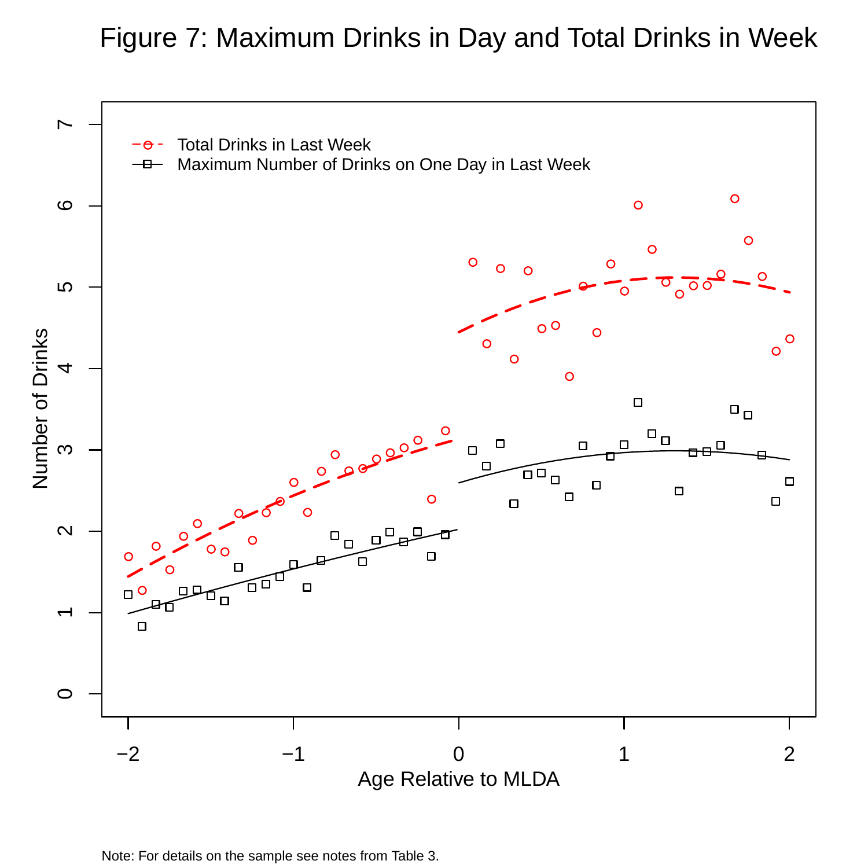### Figure 7: Maximum Drinks in Day and Total Drinks in Week

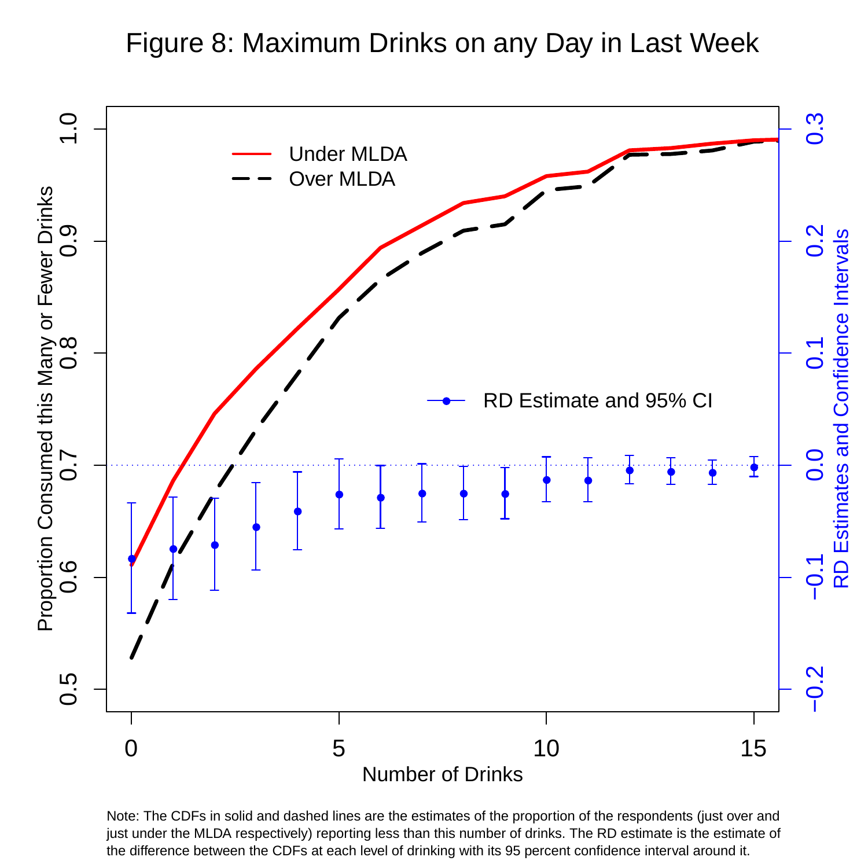#### Figure 8: Maximum Drinks on any Day in Last Week



Note: The CDFs in solid and dashed lines are the estimates of the proportion of the respondents (just over and just under the MLDA respectively) reporting less than this number of drinks. The RD estimate is the estimate of the difference between the CDFs at each level of drinking with its 95 percent confidence interval around it.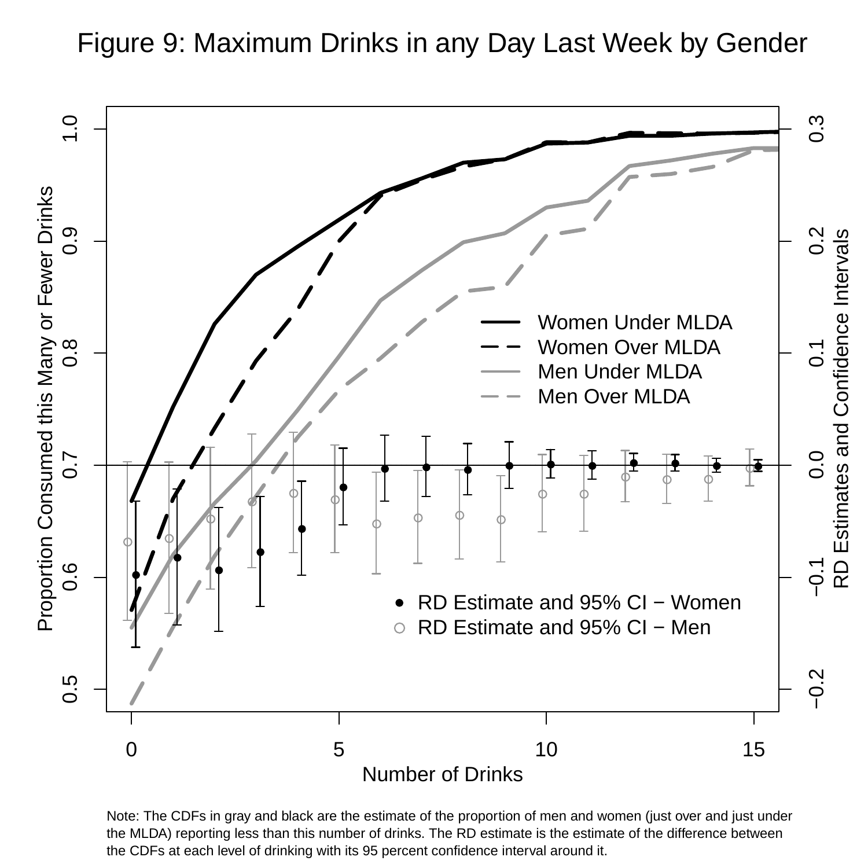



Note: The CDFs in gray and black are the estimate of the proportion of men and women (just over and just under the MLDA) reporting less than this number of drinks. The RD estimate is the estimate of the difference between the CDFs at each level of drinking with its 95 percent confidence interval around it.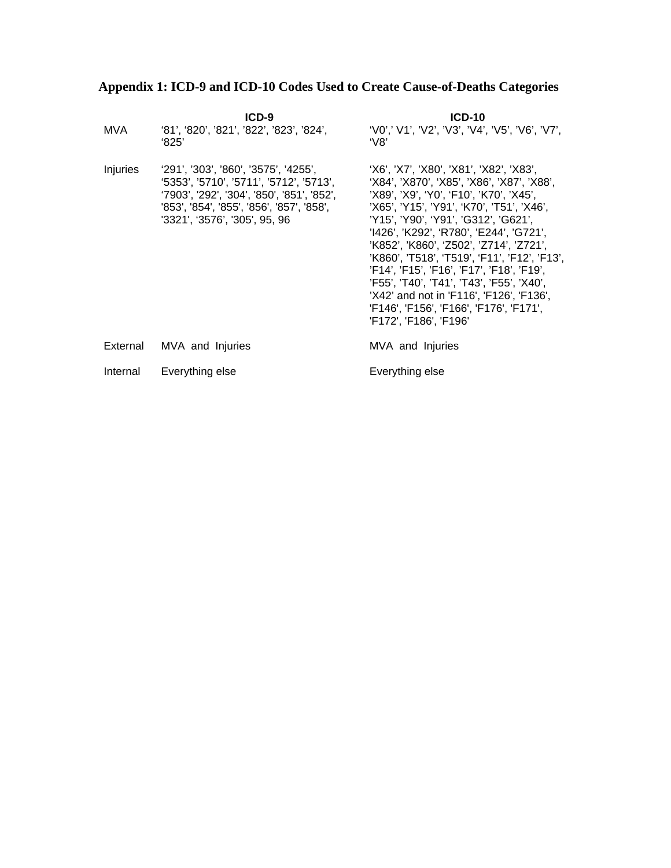## **Appendix 1: ICD-9 and ICD-10 Codes Used to Create Cause-of-Deaths Categories**

|          | ICD-9                                                                                                                                                                                                       | $ICD-10$                                                                                                                                                                                                                                                                                                                                                                                                                                                                                                                                                               |
|----------|-------------------------------------------------------------------------------------------------------------------------------------------------------------------------------------------------------------|------------------------------------------------------------------------------------------------------------------------------------------------------------------------------------------------------------------------------------------------------------------------------------------------------------------------------------------------------------------------------------------------------------------------------------------------------------------------------------------------------------------------------------------------------------------------|
| MVA      | '81', '820', '821', '822', '823', '824',<br>'825'                                                                                                                                                           | 'V0',' V1', 'V2', 'V3', 'V4', 'V5', 'V6', 'V7',<br>'V8'                                                                                                                                                                                                                                                                                                                                                                                                                                                                                                                |
| Injuries | '291', '303', '860', '3575', '4255',<br>'5353', '5710', '5711', '5712', '5713',<br>'7903', '292', '304', '850', '851', '852',<br>'853', '854', '855', '856', '857', '858',<br>'3321', '3576', '305', 95, 96 | 'X6', 'X7', 'X80', 'X81', 'X82', 'X83',<br>'X84', 'X870', 'X85', 'X86', 'X87', 'X88',<br>'X89', 'X9', 'Y0', 'F10', 'K70', 'X45',<br>'X65', 'Y15', 'Y91', 'K70', 'T51', 'X46',<br>'Y15', 'Y90', 'Y91', 'G312', 'G621',<br>'I426', 'K292', 'R780', 'E244', 'G721',<br>'K852', 'K860', 'Z502', 'Z714', 'Z721',<br>'K860', 'T518', 'T519', 'F11', 'F12', 'F13',<br>'F14', 'F15', 'F16', 'F17', 'F18', 'F19',<br>'F55', 'T40', 'T41', 'T43', 'F55', 'X40',<br>'X42' and not in 'F116', 'F126', 'F136',<br>'F146', 'F156', 'F166', 'F176', 'F171',<br>'F172', 'F186', 'F196' |
|          | External MVA and Injuries                                                                                                                                                                                   | MVA and Injuries                                                                                                                                                                                                                                                                                                                                                                                                                                                                                                                                                       |
| Internal | Everything else                                                                                                                                                                                             | Everything else                                                                                                                                                                                                                                                                                                                                                                                                                                                                                                                                                        |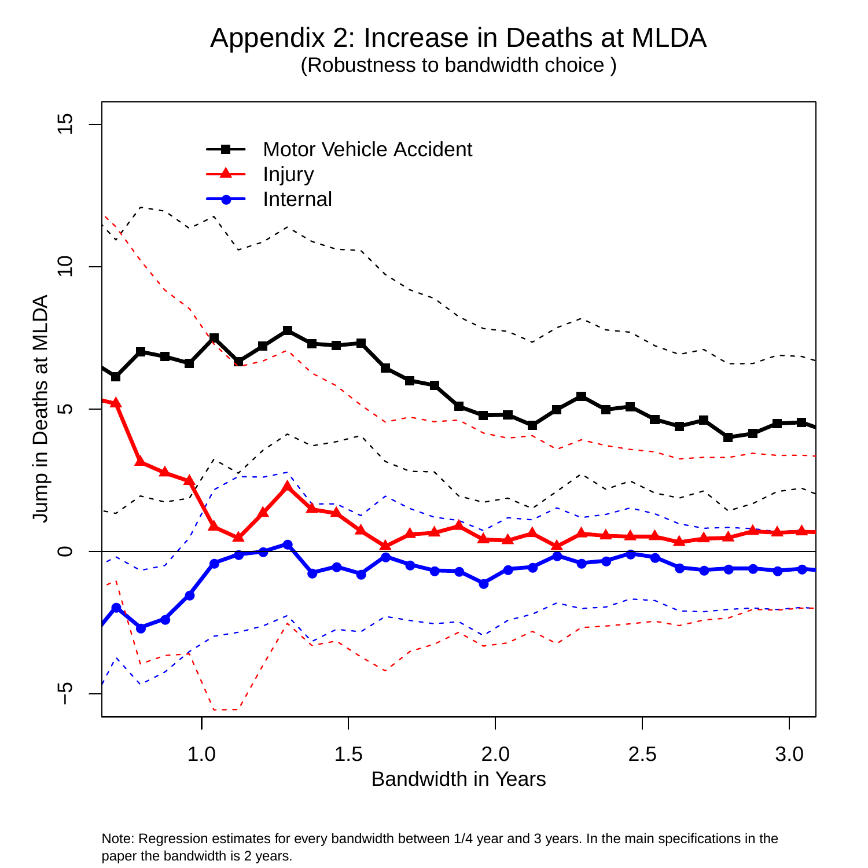### Appendix 2: Increase in Deaths at MLDA

(Robustness to bandwidth choice )



Note: Regression estimates for every bandwidth between 1/4 year and 3 years. In the main specifications in the paper the bandwidth is 2 years.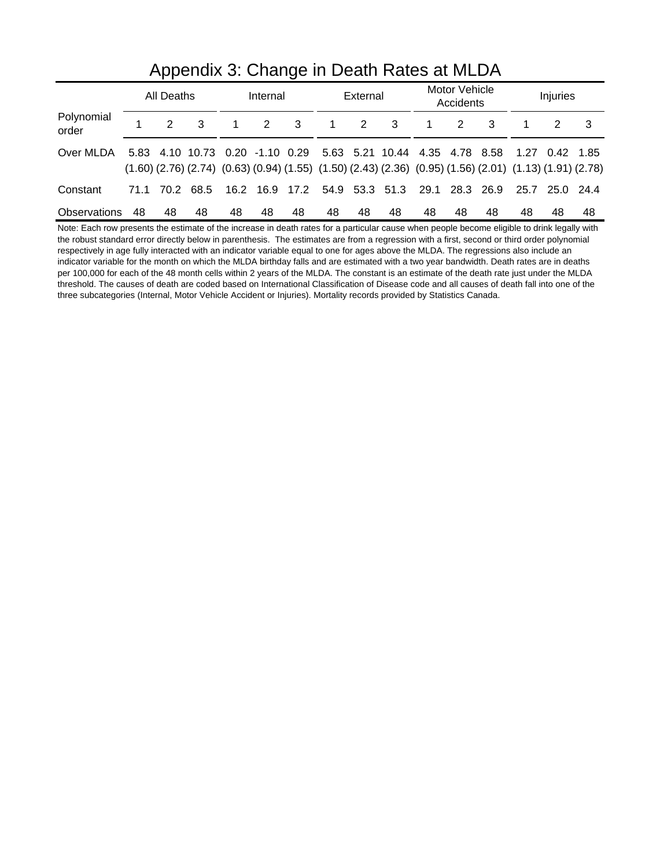|                     | All Deaths |    |           | Internal |    |                | External                                                                                                                                                                                                                |             |                               | Motor Vehicle<br>Accidents |               |    | <b>Injuries</b> |                |    |
|---------------------|------------|----|-----------|----------|----|----------------|-------------------------------------------------------------------------------------------------------------------------------------------------------------------------------------------------------------------------|-------------|-------------------------------|----------------------------|---------------|----|-----------------|----------------|----|
| Polynomial<br>order |            | 2  | 3         |          | 2  | - 3            | 1                                                                                                                                                                                                                       | $2^{\circ}$ | $\mathbf{3}$                  |                            | $\mathcal{P}$ | 3  |                 |                | -3 |
| Over MLDA           |            |    |           |          |    |                | 5.83 4.10 10.73 0.20 -1.10 0.29 5.63 5.21 10.44 4.35 4.78 8.58 1.27 0.42 1.85<br>$(1.60)$ $(2.76)$ $(2.74)$ $(0.63)$ $(0.94)$ $(1.55)$ $(1.50)$ $(2.43)$ $(2.36)$ $(0.95)$ $(1.56)$ $(2.01)$ $(1.13)$ $(1.91)$ $(2.78)$ |             |                               |                            |               |    |                 |                |    |
| Constant            | 71.1       |    | 70.2 68.5 |          |    | 16.2 16.9 17.2 |                                                                                                                                                                                                                         |             | 54.9 53.3 51.3 29.1 28.3 26.9 |                            |               |    |                 | 25.7 25.0 24.4 |    |
| <b>Observations</b> | 48         | 48 | 48        | 48       | 48 | 48             | 48                                                                                                                                                                                                                      | 48          | 48                            | 48                         | 48            | 48 | 48              | 48             | 48 |

## Appendix 3: Change in Death Rates at MLDA

Note: Each row presents the estimate of the increase in death rates for a particular cause when people become eligible to drink legally with the robust standard error directly below in parenthesis. The estimates are from a regression with a first, second or third order polynomial respectively in age fully interacted with an indicator variable equal to one for ages above the MLDA. The regressions also include an indicator variable for the month on which the MLDA birthday falls and are estimated with a two year bandwidth. Death rates are in deaths per 100,000 for each of the 48 month cells within 2 years of the MLDA. The constant is an estimate of the death rate just under the MLDA threshold. The causes of death are coded based on International Classification of Disease code and all causes of death fall into one of the three subcategories (Internal, Motor Vehicle Accident or Injuries). Mortality records provided by Statistics Canada.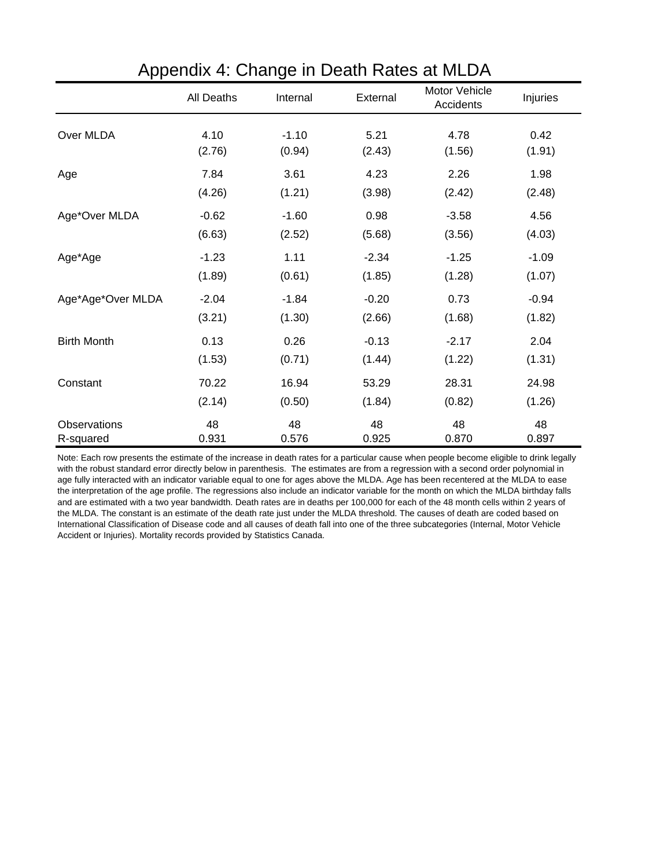|                    | All Deaths | Internal | External | Motor Vehicle<br>Accidents | Injuries |
|--------------------|------------|----------|----------|----------------------------|----------|
| Over MLDA          | 4.10       | $-1.10$  | 5.21     | 4.78                       | 0.42     |
|                    | (2.76)     | (0.94)   | (2.43)   | (1.56)                     | (1.91)   |
| Age                | 7.84       | 3.61     | 4.23     | 2.26                       | 1.98     |
|                    | (4.26)     | (1.21)   | (3.98)   | (2.42)                     | (2.48)   |
| Age*Over MLDA      | $-0.62$    | $-1.60$  | 0.98     | $-3.58$                    | 4.56     |
|                    | (6.63)     | (2.52)   | (5.68)   | (3.56)                     | (4.03)   |
| Age*Age            | $-1.23$    | 1.11     | $-2.34$  | $-1.25$                    | $-1.09$  |
|                    | (1.89)     | (0.61)   | (1.85)   | (1.28)                     | (1.07)   |
| Age*Age*Over MLDA  | $-2.04$    | $-1.84$  | $-0.20$  | 0.73                       | $-0.94$  |
|                    | (3.21)     | (1.30)   | (2.66)   | (1.68)                     | (1.82)   |
| <b>Birth Month</b> | 0.13       | 0.26     | $-0.13$  | $-2.17$                    | 2.04     |
|                    | (1.53)     | (0.71)   | (1.44)   | (1.22)                     | (1.31)   |
| Constant           | 70.22      | 16.94    | 53.29    | 28.31                      | 24.98    |
|                    | (2.14)     | (0.50)   | (1.84)   | (0.82)                     | (1.26)   |
| Observations       | 48         | 48       | 48       | 48                         | 48       |
| R-squared          | 0.931      | 0.576    | 0.925    | 0.870                      | 0.897    |

Appendix 4: Change in Death Rates at MLDA

Note: Each row presents the estimate of the increase in death rates for a particular cause when people become eligible to drink legally with the robust standard error directly below in parenthesis. The estimates are from a regression with a second order polynomial in age fully interacted with an indicator variable equal to one for ages above the MLDA. Age has been recentered at the MLDA to ease the interpretation of the age profile. The regressions also include an indicator variable for the month on which the MLDA birthday falls and are estimated with a two year bandwidth. Death rates are in deaths per 100,000 for each of the 48 month cells within 2 years of the MLDA. The constant is an estimate of the death rate just under the MLDA threshold. The causes of death are coded based on International Classification of Disease code and all causes of death fall into one of the three subcategories (Internal, Motor Vehicle Accident or Injuries). Mortality records provided by Statistics Canada.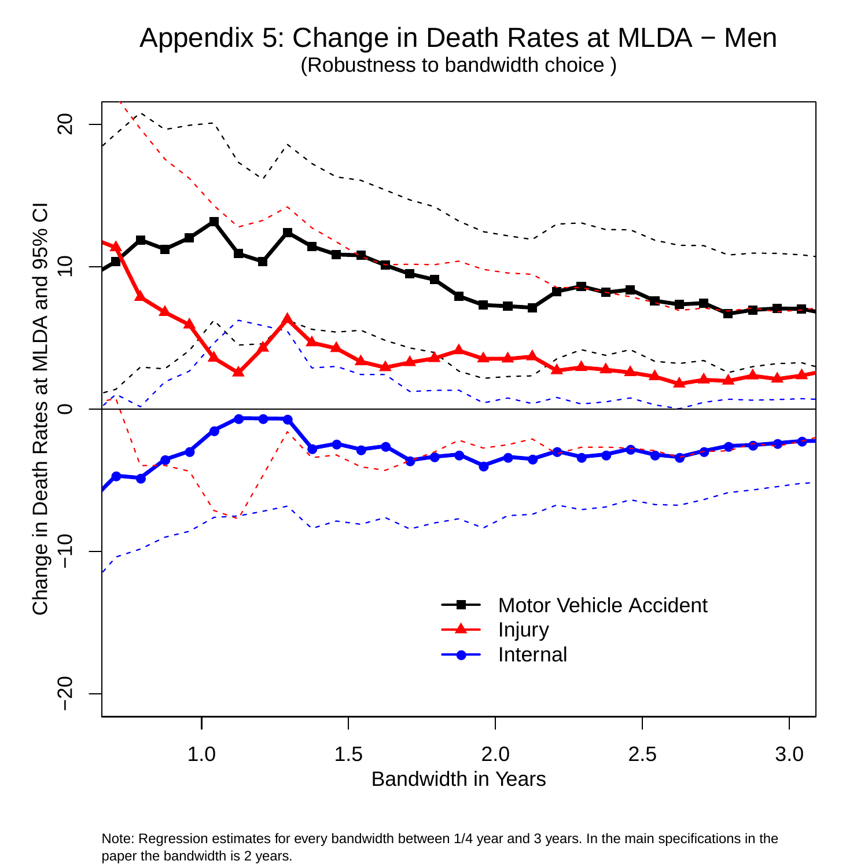# Appendix 5: Change in Death Rates at MLDA − Men

(Robustness to bandwidth choice )



Note: Regression estimates for every bandwidth between 1/4 year and 3 years. In the main specifications in the paper the bandwidth is 2 years.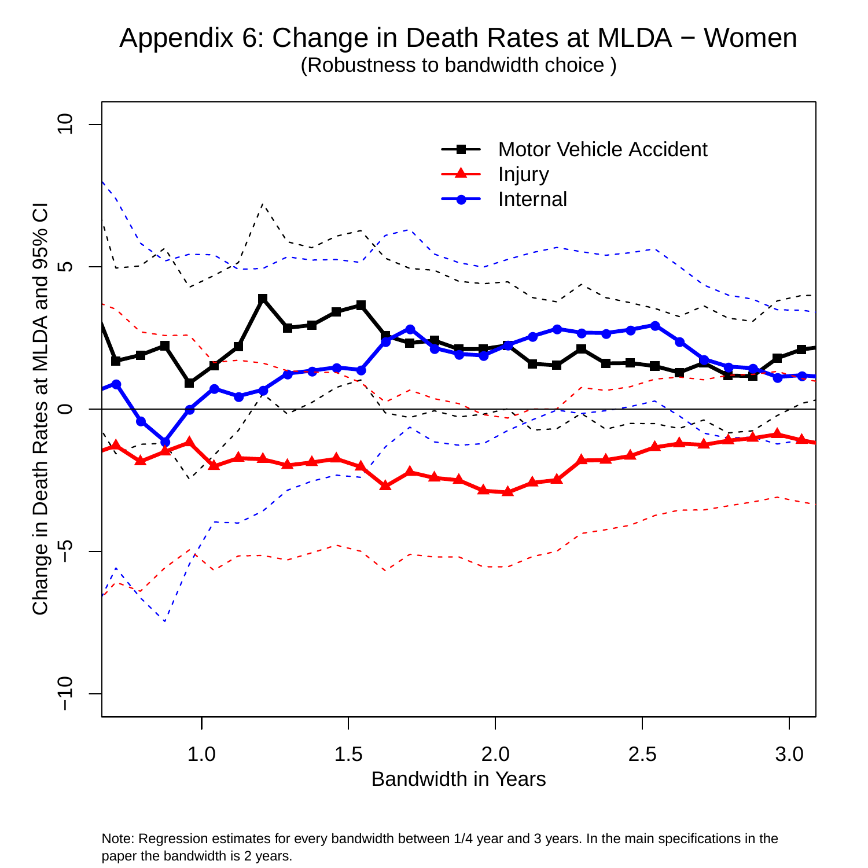

Note: Regression estimates for every bandwidth between 1/4 year and 3 years. In the main specifications in the paper the bandwidth is 2 years.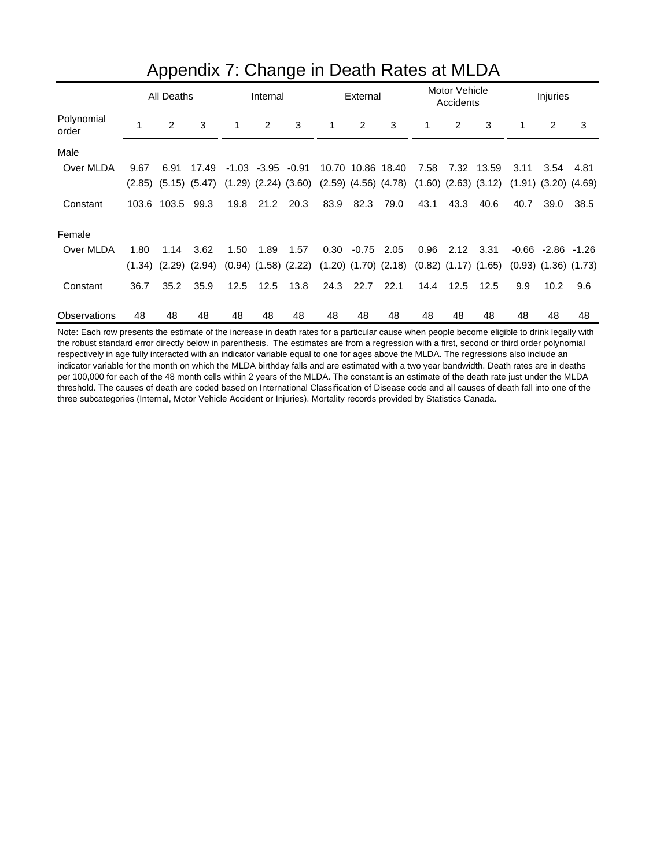|                     |        | All Deaths |                   |         | Internal       |                                                       |      | External          |                            |      | Motor Vehicle<br>Accidents |                            |         | <b>Injuries</b> |                            |  |
|---------------------|--------|------------|-------------------|---------|----------------|-------------------------------------------------------|------|-------------------|----------------------------|------|----------------------------|----------------------------|---------|-----------------|----------------------------|--|
| Polynomial<br>order |        | 2          | 3                 |         | $\overline{2}$ | 3                                                     | 1    | 2                 | 3                          |      | 2                          | 3                          | 1       | 2               | 3                          |  |
| Male                |        |            |                   |         |                |                                                       |      |                   |                            |      |                            |                            |         |                 |                            |  |
| Over MLDA           | 9.67   | 6.91       | 17.49             | $-1.03$ | $-3.95$        | $-0.91$                                               |      | 10.70 10.86 18.40 |                            | 7.58 | 7.32                       | 13.59                      | 3.11    | 3.54            | 4.81                       |  |
|                     | (2.85) |            | $(5.15)$ $(5.47)$ |         |                | $(1.29)$ $(2.24)$ $(3.60)$ $(2.59)$ $(4.56)$ $(4.78)$ |      |                   |                            |      |                            | $(1.60)$ $(2.63)$ $(3.12)$ |         |                 | $(1.91)$ $(3.20)$ $(4.69)$ |  |
| Constant            | 103.6  | 103.5      | 99.3              | 19.8    | 21.2           | 20.3                                                  | 83.9 | 82.3              | 79.0                       | 43.1 | 43.3                       | 40.6                       | 40.7    | 39.0            | 38.5                       |  |
| Female              |        |            |                   |         |                |                                                       |      |                   |                            |      |                            |                            |         |                 |                            |  |
| Over MLDA           | 1.80   | 1.14       | 3.62              | 1.50    | 1.89           | 1.57                                                  | 0.30 | $-0.75$           | 2.05                       | 0.96 | 2.12                       | 3.31                       | $-0.66$ | -2.86           | -1.26                      |  |
|                     | (1.34) |            | $(2.29)$ $(2.94)$ |         |                | $(0.94)$ $(1.58)$ $(2.22)$                            |      |                   | $(1.20)$ $(1.70)$ $(2.18)$ |      |                            | $(0.82)$ $(1.17)$ $(1.65)$ |         |                 | $(0.93)$ $(1.36)$ $(1.73)$ |  |
| Constant            | 36.7   | 35.2       | 35.9              | 12.5    | 12.5           | 13.8                                                  | 24.3 | 22.7              | 22.1                       | 14.4 | 12.5                       | 12.5                       | 9.9     | 10.2            | 9.6                        |  |
| Observations        | 48     | 48         | 48                | 48      | 48             | 48                                                    | 48   | 48                | 48                         | 48   | 48                         | 48                         | 48      | 48              | 48                         |  |

# Appendix 7: Change in Death Rates at MLDA

Note: Each row presents the estimate of the increase in death rates for a particular cause when people become eligible to drink legally with the robust standard error directly below in parenthesis. The estimates are from a regression with a first, second or third order polynomial respectively in age fully interacted with an indicator variable equal to one for ages above the MLDA. The regressions also include an indicator variable for the month on which the MLDA birthday falls and are estimated with a two year bandwidth. Death rates are in deaths per 100,000 for each of the 48 month cells within 2 years of the MLDA. The constant is an estimate of the death rate just under the MLDA threshold. The causes of death are coded based on International Classification of Disease code and all causes of death fall into one of the three subcategories (Internal, Motor Vehicle Accident or Injuries). Mortality records provided by Statistics Canada.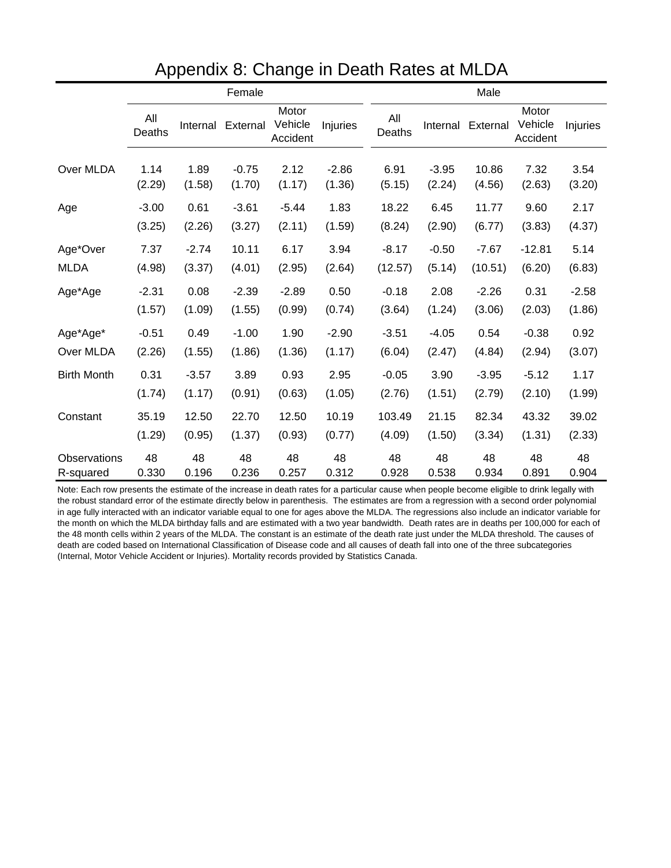|                           |                   |                   | Female            |                              |                   | Male |                    |                   |                    |                              |                   |
|---------------------------|-------------------|-------------------|-------------------|------------------------------|-------------------|------|--------------------|-------------------|--------------------|------------------------------|-------------------|
|                           | All<br>Deaths     | Internal          | External          | Motor<br>Vehicle<br>Accident | Injuries          |      | All<br>Deaths      | Internal          | External           | Motor<br>Vehicle<br>Accident | Injuries          |
| Over MLDA                 | 1.14<br>(2.29)    | 1.89<br>(1.58)    | $-0.75$<br>(1.70) | 2.12<br>(1.17)               | $-2.86$<br>(1.36) |      | 6.91<br>(5.15)     | $-3.95$<br>(2.24) | 10.86<br>(4.56)    | 7.32<br>(2.63)               | 3.54<br>(3.20)    |
| Age                       | $-3.00$<br>(3.25) | 0.61<br>(2.26)    | $-3.61$<br>(3.27) | $-5.44$<br>(2.11)            | 1.83<br>(1.59)    |      | 18.22<br>(8.24)    | 6.45<br>(2.90)    | 11.77<br>(6.77)    | 9.60<br>(3.83)               | 2.17<br>(4.37)    |
| Age*Over<br><b>MLDA</b>   | 7.37<br>(4.98)    | $-2.74$<br>(3.37) | 10.11<br>(4.01)   | 6.17<br>(2.95)               | 3.94<br>(2.64)    |      | $-8.17$<br>(12.57) | $-0.50$<br>(5.14) | $-7.67$<br>(10.51) | $-12.81$<br>(6.20)           | 5.14<br>(6.83)    |
| Age*Age                   | $-2.31$<br>(1.57) | 0.08<br>(1.09)    | $-2.39$<br>(1.55) | $-2.89$<br>(0.99)            | 0.50<br>(0.74)    |      | $-0.18$<br>(3.64)  | 2.08<br>(1.24)    | $-2.26$<br>(3.06)  | 0.31<br>(2.03)               | $-2.58$<br>(1.86) |
| Age*Age*<br>Over MLDA     | $-0.51$<br>(2.26) | 0.49<br>(1.55)    | $-1.00$<br>(1.86) | 1.90<br>(1.36)               | $-2.90$<br>(1.17) |      | $-3.51$<br>(6.04)  | $-4.05$<br>(2.47) | 0.54<br>(4.84)     | $-0.38$<br>(2.94)            | 0.92<br>(3.07)    |
| <b>Birth Month</b>        | 0.31<br>(1.74)    | $-3.57$<br>(1.17) | 3.89<br>(0.91)    | 0.93<br>(0.63)               | 2.95<br>(1.05)    |      | $-0.05$<br>(2.76)  | 3.90<br>(1.51)    | $-3.95$<br>(2.79)  | $-5.12$<br>(2.10)            | 1.17<br>(1.99)    |
| Constant                  | 35.19<br>(1.29)   | 12.50<br>(0.95)   | 22.70<br>(1.37)   | 12.50<br>(0.93)              | 10.19<br>(0.77)   |      | 103.49<br>(4.09)   | 21.15<br>(1.50)   | 82.34<br>(3.34)    | 43.32<br>(1.31)              | 39.02<br>(2.33)   |
| Observations<br>R-squared | 48<br>0.330       | 48<br>0.196       | 48<br>0.236       | 48<br>0.257                  | 48<br>0.312       |      | 48<br>0.928        | 48<br>0.538       | 48<br>0.934        | 48<br>0.891                  | 48<br>0.904       |

Appendix 8: Change in Death Rates at MLDA

Note: Each row presents the estimate of the increase in death rates for a particular cause when people become eligible to drink legally with the robust standard error of the estimate directly below in parenthesis. The estimates are from a regression with a second order polynomial in age fully interacted with an indicator variable equal to one for ages above the MLDA. The regressions also include an indicator variable for the month on which the MLDA birthday falls and are estimated with a two year bandwidth. Death rates are in deaths per 100,000 for each of the 48 month cells within 2 years of the MLDA. The constant is an estimate of the death rate just under the MLDA threshold. The causes of death are coded based on International Classification of Disease code and all causes of death fall into one of the three subcategories (Internal, Motor Vehicle Accident or Injuries). Mortality records provided by Statistics Canada.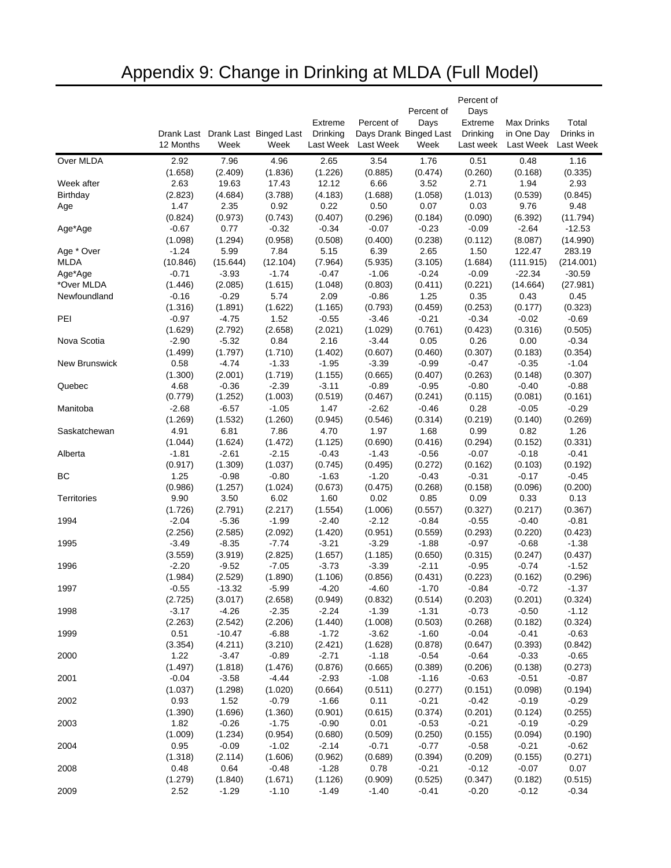# Appendix 9: Change in Drinking at MLDA (Full Model)

|                    |                 |                    |                                   |                    |                     |                        | Percent of         |                     |                    |
|--------------------|-----------------|--------------------|-----------------------------------|--------------------|---------------------|------------------------|--------------------|---------------------|--------------------|
|                    |                 |                    |                                   |                    |                     | Percent of             | Days               |                     |                    |
|                    |                 |                    |                                   | Extreme            | Percent of          | Days                   | Extreme            | Max Drinks          | Total              |
|                    |                 |                    | Drank Last Drank Last Binged Last | Drinking           |                     | Days Drank Binged Last | Drinking           | in One Day          | Drinks in          |
|                    | 12 Months       | Week               | Week                              |                    | Last Week Last Week | Week                   | Last week          | Last Week Last Week |                    |
| Over MLDA          | 2.92            | 7.96               | 4.96                              | 2.65               | 3.54                | 1.76                   | 0.51               | 0.48                | 1.16               |
|                    | (1.658)         | (2.409)            | (1.836)                           | (1.226)            | (0.885)             | (0.474)                | (0.260)            | (0.168)             | (0.335)            |
| Week after         | 2.63            | 19.63              | 17.43                             | 12.12              | 6.66                | 3.52                   | 2.71               | 1.94                | 2.93               |
| Birthday           | (2.823)         | (4.684)            | (3.788)                           | (4.183)            | (1.688)             | (1.058)                | (1.013)            | (0.539)             | (0.845)            |
| Age                | 1.47            | 2.35               | 0.92                              | 0.22               | 0.50                | 0.07                   | 0.03               | 9.76                | 9.48               |
|                    | (0.824)         | (0.973)            | (0.743)                           | (0.407)            | (0.296)             | (0.184)                | (0.090)            | (6.392)             | (11.794)           |
| Age*Age            | $-0.67$         | 0.77               | $-0.32$                           | $-0.34$            | $-0.07$             | $-0.23$                | $-0.09$            | $-2.64$             | $-12.53$           |
|                    | (1.098)         | (1.294)            | (0.958)                           | (0.508)            | (0.400)             | (0.238)                | (0.112)            | (8.087)             | (14.990)           |
| Age * Over         | $-1.24$         | 5.99               | 7.84                              | 5.15               | 6.39                | 2.65                   | 1.50               | 122.47              | 283.19             |
| <b>MLDA</b>        | (10.846)        | (15.644)           | (12.104)                          | (7.964)            | (5.935)             | (3.105)                | (1.684)            | (111.915)           | (214.001)          |
| Age*Age            | $-0.71$         | $-3.93$            | $-1.74$                           | $-0.47$            | $-1.06$             | $-0.24$                | $-0.09$            | -22.34              | $-30.59$           |
| *Over MLDA         | (1.446)         | (2.085)            | (1.615)                           | (1.048)            | (0.803)             | (0.411)                | (0.221)            | (14.664)            | (27.981)           |
| Newfoundland       | $-0.16$         | $-0.29$            | 5.74                              | 2.09               | $-0.86$             | 1.25                   | 0.35               | 0.43                | 0.45               |
|                    | (1.316)         | (1.891)            | (1.622)                           | (1.165)            | (0.793)             | (0.459)                | (0.253)            | (0.177)             | (0.323)            |
| PEI                | $-0.97$         | $-4.75$            | 1.52                              | $-0.55$            | $-3.46$             | $-0.21$                | $-0.34$            | $-0.02$             | $-0.69$            |
|                    | (1.629)         | (2.792)            | (2.658)                           | (2.021)            | (1.029)             | (0.761)                | (0.423)            | (0.316)             | (0.505)            |
| Nova Scotia        | $-2.90$         | $-5.32$            | 0.84                              | 2.16               | $-3.44$             | 0.05                   | 0.26               | 0.00                | $-0.34$            |
|                    | (1.499)         | (1.797)            | (1.710)                           | (1.402)            | (0.607)             | (0.460)                | (0.307)            | (0.183)             | (0.354)            |
| New Brunswick      | 0.58            | $-4.74$            | $-1.33$                           | $-1.95$            | $-3.39$             | $-0.99$                | $-0.47$            | $-0.35$             | $-1.04$            |
|                    | (1.300)         | (2.001)            | (1.719)                           | (1.155)            | (0.665)             | (0.407)                | (0.263)            | (0.148)             | (0.307)            |
| Quebec             | 4.68            | $-0.36$            | $-2.39$                           | $-3.11$            | $-0.89$             | $-0.95$                | $-0.80$            | $-0.40$             | $-0.88$            |
|                    | (0.779)         | (1.252)            | (1.003)                           | (0.519)            | (0.467)             | (0.241)                | (0.115)            | (0.081)             | (0.161)            |
| Manitoba           | $-2.68$         | $-6.57$            | $-1.05$                           | 1.47               | $-2.62$             | $-0.46$                | 0.28               | $-0.05$             | $-0.29$            |
|                    | (1.269)         | (1.532)            | (1.260)                           | (0.945)            | (0.546)             | (0.314)                | (0.219)            | (0.140)             | (0.269)            |
| Saskatchewan       | 4.91            | 6.81               | 7.86                              | 4.70               | 1.97                | 1.68                   | 0.99               | 0.82                | 1.26               |
|                    | (1.044)         | (1.624)            | (1.472)                           | (1.125)            | (0.690)             | (0.416)                | (0.294)            | (0.152)             | (0.331)            |
| Alberta            | $-1.81$         | $-2.61$            | $-2.15$                           | $-0.43$            | $-1.43$             | $-0.56$                | $-0.07$            | $-0.18$             | $-0.41$            |
|                    |                 |                    |                                   |                    |                     |                        |                    |                     |                    |
| BС                 | (0.917)<br>1.25 | (1.309)<br>$-0.98$ | (1.037)<br>$-0.80$                | (0.745)<br>$-1.63$ | (0.495)<br>$-1.20$  | (0.272)<br>$-0.43$     | (0.162)<br>$-0.31$ | (0.103)<br>$-0.17$  | (0.192)<br>$-0.45$ |
|                    |                 |                    |                                   |                    |                     |                        |                    |                     |                    |
|                    | (0.986)         | (1.257)            | (1.024)                           | (0.673)            | (0.475)             | (0.268)                | (0.158)            | (0.096)             | (0.200)            |
| <b>Territories</b> | 9.90            | 3.50               | 6.02                              | 1.60               | 0.02                | 0.85                   | 0.09               | 0.33                | 0.13               |
|                    | (1.726)         | (2.791)            | (2.217)                           | (1.554)            | (1.006)             | (0.557)                | (0.327)            | (0.217)             | (0.367)            |
| 1994               | $-2.04$         | $-5.36$            | $-1.99$                           | $-2.40$            | $-2.12$             | $-0.84$                | $-0.55$            | $-0.40$             | $-0.81$            |
|                    | (2.256)         | (2.585)            | (2.092)                           | (1.420)            | (0.951)             | (0.559)                | (0.293)            | (0.220)             | (0.423)            |
| 1995               | $-3.49$         | $-8.35$            | $-7.74$                           | $-3.21$            | $-3.29$             | $-1.88$                | $-0.97$            | $-0.68$             | $-1.38$            |
|                    | (3.559)         | (3.919)            | (2.825)                           | (1.657)            | (1.185)             | (0.650)                | (0.315)            | (0.247)             | (0.437)            |
| 1996               | $-2.20$         | $-9.52$            | $-7.05$                           | $-3.73$            | $-3.39$             | $-2.11$                | $-0.95$            | $-0.74$             | $-1.52$            |
|                    | (1.984)         | (2.529)            | (1.890)                           | (1.106)            | (0.856)             | (0.431)                | (0.223)            | (0.162)             | (0.296)            |
| 1997               | $-0.55$         | $-13.32$           | $-5.99$                           | $-4.20$            | $-4.60$             | $-1.70$                | $-0.84$            | $-0.72$             | $-1.37$            |
|                    | (2.725)         | (3.017)            | (2.658)                           | (0.949)            | (0.832)             | (0.514)                | (0.203)            | (0.201)             | (0.324)            |
| 1998               | $-3.17$         | $-4.26$            | $-2.35$                           | $-2.24$            | $-1.39$             | $-1.31$                | $-0.73$            | $-0.50$             | $-1.12$            |
|                    | (2.263)         | (2.542)            | (2.206)                           | (1.440)            | (1.008)             | (0.503)                | (0.268)            | (0.182)             | (0.324)            |
| 1999               | 0.51            | $-10.47$           | $-6.88$                           | $-1.72$            | $-3.62$             | $-1.60$                | $-0.04$            | $-0.41$             | $-0.63$            |
|                    | (3.354)         | (4.211)            | (3.210)                           | (2.421)            | (1.628)             | (0.878)                | (0.647)            | (0.393)             | (0.842)            |
| 2000               | 1.22            | $-3.47$            | $-0.89$                           | $-2.71$            | $-1.18$             | $-0.54$                | $-0.64$            | $-0.33$             | $-0.65$            |
|                    | (1.497)         | (1.818)            | (1.476)                           | (0.876)            | (0.665)             | (0.389)                | (0.206)            | (0.138)             | (0.273)            |
| 2001               | $-0.04$         | $-3.58$            | $-4.44$                           | $-2.93$            | $-1.08$             | $-1.16$                | $-0.63$            | $-0.51$             | $-0.87$            |
|                    | (1.037)         | (1.298)            | (1.020)                           | (0.664)            | (0.511)             | (0.277)                | (0.151)            | (0.098)             | (0.194)            |
| 2002               | 0.93            | 1.52               | $-0.79$                           | $-1.66$            | 0.11                | $-0.21$                | $-0.42$            | $-0.19$             | $-0.29$            |
|                    | (1.390)         | (1.696)            | (1.360)                           | (0.901)            | (0.615)             | (0.374)                | (0.201)            | (0.124)             | (0.255)            |
| 2003               | 1.82            | $-0.26$            | $-1.75$                           | $-0.90$            | 0.01                | $-0.53$                | $-0.21$            | $-0.19$             | $-0.29$            |
|                    | (1.009)         | (1.234)            | (0.954)                           | (0.680)            | (0.509)             | (0.250)                | (0.155)            | (0.094)             | (0.190)            |
| 2004               | 0.95            | $-0.09$            | $-1.02$                           | $-2.14$            | $-0.71$             | $-0.77$                | $-0.58$            | $-0.21$             | $-0.62$            |
|                    | (1.318)         | (2.114)            | (1.606)                           | (0.962)            | (0.689)             | (0.394)                | (0.209)            | (0.155)             | (0.271)            |
| 2008               | 0.48            | 0.64               | $-0.48$                           | $-1.28$            | 0.78                | $-0.21$                | $-0.12$            | $-0.07$             | 0.07               |
|                    | (1.279)         | (1.840)            | (1.671)                           | (1.126)            | (0.909)             | (0.525)                | (0.347)            | (0.182)             | (0.515)            |
| 2009               | 2.52            | $-1.29$            | $-1.10$                           | $-1.49$            | $-1.40$             | $-0.41$                | $-0.20$            | $-0.12$             | $-0.34$            |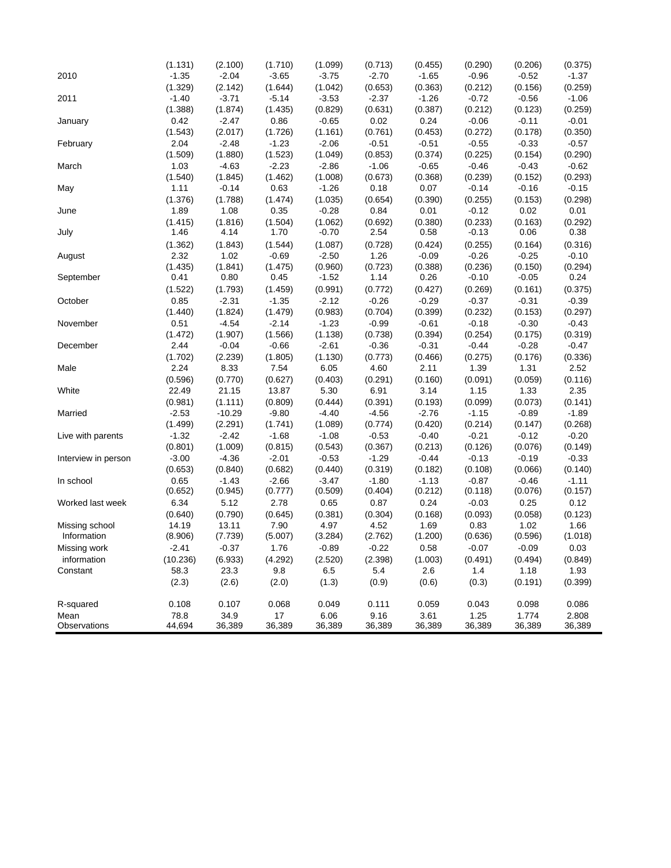|                               | (1.131)          | (2.100)          | (1.710)         | (1.099)         | (0.713)         | (0.455)         | (0.290)         | (0.206)         | (0.375)         |
|-------------------------------|------------------|------------------|-----------------|-----------------|-----------------|-----------------|-----------------|-----------------|-----------------|
| 2010                          | $-1.35$          | $-2.04$          | $-3.65$         | $-3.75$         | $-2.70$         | $-1.65$         | $-0.96$         | $-0.52$         | $-1.37$         |
|                               | (1.329)          | (2.142)          | (1.644)         | (1.042)         | (0.653)         | (0.363)         | (0.212)         | (0.156)         | (0.259)         |
| 2011                          | $-1.40$          | $-3.71$          | $-5.14$         | $-3.53$         | $-2.37$         | $-1.26$         | $-0.72$         | $-0.56$         | $-1.06$         |
|                               | (1.388)          | (1.874)          | (1.435)         | (0.829)         | (0.631)         | (0.387)         | (0.212)         | (0.123)         | (0.259)         |
| January                       | 0.42             | $-2.47$          | 0.86            | $-0.65$         | 0.02            | 0.24            | $-0.06$         | $-0.11$         | $-0.01$         |
|                               | (1.543)          | (2.017)          | (1.726)         | (1.161)         | (0.761)         | (0.453)         | (0.272)         | (0.178)         | (0.350)         |
| February                      | 2.04             | $-2.48$          | $-1.23$         | $-2.06$         | $-0.51$         | $-0.51$         | $-0.55$         | $-0.33$         | $-0.57$         |
|                               | (1.509)          | (1.880)          | (1.523)         | (1.049)         | (0.853)         | (0.374)         | (0.225)         | (0.154)         | (0.290)         |
| March                         | 1.03             | $-4.63$          | $-2.23$         | $-2.86$         | $-1.06$         | $-0.65$         | $-0.46$         | $-0.43$         | $-0.62$         |
|                               | (1.540)          | (1.845)          | (1.462)         | (1.008)         | (0.673)         | (0.368)         | (0.239)         | (0.152)         | (0.293)         |
| May                           | 1.11             | $-0.14$          | 0.63            | $-1.26$         | 0.18            | 0.07            | $-0.14$         | $-0.16$         | $-0.15$         |
|                               | (1.376)          | (1.788)          | (1.474)         | (1.035)         | (0.654)         | (0.390)         | (0.255)         | (0.153)         | (0.298)         |
| June                          | 1.89             | 1.08             | 0.35            | $-0.28$         | 0.84            | 0.01            | $-0.12$         | 0.02            | 0.01            |
|                               | (1.415)          | (1.816)          | (1.504)         | (1.062)         | (0.692)         | (0.380)         | (0.233)         | (0.163)         | (0.292)         |
| July                          | 1.46             | 4.14             | 1.70            | $-0.70$         | 2.54            | 0.58            | $-0.13$         | 0.06            | 0.38            |
|                               | (1.362)          | (1.843)          | (1.544)         | (1.087)         | (0.728)         | (0.424)         | (0.255)         | (0.164)         | (0.316)         |
| August                        | 2.32             | 1.02             | $-0.69$         | $-2.50$         | 1.26            | $-0.09$         | $-0.26$         | $-0.25$         | $-0.10$         |
|                               | (1.435)          | (1.841)          | (1.475)         | (0.960)         | (0.723)         | (0.388)         | (0.236)         | (0.150)         | (0.294)         |
| September                     | 0.41             | 0.80             | 0.45            | $-1.52$         | 1.14            | 0.26            | $-0.10$         | $-0.05$         | 0.24            |
|                               | (1.522)          | (1.793)          | (1.459)         | (0.991)         | (0.772)         | (0.427)         | (0.269)         | (0.161)         | (0.375)         |
| October                       | 0.85             | $-2.31$          | $-1.35$         | $-2.12$         | $-0.26$         | $-0.29$         | $-0.37$         | $-0.31$         | $-0.39$         |
|                               | (1.440)          | (1.824)          | (1.479)         | (0.983)         | (0.704)         | (0.399)         | (0.232)         | (0.153)         | (0.297)         |
| November                      | 0.51             | $-4.54$          | $-2.14$         | $-1.23$         | $-0.99$         | $-0.61$         | $-0.18$         | $-0.30$         | $-0.43$         |
|                               | (1.472)          | (1.907)          | (1.566)         | (1.138)         | (0.738)         | (0.394)         | (0.254)         | (0.175)         | (0.319)         |
| December                      | 2.44             | $-0.04$          | $-0.66$         | $-2.61$         | $-0.36$         | $-0.31$         | $-0.44$         | $-0.28$         | $-0.47$         |
|                               | (1.702)          | (2.239)          | (1.805)         | (1.130)         | (0.773)         | (0.466)         | (0.275)         | (0.176)         | (0.336)         |
| Male                          | 2.24             | 8.33             | 7.54            | 6.05            | 4.60            | 2.11            | 1.39            | 1.31            | 2.52            |
|                               | (0.596)          | (0.770)          | (0.627)         | (0.403)         | (0.291)         | (0.160)         | (0.091)         | (0.059)         | (0.116)         |
| White                         | 22.49            | 21.15            | 13.87           | 5.30            | 6.91            | 3.14            | 1.15            | 1.33            | 2.35            |
|                               | (0.981)          | (1.111)          | (0.809)         | (0.444)         | (0.391)         | (0.193)         | (0.099)         | (0.073)         | (0.141)         |
| Married                       | $-2.53$          | $-10.29$         | $-9.80$         | $-4.40$         | $-4.56$         | $-2.76$         | $-1.15$         | $-0.89$         | $-1.89$         |
|                               | (1.499)          | (2.291)          | (1.741)         | (1.089)         | (0.774)         | (0.420)         | (0.214)         | (0.147)         | (0.268)         |
| Live with parents             | $-1.32$          | $-2.42$          | $-1.68$         | $-1.08$         | $-0.53$         | $-0.40$         | $-0.21$         | $-0.12$         | $-0.20$         |
|                               | (0.801)          | (1.009)          | (0.815)         | (0.543)         | (0.367)         | (0.213)         | (0.126)         | (0.076)         | (0.149)         |
| Interview in person           | $-3.00$          | $-4.36$          | $-2.01$         | $-0.53$         | $-1.29$         | $-0.44$         | $-0.13$         | $-0.19$         | $-0.33$         |
|                               | (0.653)          | (0.840)          | (0.682)         | (0.440)         | (0.319)         | (0.182)         | (0.108)         | (0.066)         | (0.140)         |
| In school                     | 0.65             | $-1.43$          | $-2.66$         | $-3.47$         | $-1.80$         | $-1.13$         | $-0.87$         | $-0.46$         | $-1.11$         |
|                               | (0.652)          | (0.945)          | (0.777)         | (0.509)         | (0.404)         | (0.212)         | (0.118)         | (0.076)         | (0.157)         |
| Worked last week              | 6.34             | 5.12             | 2.78            | 0.65            | 0.87            | 0.24            | $-0.03$         | 0.25            | 0.12            |
|                               | (0.640)          | (0.790)          | (0.645)         | (0.381)         | (0.304)         | (0.168)         | (0.093)         | (0.058)         | (0.123)         |
| Missing school<br>Information | 14.19<br>(8.906) | 13.11<br>(7.739) | 7.90<br>(5.007) | 4.97<br>(3.284) | 4.52<br>(2.762) | 1.69<br>(1.200) | 0.83<br>(0.636) | 1.02<br>(0.596) | 1.66<br>(1.018) |
|                               | $-2.41$          | $-0.37$          | 1.76            |                 | $-0.22$         | 0.58            | $-0.07$         |                 | 0.03            |
| Missing work                  |                  |                  |                 | $-0.89$         |                 |                 |                 | $-0.09$         |                 |
| information                   | (10.236)         | (6.933)          | (4.292)         | (2.520)         | (2.398)         | (1.003)         | (0.491)         | (0.494)         | (0.849)         |
| Constant                      | 58.3             | 23.3             | 9.8             | 6.5             | 5.4             | 2.6             | 1.4             | 1.18            | 1.93            |
|                               | (2.3)            | (2.6)            | (2.0)           | (1.3)           | (0.9)           | (0.6)           | (0.3)           | (0.191)         | (0.399)         |
| R-squared                     | 0.108            | 0.107            | 0.068           | 0.049           | 0.111           | 0.059           | 0.043           | 0.098           | 0.086           |
| Mean                          | 78.8             | 34.9             | 17              | 6.06            | 9.16            | 3.61            | 1.25            | 1.774           | 2.808           |
| Observations                  | 44,694           | 36,389           | 36,389          | 36,389          | 36,389          | 36,389          | 36,389          | 36,389          | 36,389          |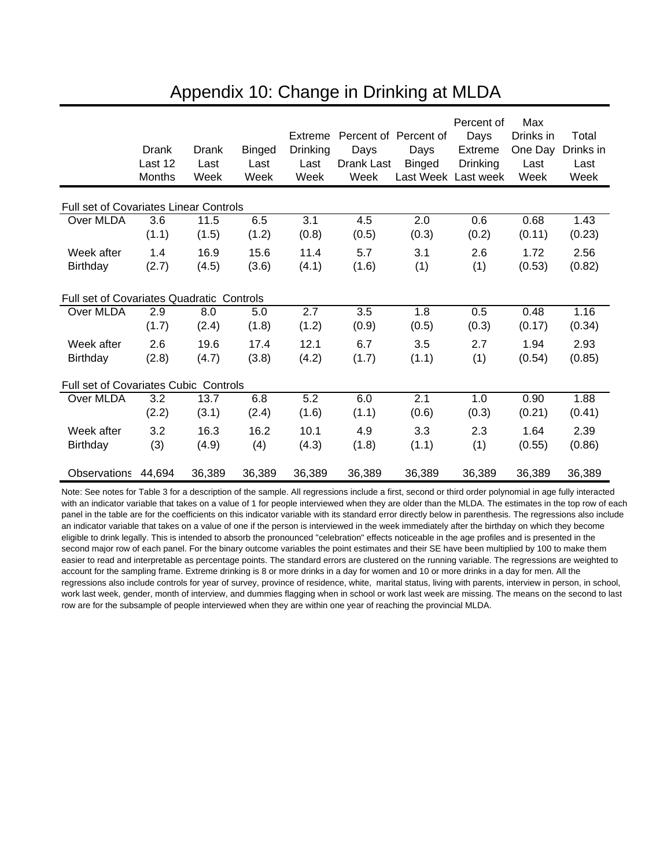|                                               | Drank<br>Last 12<br>Months | <b>Drank</b><br>Last<br>Week | <b>Binged</b><br>Last<br>Week | Extreme<br><b>Drinking</b><br>Last<br>Week | Days<br>Drank Last<br>Week | Percent of Percent of<br>Days<br><b>Binged</b><br>Last Week Last week | Percent of<br>Days<br>Extreme<br><b>Drinking</b> | Max<br>Drinks in<br>One Day<br>Last<br>Week | Total<br>Drinks in<br>Last<br>Week |
|-----------------------------------------------|----------------------------|------------------------------|-------------------------------|--------------------------------------------|----------------------------|-----------------------------------------------------------------------|--------------------------------------------------|---------------------------------------------|------------------------------------|
| <b>Full set of Covariates Linear Controls</b> |                            |                              |                               |                                            |                            |                                                                       |                                                  |                                             |                                    |
| Over MLDA                                     | 3.6                        | 11.5                         | 6.5                           | 3.1                                        | 4.5                        | 2.0                                                                   | 0.6                                              | 0.68                                        | 1.43                               |
|                                               | (1.1)                      | (1.5)                        | (1.2)                         | (0.8)                                      | (0.5)                      | (0.3)                                                                 | (0.2)                                            | (0.11)                                      | (0.23)                             |
| Week after                                    | 1.4                        | 16.9                         | 15.6                          | 11.4                                       | 5.7                        | 3.1                                                                   | 2.6                                              | 1.72                                        | 2.56                               |
| Birthday                                      | (2.7)                      | (4.5)                        | (3.6)                         | (4.1)                                      | (1.6)                      | (1)                                                                   | (1)                                              | (0.53)                                      | (0.82)                             |
| Full set of Covariates Quadratic Controls     |                            |                              |                               |                                            |                            |                                                                       |                                                  |                                             |                                    |
| Over MLDA                                     | 2.9                        | 8.0                          | 5.0                           | 2.7                                        | 3.5                        | 1.8                                                                   | 0.5                                              | 0.48                                        | 1.16                               |
|                                               | (1.7)                      | (2.4)                        | (1.8)                         | (1.2)                                      | (0.9)                      | (0.5)                                                                 | (0.3)                                            | (0.17)                                      | (0.34)                             |
| Week after                                    | 2.6                        | 19.6                         | 17.4                          | 12.1                                       | 6.7                        | 3.5                                                                   | 2.7                                              | 1.94                                        | 2.93                               |
| Birthday                                      | (2.8)                      | (4.7)                        | (3.8)                         | (4.2)                                      | (1.7)                      | (1.1)                                                                 | (1)                                              | (0.54)                                      | (0.85)                             |
| Full set of Covariates Cubic Controls         |                            |                              |                               |                                            |                            |                                                                       |                                                  |                                             |                                    |
| Over MLDA                                     | 3.2                        | 13.7                         | 6.8                           | 5.2                                        | 6.0                        | 2.1                                                                   | 1.0                                              | 0.90                                        | 1.88                               |
|                                               | (2.2)                      | (3.1)                        | (2.4)                         | (1.6)                                      | (1.1)                      | (0.6)                                                                 | (0.3)                                            | (0.21)                                      | (0.41)                             |
| Week after                                    | 3.2                        | 16.3                         | 16.2                          | 10.1                                       | 4.9                        | 3.3                                                                   | 2.3                                              | 1.64                                        | 2.39                               |
| Birthday                                      | (3)                        | (4.9)                        | (4)                           | (4.3)                                      | (1.8)                      | (1.1)                                                                 | (1)                                              | (0.55)                                      | (0.86)                             |
| Observations                                  | 44,694                     | 36,389                       | 36,389                        | 36,389                                     | 36,389                     | 36,389                                                                | 36,389                                           | 36,389                                      | 36,389                             |

## Appendix 10: Change in Drinking at MLDA

Note: See notes for Table 3 for a description of the sample. All regressions include a first, second or third order polynomial in age fully interacted with an indicator variable that takes on a value of 1 for people interviewed when they are older than the MLDA. The estimates in the top row of each panel in the table are for the coefficients on this indicator variable with its standard error directly below in parenthesis. The regressions also include an indicator variable that takes on a value of one if the person is interviewed in the week immediately after the birthday on which they become eligible to drink legally. This is intended to absorb the pronounced "celebration" effects noticeable in the age profiles and is presented in the second major row of each panel. For the binary outcome variables the point estimates and their SE have been multiplied by 100 to make them easier to read and interpretable as percentage points. The standard errors are clustered on the running variable. The regressions are weighted to account for the sampling frame. Extreme drinking is 8 or more drinks in a day for women and 10 or more drinks in a day for men. All the regressions also include controls for year of survey, province of residence, white, marital status, living with parents, interview in person, in school, work last week, gender, month of interview, and dummies flagging when in school or work last week are missing. The means on the second to last row are for the subsample of people interviewed when they are within one year of reaching the provincial MLDA.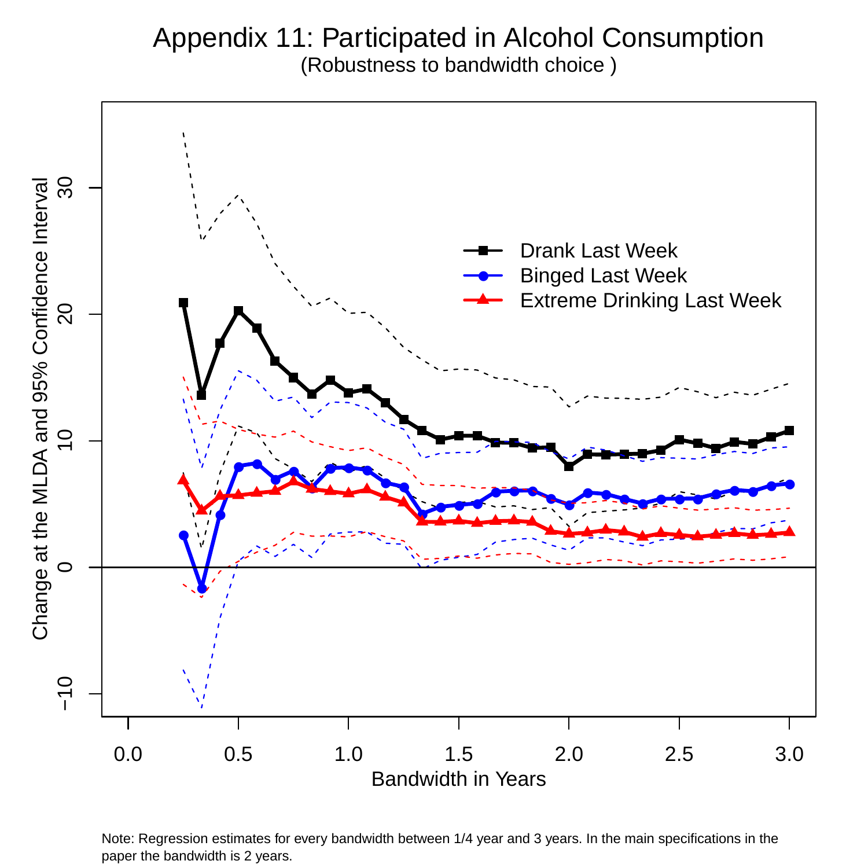#### Appendix 11: Participated in Alcohol Consumption (Robustness to bandwidth choice )



Note: Regression estimates for every bandwidth between 1/4 year and 3 years. In the main specifications in the paper the bandwidth is 2 years.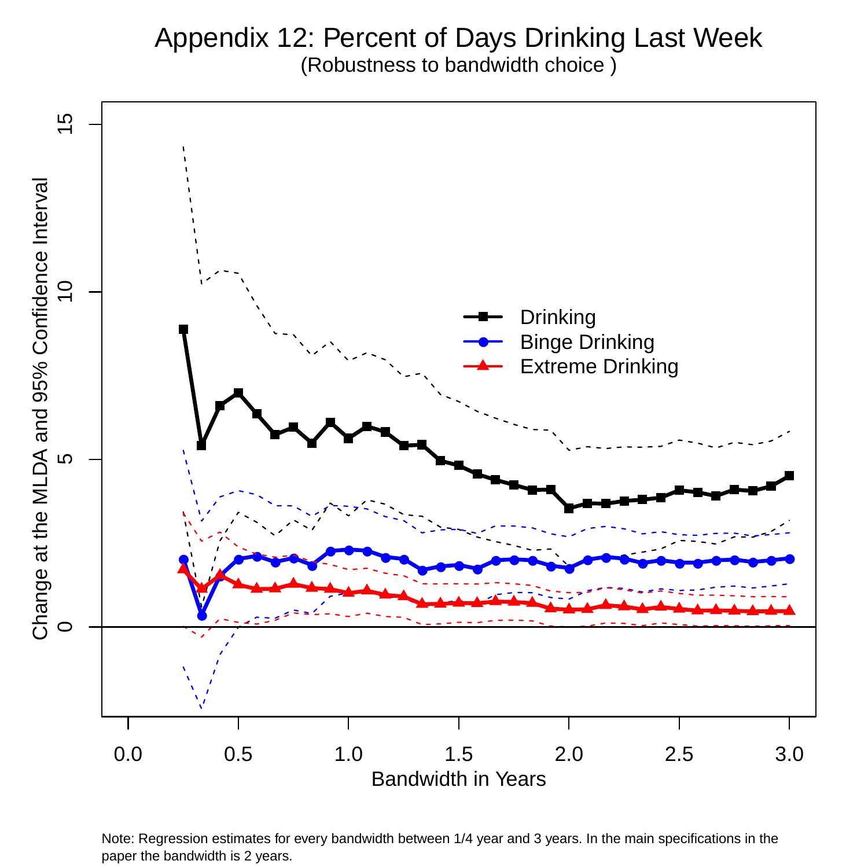# Appendix 12: Percent of Days Drinking Last Week

(Robustness to bandwidth choice )



Note: Regression estimates for every bandwidth between 1/4 year and 3 years. In the main specifications in the paper the bandwidth is 2 years.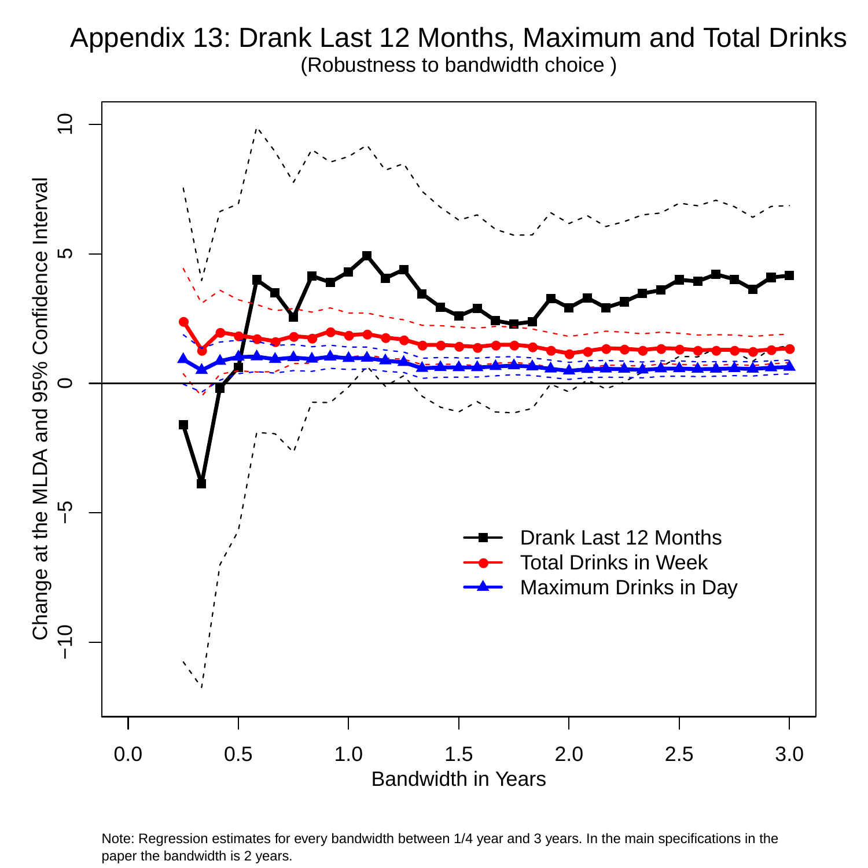#### Appendix 13: Drank Last 12 Months, Maximum and Total Drinks (Robustness to bandwidth choice )



Note: Regression estimates for every bandwidth between 1/4 year and 3 years. In the main specifications in the paper the bandwidth is 2 years.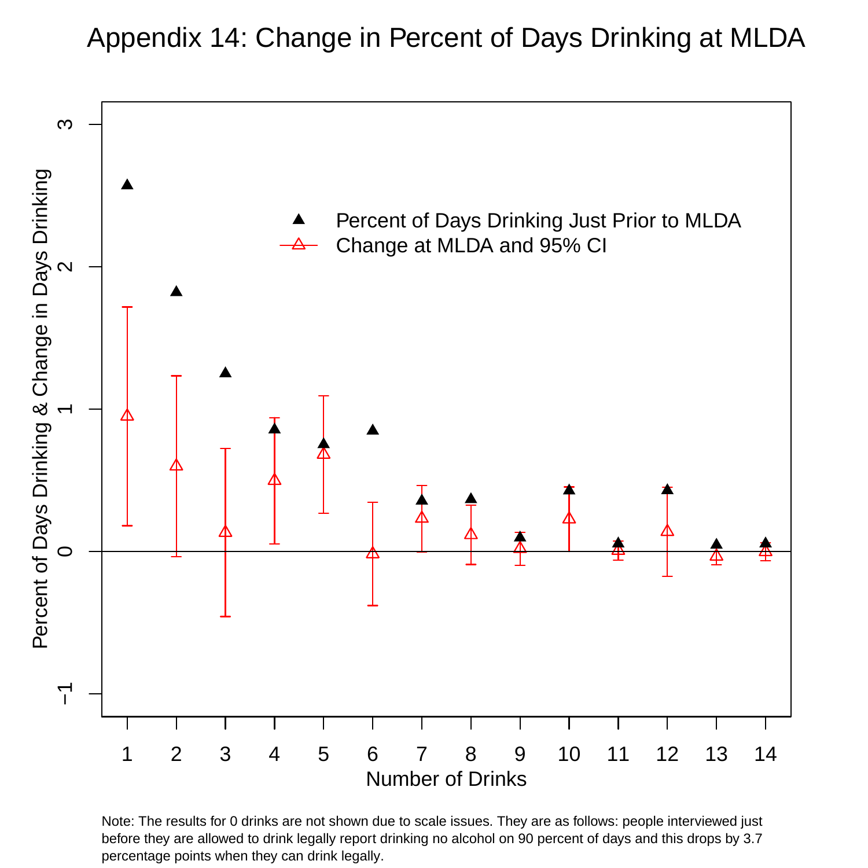#### Appendix 14: Change in Percent of Days Drinking at MLDA



Note: The results for 0 drinks are not shown due to scale issues. They are as follows: people interviewed just before they are allowed to drink legally report drinking no alcohol on 90 percent of days and this drops by 3.7 percentage points when they can drink legally.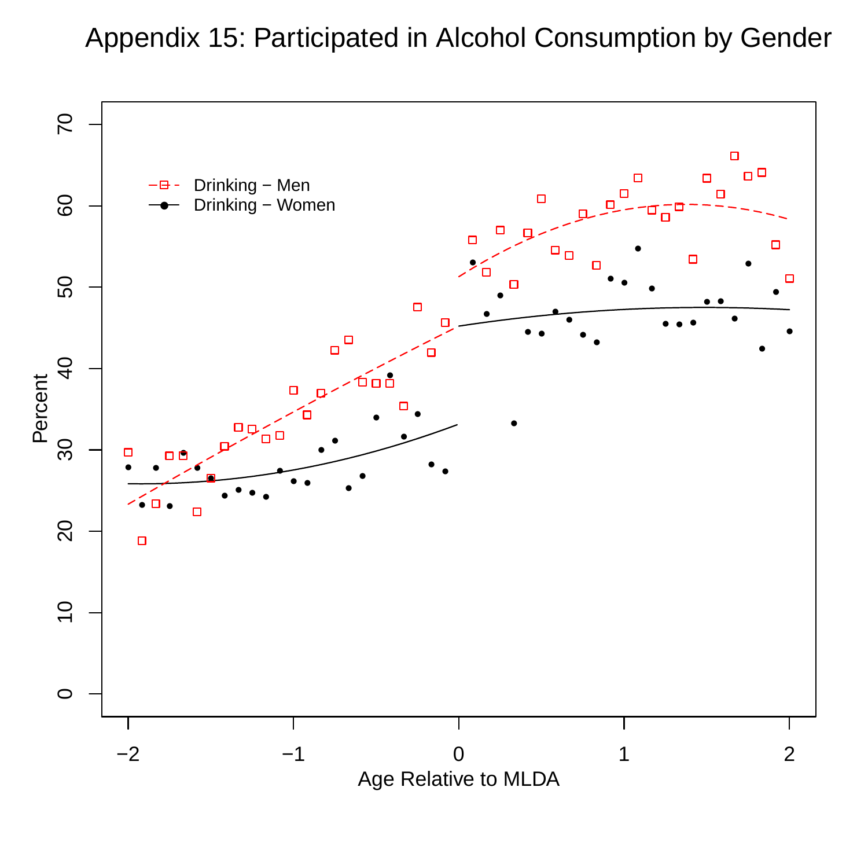# Appendix 15: Participated in Alcohol Consumption by Gender

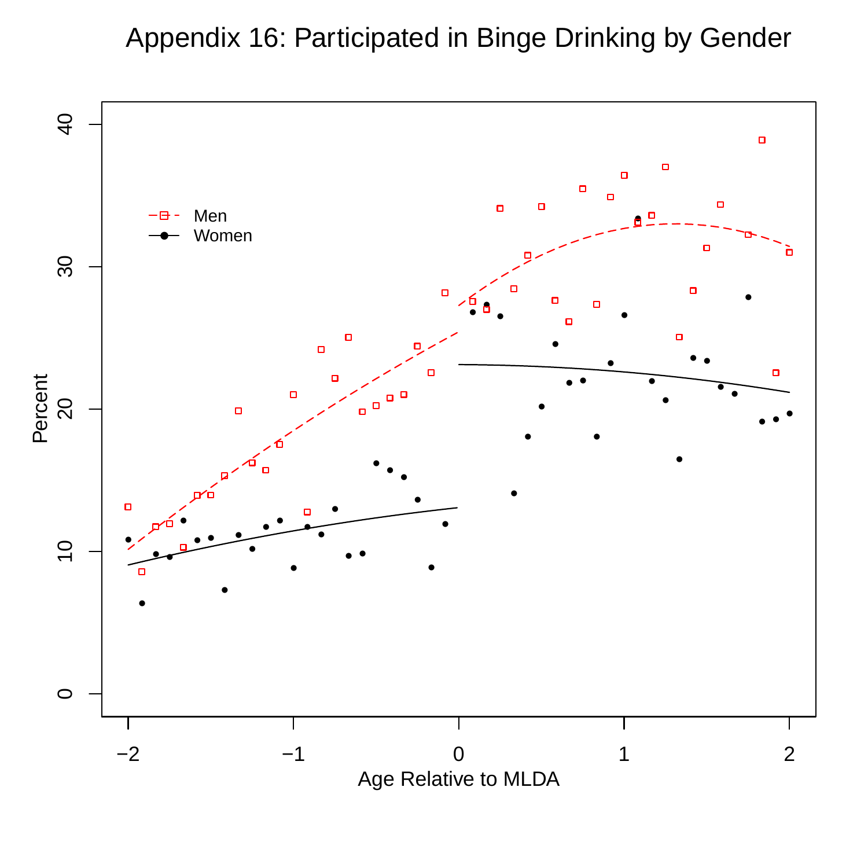# Appendix 16: Participated in Binge Drinking by Gender

![](_page_61_Figure_1.jpeg)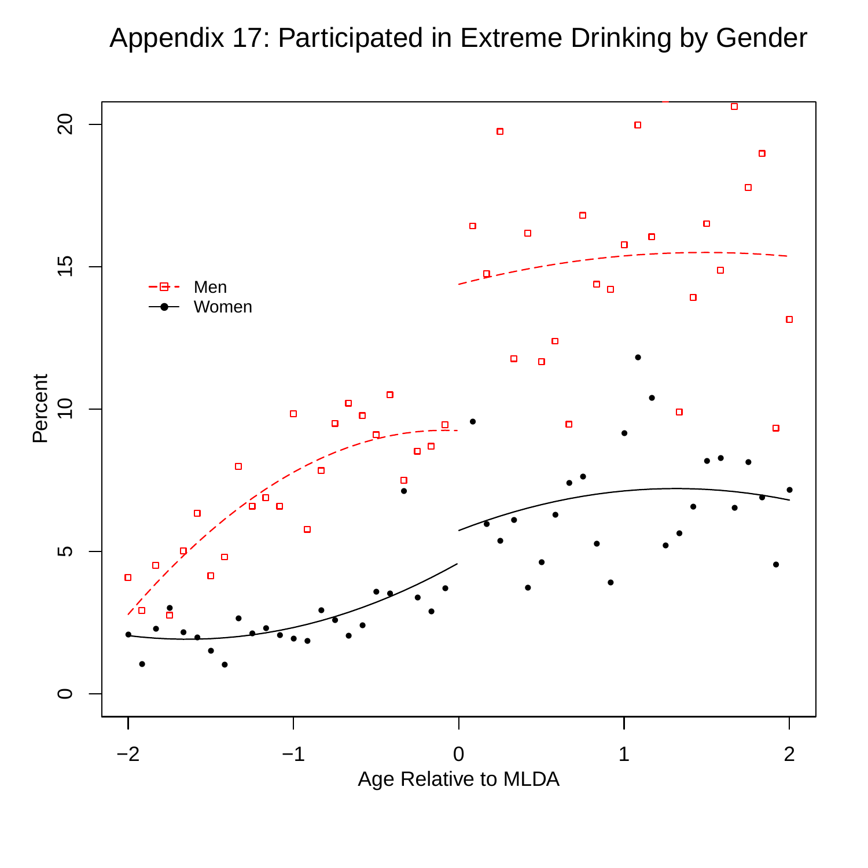# Appendix 17: Participated in Extreme Drinking by Gender

![](_page_62_Figure_1.jpeg)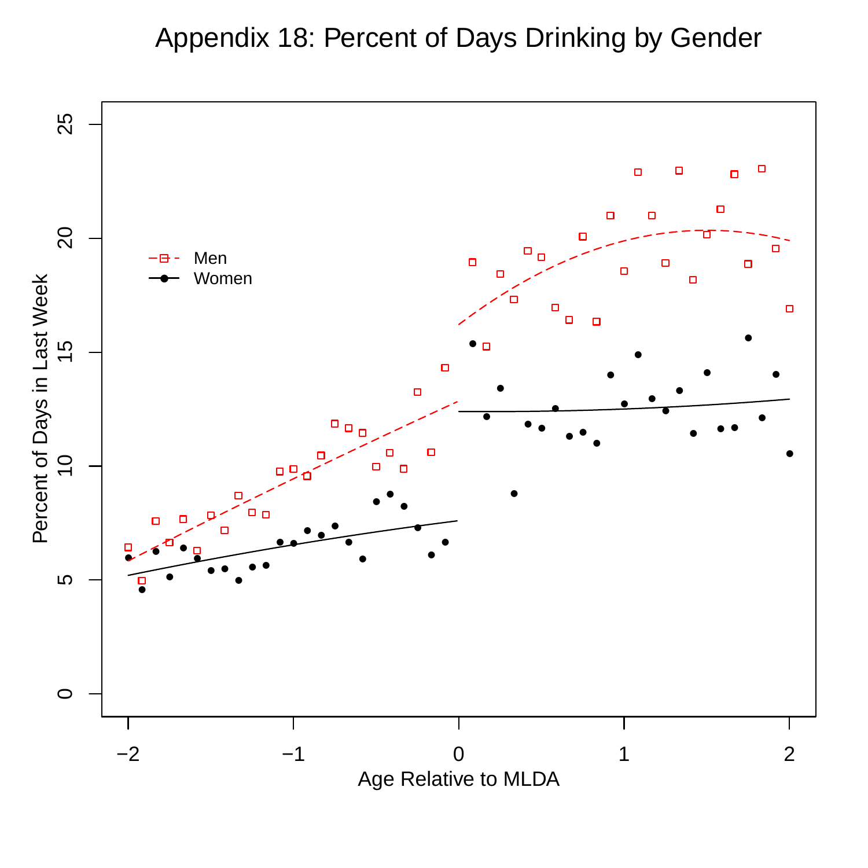# Appendix 18: Percent of Days Drinking by Gender

![](_page_63_Figure_1.jpeg)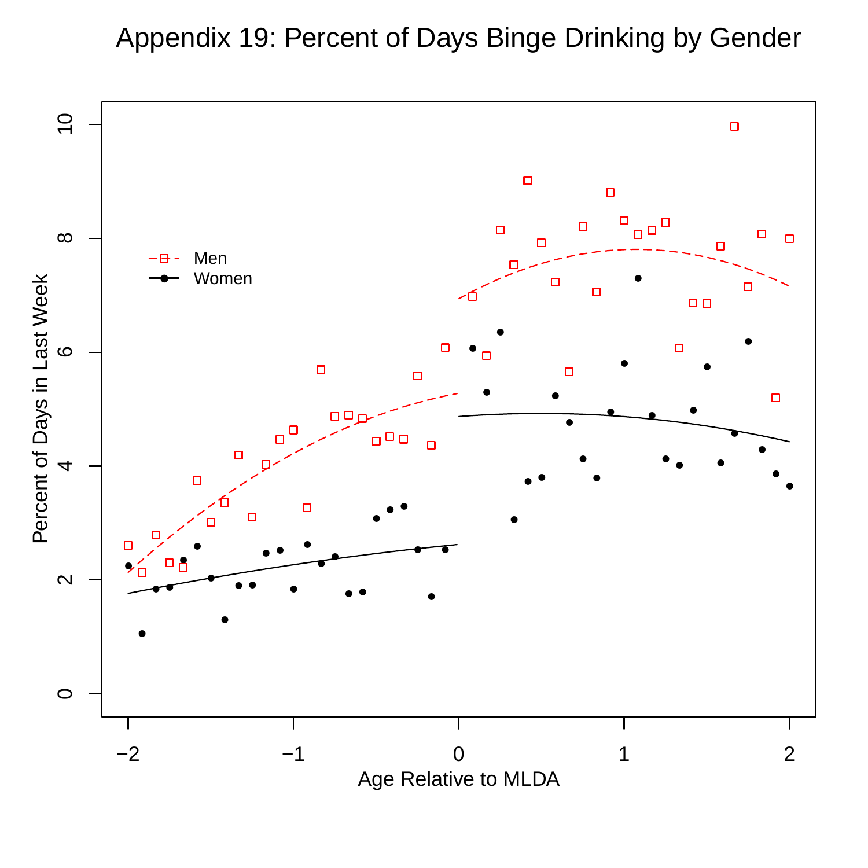# Appendix 19: Percent of Days Binge Drinking by Gender

![](_page_64_Figure_1.jpeg)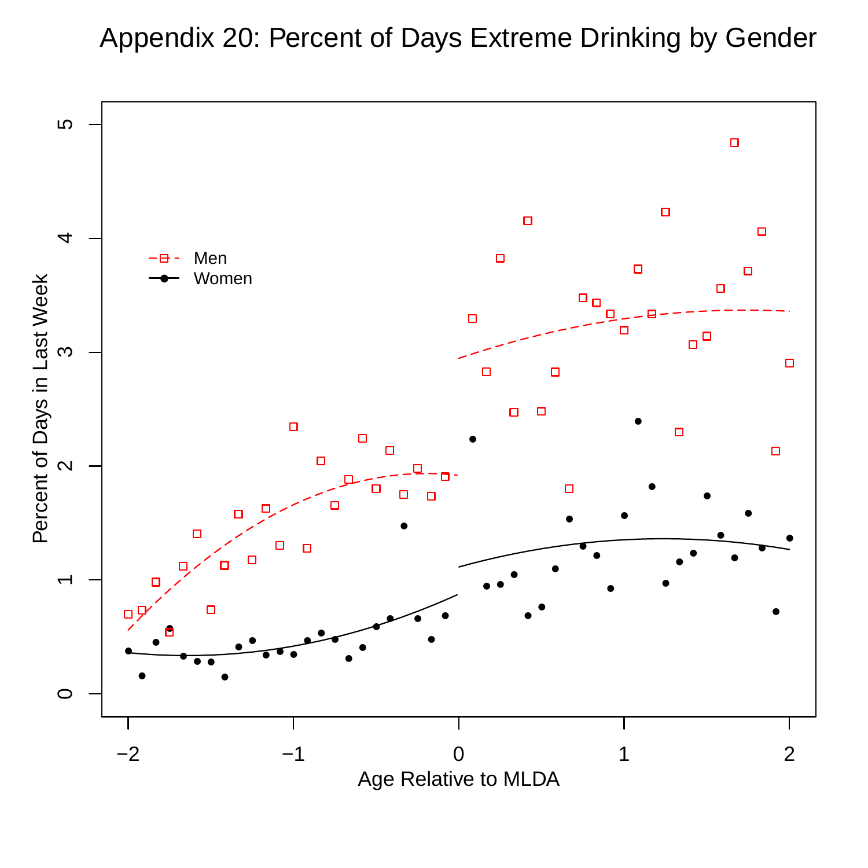## Appendix 20: Percent of Days Extreme Drinking by Gender

![](_page_65_Figure_1.jpeg)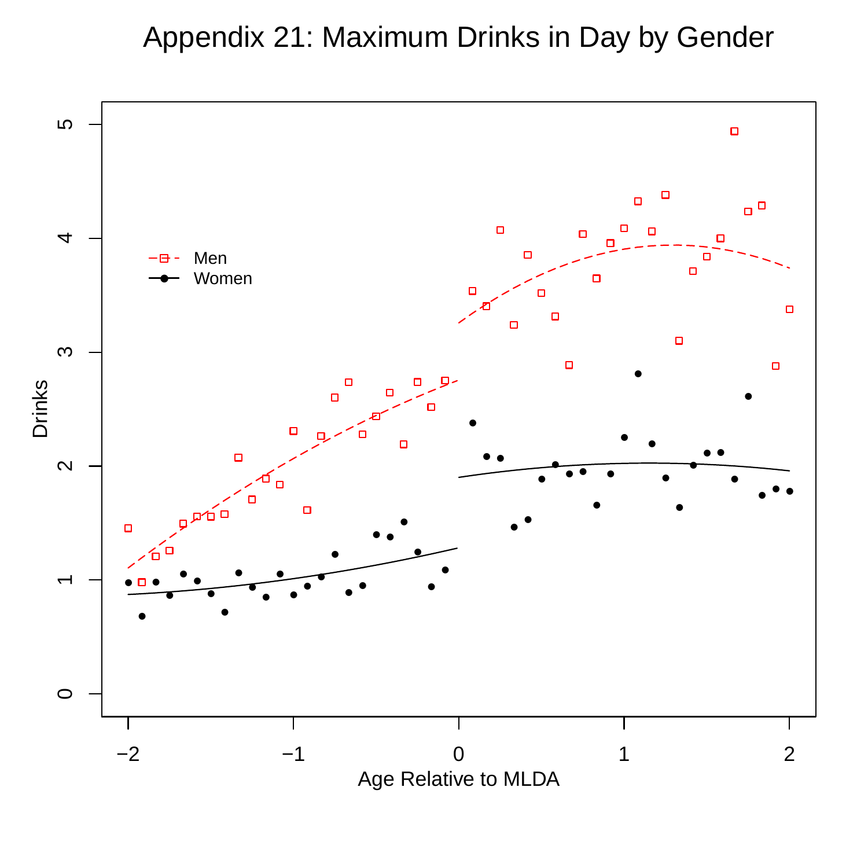# Appendix 21: Maximum Drinks in Day by Gender

![](_page_66_Figure_1.jpeg)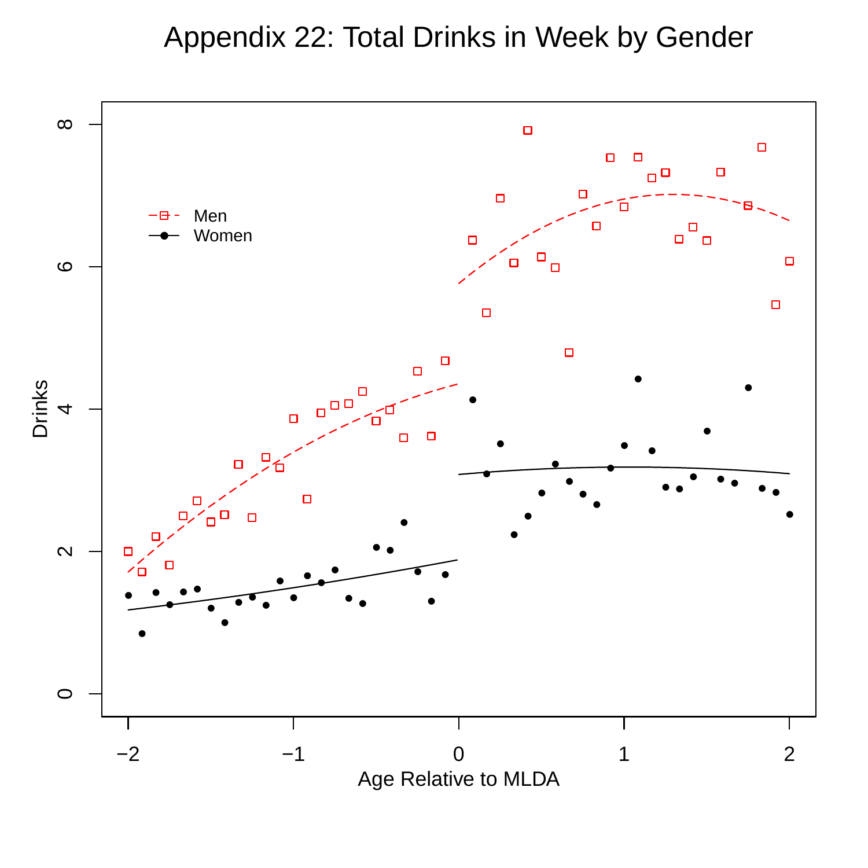# Appendix 22: Total Drinks in Week by Gender

![](_page_67_Figure_1.jpeg)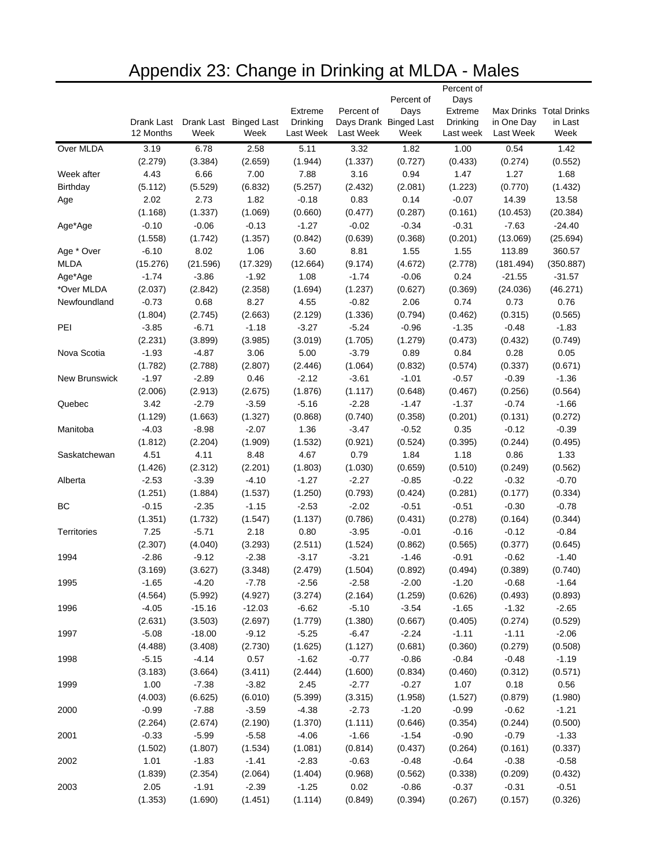# Appendix 23: Change in Drinking at MLDA - Males

|                      | Drank Last |          | Drank Last Binged Last | Extreme<br>Drinking | Percent of | Percent of<br>Days<br>Days Drank Binged Last | Percent of<br>Days<br>Extreme<br><b>Drinking</b> | in One Day | Max Drinks Total Drinks<br>in Last |
|----------------------|------------|----------|------------------------|---------------------|------------|----------------------------------------------|--------------------------------------------------|------------|------------------------------------|
|                      | 12 Months  | Week     | Week                   | Last Week           | Last Week  | Week                                         | Last week                                        | Last Week  | Week                               |
| Over MLDA            | 3.19       | 6.78     | 2.58                   | 5.11                | 3.32       | 1.82                                         | 1.00                                             | 0.54       | 1.42                               |
|                      | (2.279)    | (3.384)  | (2.659)                | (1.944)             | (1.337)    | (0.727)                                      | (0.433)                                          | (0.274)    | (0.552)                            |
| Week after           | 4.43       | 6.66     | 7.00                   | 7.88                | 3.16       | 0.94                                         | 1.47                                             | 1.27       | 1.68                               |
| Birthday             | (5.112)    | (5.529)  | (6.832)                | (5.257)             | (2.432)    | (2.081)                                      | (1.223)                                          | (0.770)    | (1.432)                            |
| Age                  | 2.02       | 2.73     | 1.82                   | $-0.18$             | 0.83       | 0.14                                         | $-0.07$                                          | 14.39      | 13.58                              |
|                      | (1.168)    | (1.337)  | (1.069)                | (0.660)             | (0.477)    | (0.287)                                      | (0.161)                                          | (10.453)   | (20.384)                           |
| Age*Age              | $-0.10$    | $-0.06$  | $-0.13$                | $-1.27$             | $-0.02$    | $-0.34$                                      | $-0.31$                                          | $-7.63$    | $-24.40$                           |
|                      | (1.558)    | (1.742)  | (1.357)                | (0.842)             | (0.639)    | (0.368)                                      | (0.201)                                          | (13.069)   | (25.694)                           |
| Age * Over           | $-6.10$    | 8.02     | 1.06                   | 3.60                | 8.81       | 1.55                                         | 1.55                                             | 113.89     | 360.57                             |
| <b>MLDA</b>          | (15.276)   | (21.596) | (17.329)               | (12.664)            | (9.174)    | (4.672)                                      | (2.778)                                          | (181.494)  | (350.887)                          |
| Age*Age              | $-1.74$    | $-3.86$  | $-1.92$                | 1.08                | $-1.74$    | $-0.06$                                      | 0.24                                             | $-21.55$   | $-31.57$                           |
| *Over MLDA           | (2.037)    | (2.842)  | (2.358)                | (1.694)             | (1.237)    | (0.627)                                      | (0.369)                                          | (24.036)   | (46.271)                           |
| Newfoundland         | $-0.73$    | 0.68     | 8.27                   | 4.55                | $-0.82$    | 2.06                                         | 0.74                                             | 0.73       | 0.76                               |
|                      | (1.804)    | (2.745)  | (2.663)                | (2.129)             | (1.336)    | (0.794)                                      | (0.462)                                          | (0.315)    | (0.565)                            |
| PEI                  | $-3.85$    | $-6.71$  | $-1.18$                | $-3.27$             | $-5.24$    | $-0.96$                                      | $-1.35$                                          | $-0.48$    | $-1.83$                            |
|                      | (2.231)    | (3.899)  | (3.985)                | (3.019)             | (1.705)    | (1.279)                                      | (0.473)                                          | (0.432)    | (0.749)                            |
| Nova Scotia          | $-1.93$    | $-4.87$  | 3.06                   | 5.00                | $-3.79$    | 0.89                                         | 0.84                                             | 0.28       | 0.05                               |
|                      | (1.782)    | (2.788)  | (2.807)                | (2.446)             | (1.064)    | (0.832)                                      | (0.574)                                          | (0.337)    | (0.671)                            |
| <b>New Brunswick</b> | $-1.97$    | $-2.89$  | 0.46                   | $-2.12$             | $-3.61$    | $-1.01$                                      | $-0.57$                                          | $-0.39$    | $-1.36$                            |
|                      | (2.006)    | (2.913)  | (2.675)                | (1.876)             | (1.117)    | (0.648)                                      | (0.467)                                          | (0.256)    | (0.564)                            |
| Quebec               | 3.42       | $-2.79$  | $-3.59$                | $-5.16$             | $-2.28$    | $-1.47$                                      | $-1.37$                                          | $-0.74$    | $-1.66$                            |
|                      | (1.129)    | (1.663)  | (1.327)                | (0.868)             | (0.740)    | (0.358)                                      | (0.201)                                          | (0.131)    | (0.272)                            |
| Manitoba             | $-4.03$    | $-8.98$  | $-2.07$                | 1.36                | $-3.47$    | $-0.52$                                      | 0.35                                             | $-0.12$    | $-0.39$                            |
|                      | (1.812)    | (2.204)  | (1.909)                | (1.532)             | (0.921)    | (0.524)                                      | (0.395)                                          | (0.244)    | (0.495)                            |
| Saskatchewan         | 4.51       | 4.11     | 8.48                   | 4.67                | 0.79       | 1.84                                         | 1.18                                             | 0.86       | 1.33                               |
|                      | (1.426)    | (2.312)  | (2.201)                | (1.803)             | (1.030)    | (0.659)                                      | (0.510)                                          | (0.249)    | (0.562)                            |
| Alberta              | $-2.53$    | $-3.39$  | $-4.10$                | $-1.27$             | $-2.27$    | $-0.85$                                      | $-0.22$                                          | $-0.32$    | $-0.70$                            |
|                      | (1.251)    | (1.884)  | (1.537)                | (1.250)             | (0.793)    | (0.424)                                      | (0.281)                                          | (0.177)    | (0.334)                            |
| BС                   | $-0.15$    | $-2.35$  | $-1.15$                | $-2.53$             | $-2.02$    | $-0.51$                                      | $-0.51$                                          | $-0.30$    | $-0.78$                            |
|                      | (1.351)    | (1.732)  | (1.547)                | (1.137)             | (0.786)    | (0.431)                                      | (0.278)                                          | (0.164)    | (0.344)                            |
| <b>Territories</b>   | 7.25       | $-5.71$  | 2.18                   | 0.80                | $-3.95$    | $-0.01$                                      | $-0.16$                                          | $-0.12$    | $-0.84$                            |
|                      | (2.307)    | (4.040)  | (3.293)                | (2.511)             | (1.524)    | (0.862)                                      | (0.565)                                          | (0.377)    | (0.645)                            |
| 1994                 | $-2.86$    | $-9.12$  | $-2.38$                | $-3.17$             | $-3.21$    | $-1.46$                                      | $-0.91$                                          | $-0.62$    | $-1.40$                            |
|                      | (3.169)    | (3.627)  | (3.348)                | (2.479)             | (1.504)    | (0.892)                                      | (0.494)                                          | (0.389)    | (0.740)                            |
| 1995                 | $-1.65$    | $-4.20$  | $-7.78$                | $-2.56$             | $-2.58$    | $-2.00$                                      | $-1.20$                                          | $-0.68$    | $-1.64$                            |
|                      | (4.564)    | (5.992)  | (4.927)                | (3.274)             | (2.164)    | (1.259)                                      | (0.626)                                          | (0.493)    | (0.893)                            |
| 1996                 | $-4.05$    | $-15.16$ | $-12.03$               | $-6.62$             | $-5.10$    | $-3.54$                                      | $-1.65$                                          | $-1.32$    | $-2.65$                            |
|                      | (2.631)    | (3.503)  | (2.697)                | (1.779)             | (1.380)    | (0.667)                                      | (0.405)                                          | (0.274)    | (0.529)                            |
| 1997                 | $-5.08$    | $-18.00$ | $-9.12$                | $-5.25$             | $-6.47$    | $-2.24$                                      | $-1.11$                                          | $-1.11$    | $-2.06$                            |
|                      | (4.488)    | (3.408)  | (2.730)                | (1.625)             | (1.127)    | (0.681)                                      | (0.360)                                          | (0.279)    | (0.508)                            |
| 1998                 | $-5.15$    | $-4.14$  | 0.57                   | $-1.62$             | $-0.77$    | $-0.86$                                      | $-0.84$                                          | $-0.48$    | $-1.19$                            |
|                      | (3.183)    | (3.664)  | (3.411)                | (2.444)             | (1.600)    | (0.834)                                      | (0.460)                                          | (0.312)    | (0.571)                            |
| 1999                 | 1.00       | $-7.38$  | $-3.82$                | 2.45                | $-2.77$    | $-0.27$                                      | 1.07                                             | 0.18       | 0.56                               |
|                      | (4.003)    | (6.625)  | (6.010)                | (5.399)             | (3.315)    | (1.958)                                      | (1.527)                                          | (0.879)    | (1.980)                            |
| 2000                 | $-0.99$    | $-7.88$  | $-3.59$                | $-4.38$             | $-2.73$    | $-1.20$                                      | $-0.99$                                          | $-0.62$    | $-1.21$                            |
|                      | (2.264)    | (2.674)  | (2.190)                | (1.370)             | (1.111)    | (0.646)                                      | (0.354)                                          | (0.244)    | (0.500)                            |
| 2001                 | $-0.33$    | $-5.99$  | $-5.58$                | $-4.06$             | $-1.66$    | $-1.54$                                      | $-0.90$                                          | $-0.79$    | $-1.33$                            |
|                      | (1.502)    | (1.807)  | (1.534)                | (1.081)             | (0.814)    | (0.437)                                      | (0.264)                                          | (0.161)    | (0.337)                            |
| 2002                 | 1.01       | $-1.83$  | $-1.41$                | $-2.83$             | $-0.63$    | $-0.48$                                      | $-0.64$                                          | $-0.38$    | $-0.58$                            |
|                      | (1.839)    | (2.354)  | (2.064)                | (1.404)             | (0.968)    | (0.562)                                      | (0.338)                                          | (0.209)    | (0.432)                            |
| 2003                 | 2.05       | $-1.91$  | $-2.39$                | $-1.25$             | 0.02       | $-0.86$                                      | $-0.37$                                          | $-0.31$    | $-0.51$                            |
|                      | (1.353)    | (1.690)  | (1.451)                | (1.114)             | (0.849)    | (0.394)                                      | (0.267)                                          | (0.157)    | (0.326)                            |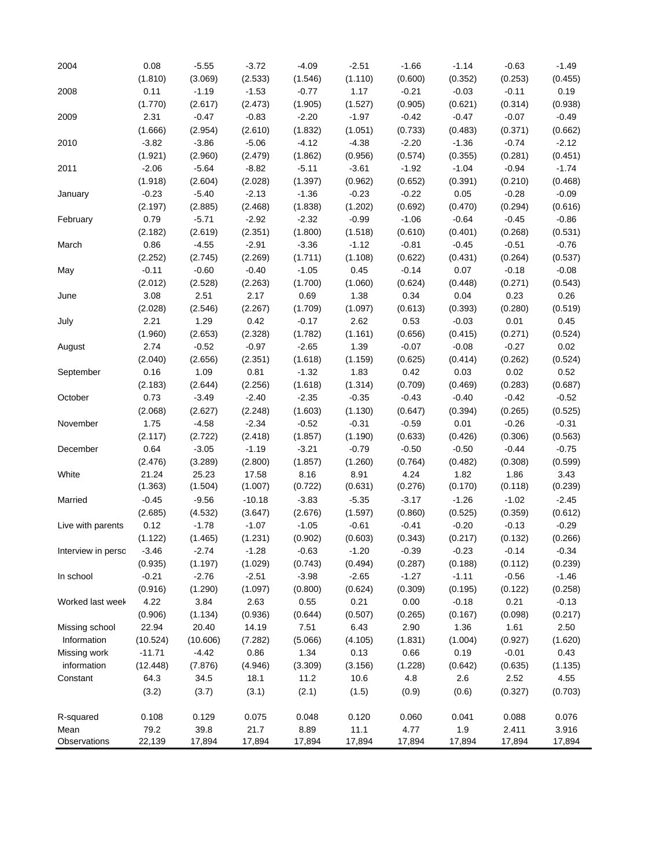| 2004               | 0.08     | $-5.55$  | $-3.72$  | $-4.09$ | $-2.51$ | $-1.66$ | $-1.14$ | $-0.63$ | $-1.49$ |
|--------------------|----------|----------|----------|---------|---------|---------|---------|---------|---------|
|                    | (1.810)  | (3.069)  | (2.533)  | (1.546) | (1.110) | (0.600) | (0.352) | (0.253) | (0.455) |
| 2008               | 0.11     | $-1.19$  | $-1.53$  | $-0.77$ | 1.17    | $-0.21$ | $-0.03$ | $-0.11$ | 0.19    |
|                    | (1.770)  | (2.617)  | (2.473)  | (1.905) | (1.527) | (0.905) | (0.621) | (0.314) | (0.938) |
| 2009               | 2.31     | $-0.47$  | $-0.83$  | $-2.20$ | $-1.97$ | $-0.42$ | $-0.47$ | $-0.07$ | $-0.49$ |
|                    | (1.666)  | (2.954)  | (2.610)  | (1.832) | (1.051) | (0.733) | (0.483) | (0.371) | (0.662) |
| 2010               | $-3.82$  | $-3.86$  | $-5.06$  | $-4.12$ | $-4.38$ | $-2.20$ | $-1.36$ | $-0.74$ | $-2.12$ |
|                    | (1.921)  | (2.960)  | (2.479)  | (1.862) | (0.956) | (0.574) | (0.355) | (0.281) | (0.451) |
| 2011               | $-2.06$  | $-5.64$  | $-8.82$  | $-5.11$ | $-3.61$ | $-1.92$ | $-1.04$ | $-0.94$ | $-1.74$ |
|                    | (1.918)  | (2.604)  | (2.028)  | (1.397) | (0.962) | (0.652) | (0.391) | (0.210) | (0.468) |
| January            | $-0.23$  | $-5.40$  | $-2.13$  | $-1.36$ | $-0.23$ | $-0.22$ | 0.05    | $-0.28$ | $-0.09$ |
|                    | (2.197)  | (2.885)  | (2.468)  | (1.838) | (1.202) | (0.692) | (0.470) | (0.294) | (0.616) |
| February           | 0.79     | $-5.71$  | $-2.92$  | $-2.32$ | $-0.99$ | $-1.06$ | $-0.64$ | $-0.45$ | $-0.86$ |
|                    | (2.182)  | (2.619)  | (2.351)  | (1.800) | (1.518) | (0.610) | (0.401) | (0.268) | (0.531) |
| March              | 0.86     | $-4.55$  | $-2.91$  | $-3.36$ | $-1.12$ | $-0.81$ | $-0.45$ | $-0.51$ | $-0.76$ |
|                    | (2.252)  | (2.745)  | (2.269)  | (1.711) | (1.108) | (0.622) | (0.431) | (0.264) | (0.537) |
| May                | $-0.11$  | $-0.60$  | $-0.40$  | $-1.05$ | 0.45    | $-0.14$ | 0.07    | $-0.18$ | $-0.08$ |
|                    | (2.012)  | (2.528)  | (2.263)  | (1.700) | (1.060) | (0.624) | (0.448) | (0.271) | (0.543) |
| June               | 3.08     | 2.51     | 2.17     | 0.69    | 1.38    | 0.34    | 0.04    | 0.23    | 0.26    |
|                    | (2.028)  | (2.546)  | (2.267)  | (1.709) | (1.097) | (0.613) | (0.393) | (0.280) | (0.519) |
| July               | 2.21     | 1.29     | 0.42     | $-0.17$ | 2.62    | 0.53    | $-0.03$ | 0.01    | 0.45    |
|                    | (1.960)  | (2.653)  | (2.328)  | (1.782) | (1.161) | (0.656) | (0.415) | (0.271) | (0.524) |
| August             | 2.74     | $-0.52$  | $-0.97$  | $-2.65$ | 1.39    | $-0.07$ | $-0.08$ | $-0.27$ | 0.02    |
|                    | (2.040)  | (2.656)  | (2.351)  | (1.618) | (1.159) | (0.625) | (0.414) | (0.262) | (0.524) |
| September          | 0.16     | 1.09     | 0.81     | $-1.32$ | 1.83    | 0.42    | 0.03    | 0.02    | 0.52    |
|                    | (2.183)  | (2.644)  | (2.256)  | (1.618) | (1.314) | (0.709) | (0.469) | (0.283) | (0.687) |
| October            | 0.73     | $-3.49$  | $-2.40$  | $-2.35$ | $-0.35$ | $-0.43$ | $-0.40$ | $-0.42$ | $-0.52$ |
|                    | (2.068)  | (2.627)  | (2.248)  | (1.603) | (1.130) | (0.647) | (0.394) | (0.265) | (0.525) |
| November           | 1.75     | $-4.58$  | $-2.34$  | $-0.52$ | $-0.31$ | $-0.59$ | 0.01    | $-0.26$ | $-0.31$ |
|                    | (2.117)  | (2.722)  | (2.418)  | (1.857) | (1.190) | (0.633) | (0.426) | (0.306) | (0.563) |
| December           | 0.64     | $-3.05$  | $-1.19$  | $-3.21$ | $-0.79$ | $-0.50$ | $-0.50$ | $-0.44$ | $-0.75$ |
|                    | (2.476)  | (3.289)  | (2.800)  | (1.857) | (1.260) | (0.764) | (0.482) | (0.308) | (0.599) |
| White              | 21.24    | 25.23    | 17.58    | 8.16    | 8.91    | 4.24    | 1.82    | 1.86    | 3.43    |
|                    | (1.363)  | (1.504)  | (1.007)  | (0.722) | (0.631) | (0.276) | (0.170) | (0.118) | (0.239) |
| Married            | $-0.45$  | $-9.56$  | $-10.18$ | $-3.83$ | $-5.35$ | $-3.17$ | $-1.26$ | $-1.02$ | $-2.45$ |
|                    | (2.685)  | (4.532)  | (3.647)  | (2.676) | (1.597) | (0.860) | (0.525) | (0.359) | (0.612) |
| Live with parents  | 0.12     | $-1.78$  | $-1.07$  | $-1.05$ | $-0.61$ | $-0.41$ | $-0.20$ | $-0.13$ | $-0.29$ |
|                    | (1.122)  | (1.465)  | (1.231)  | (0.902) | (0.603) | (0.343) | (0.217) | (0.132) | (0.266) |
| Interview in persc | $-3.46$  | $-2.74$  | $-1.28$  | $-0.63$ | $-1.20$ | $-0.39$ | $-0.23$ | $-0.14$ | $-0.34$ |
|                    | (0.935)  | (1.197)  | (1.029)  | (0.743) | (0.494) | (0.287) | (0.188) | (0.112) | (0.239) |
| In school          | $-0.21$  | $-2.76$  | $-2.51$  | $-3.98$ | $-2.65$ | $-1.27$ | $-1.11$ | $-0.56$ | $-1.46$ |
|                    | (0.916)  | (1.290)  | (1.097)  | (0.800) | (0.624) | (0.309) | (0.195) | (0.122) | (0.258) |
| Worked last weel   | 4.22     | 3.84     | 2.63     | 0.55    | 0.21    | 0.00    | $-0.18$ | 0.21    | $-0.13$ |
|                    | (0.906)  | (1.134)  | (0.936)  | (0.644) | (0.507) | (0.265) | (0.167) | (0.098) | (0.217) |
| Missing school     | 22.94    | 20.40    | 14.19    | 7.51    | 6.43    | 2.90    | 1.36    | 1.61    | 2.50    |
| Information        | (10.524) | (10.606) | (7.282)  | (5.066) | (4.105) | (1.831) | (1.004) | (0.927) | (1.620) |
| Missing work       | $-11.71$ | $-4.42$  | 0.86     | 1.34    | 0.13    | 0.66    | 0.19    | $-0.01$ | 0.43    |
| information        | (12.448) |          |          |         |         |         |         |         |         |
|                    |          | (7.876)  | (4.946)  | (3.309) | (3.156) | (1.228) | (0.642) | (0.635) | (1.135) |
| Constant           | 64.3     | 34.5     | 18.1     | 11.2    | 10.6    | 4.8     | 2.6     | 2.52    | 4.55    |
|                    | (3.2)    | (3.7)    | (3.1)    | (2.1)   | (1.5)   | (0.9)   | (0.6)   | (0.327) | (0.703) |
| R-squared          | 0.108    | 0.129    | 0.075    | 0.048   | 0.120   | 0.060   | 0.041   | 0.088   | 0.076   |
| Mean               | 79.2     | 39.8     | 21.7     | 8.89    | 11.1    | 4.77    | 1.9     | 2.411   | 3.916   |
| Observations       | 22,139   | 17,894   | 17,894   | 17,894  | 17,894  | 17,894  | 17,894  | 17,894  | 17,894  |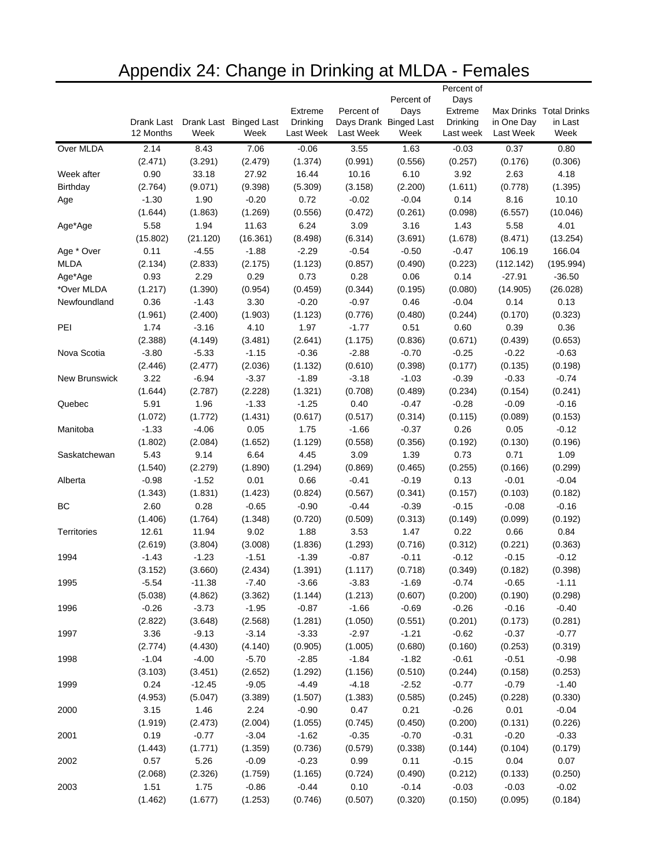# Appendix 24: Change in Drinking at MLDA - Females

|                    |                 |                 |                        |                    |                 |                        | Percent of         |                    |                         |
|--------------------|-----------------|-----------------|------------------------|--------------------|-----------------|------------------------|--------------------|--------------------|-------------------------|
|                    |                 |                 |                        |                    |                 | Percent of             | Days               |                    |                         |
|                    |                 |                 |                        | Extreme            | Percent of      | Days                   | Extreme            |                    | Max Drinks Total Drinks |
|                    | Drank Last      |                 | Drank Last Binged Last | <b>Drinking</b>    |                 | Days Drank Binged Last | <b>Drinking</b>    | in One Day         | in Last                 |
|                    | 12 Months       | Week            | Week                   | Last Week          | Last Week       | Week                   | Last week          | Last Week          | Week                    |
| Over MLDA          | 2.14            | 8.43            | 7.06                   | $-0.06$            | 3.55            | 1.63                   | $-0.03$            | 0.37               | 0.80                    |
|                    | (2.471)         | (3.291)         | (2.479)                | (1.374)            | (0.991)         | (0.556)                | (0.257)            | (0.176)            | (0.306)                 |
| Week after         | 0.90            | 33.18           | 27.92                  | 16.44              | 10.16           | 6.10                   | 3.92               | 2.63               | 4.18                    |
| Birthday           | (2.764)         | (9.071)         | (9.398)                | (5.309)            | (3.158)         | (2.200)                | (1.611)            | (0.778)            | (1.395)                 |
| Age                | $-1.30$         | 1.90            | $-0.20$                | 0.72               | $-0.02$         | $-0.04$                | 0.14               | 8.16               | 10.10                   |
|                    | (1.644)         | (1.863)         | (1.269)                | (0.556)            | (0.472)         | (0.261)                | (0.098)            | (6.557)            | (10.046)                |
| Age*Age            | 5.58            | 1.94            | 11.63                  | 6.24               | 3.09            | 3.16                   | 1.43               | 5.58               | 4.01                    |
|                    | (15.802)        | (21.120)        | (16.361)               | (8.498)            | (6.314)         | (3.691)                | (1.678)            | (8.471)            | (13.254)                |
| Age * Over         | 0.11            | $-4.55$         | $-1.88$                | $-2.29$            | $-0.54$         | $-0.50$                | $-0.47$            | 106.19             | 166.04                  |
| <b>MLDA</b>        | (2.134)         | (2.833)         | (2.175)                | (1.123)            | (0.857)         | (0.490)                | (0.223)            | (112.142)          | (195.994)               |
| Age*Age            | 0.93            | 2.29            | 0.29                   | 0.73               | 0.28            | 0.06                   | 0.14               | $-27.91$           | $-36.50$                |
| *Over MLDA         | (1.217)         | (1.390)         | (0.954)                | (0.459)            | (0.344)         | (0.195)                | (0.080)            | (14.905)           | (26.028)                |
| Newfoundland       | 0.36            | $-1.43$         | 3.30                   | $-0.20$            | $-0.97$         | 0.46                   | $-0.04$            | 0.14               | 0.13                    |
|                    | (1.961)         | (2.400)         | (1.903)                | (1.123)            | (0.776)         | (0.480)                | (0.244)            | (0.170)            | (0.323)                 |
| PEI                | 1.74            | $-3.16$         | 4.10                   | 1.97               | $-1.77$         | 0.51                   | 0.60               | 0.39               | 0.36                    |
|                    | (2.388)         | (4.149)         | (3.481)                | (2.641)            | (1.175)         | (0.836)                | (0.671)            | (0.439)            | (0.653)                 |
| Nova Scotia        | $-3.80$         | $-5.33$         | $-1.15$                | $-0.36$            | $-2.88$         | $-0.70$                | $-0.25$            | $-0.22$            | $-0.63$                 |
|                    | (2.446)         | (2.477)         | (2.036)                | (1.132)            | (0.610)         | (0.398)                | (0.177)            | (0.135)            | (0.198)                 |
| New Brunswick      | 3.22            | $-6.94$         | $-3.37$                | $-1.89$            | $-3.18$         | $-1.03$                | $-0.39$            | $-0.33$            | $-0.74$                 |
|                    | (1.644)         | (2.787)         | (2.228)                | (1.321)            | (0.708)         | (0.489)                | (0.234)            | (0.154)            | (0.241)                 |
| Quebec             | 5.91            | 1.96            | $-1.33$                | $-1.25$            | 0.40            | $-0.47$                | $-0.28$            | $-0.09$            | $-0.16$                 |
|                    | (1.072)         | (1.772)         | (1.431)                | (0.617)            | (0.517)         | (0.314)                | (0.115)            | (0.089)            | (0.153)                 |
| Manitoba           | $-1.33$         | $-4.06$         | 0.05                   | 1.75               | $-1.66$         | $-0.37$                | 0.26               | 0.05               | $-0.12$                 |
|                    | (1.802)         | (2.084)         | (1.652)                | (1.129)            | (0.558)         | (0.356)                | (0.192)            | (0.130)            | (0.196)                 |
| Saskatchewan       | 5.43            | 9.14            | 6.64                   | 4.45               | 3.09            | 1.39                   | 0.73               | 0.71               | 1.09                    |
|                    | (1.540)         | (2.279)         | (1.890)                | (1.294)            | (0.869)         | (0.465)                | (0.255)            | (0.166)            | (0.299)                 |
| Alberta            | $-0.98$         | $-1.52$         | 0.01                   | 0.66               | $-0.41$         | $-0.19$                | 0.13               | $-0.01$            | $-0.04$                 |
|                    | (1.343)         | (1.831)         | (1.423)                | (0.824)            | (0.567)         | (0.341)                | (0.157)            | (0.103)            | (0.182)                 |
| ВC                 | 2.60            | 0.28            | $-0.65$                | $-0.90$            | $-0.44$         | $-0.39$                | $-0.15$            | $-0.08$            | $-0.16$                 |
|                    | (1.406)         | (1.764)         | (1.348)                | (0.720)            | (0.509)         | (0.313)                | (0.149)            | (0.099)            | (0.192)                 |
| <b>Territories</b> | 12.61           | 11.94           | 9.02                   | 1.88               | 3.53            | 1.47                   | 0.22               | 0.66               | 0.84                    |
|                    | (2.619)         | (3.804)         | (3.008)                | (1.836)            | (1.293)         | (0.716)                | (0.312)            | (0.221)            | (0.363)                 |
| 1994               | $-1.43$         | $-1.23$         | $-1.51$                | $-1.39$            | $-0.87$         | $-0.11$                | $-0.12$            | $-0.15$            | $-0.12$                 |
|                    | (3.152)         | (3.660)         | (2.434)                | (1.391)            | (1.117)         | (0.718)                | (0.349)            | (0.182)            | (0.398)                 |
| 1995               | $-5.54$         | $-11.38$        | $-7.40$                | $-3.66$            | $-3.83$         | $-1.69$                | $-0.74$            | $-0.65$            | $-1.11$                 |
|                    | (5.038)         | (4.862)         | (3.362)                | (1.144)            | (1.213)         | (0.607)                | (0.200)            | (0.190)            | (0.298)                 |
| 1996               | $-0.26$         | $-3.73$         | $-1.95$                | $-0.87$            | $-1.66$         | $-0.69$                | $-0.26$            | $-0.16$            | $-0.40$                 |
|                    | (2.822)         | (3.648)         | (2.568)                | (1.281)            | (1.050)         | (0.551)                | (0.201)            | (0.173)            | (0.281)                 |
| 1997               | 3.36            | $-9.13$         | $-3.14$                | $-3.33$            | $-2.97$         | $-1.21$                | $-0.62$            | $-0.37$            | $-0.77$                 |
|                    | (2.774)         | (4.430)         | (4.140)                | (0.905)            | (1.005)         | (0.680)                | (0.160)            | (0.253)            | (0.319)                 |
| 1998               | $-1.04$         | $-4.00$         | $-5.70$                | $-2.85$            | $-1.84$         | $-1.82$                | $-0.61$            | $-0.51$            | $-0.98$                 |
|                    | (3.103)         | (3.451)         | (2.652)                | (1.292)            | (1.156)         | (0.510)                | (0.244)            | (0.158)            | (0.253)                 |
| 1999               | 0.24            | $-12.45$        | $-9.05$                | $-4.49$            | $-4.18$         | $-2.52$                | $-0.77$            | $-0.79$            | $-1.40$                 |
|                    | (4.953)         | (5.047)         | (3.389)                | (1.507)            | (1.383)         | (0.585)                | (0.245)            | (0.228)            | (0.330)                 |
| 2000               | 3.15            | 1.46            | 2.24                   | $-0.90$            | 0.47            | 0.21                   | $-0.26$            | 0.01               | $-0.04$                 |
|                    | (1.919)         | (2.473)         | (2.004)                | (1.055)            | (0.745)         | (0.450)                | (0.200)            | (0.131)            | (0.226)                 |
| 2001               | 0.19            | $-0.77$         | $-3.04$                | $-1.62$            | $-0.35$         | $-0.70$                | $-0.31$            | $-0.20$            | $-0.33$                 |
|                    | (1.443)         | (1.771)         | (1.359)                | (0.736)            | (0.579)         | (0.338)                | (0.144)            | (0.104)            | (0.179)                 |
| 2002               | 0.57            | 5.26            | $-0.09$                | $-0.23$            | 0.99            | 0.11                   |                    | 0.04               | 0.07                    |
|                    |                 |                 |                        |                    |                 |                        | $-0.15$            |                    |                         |
| 2003               | (2.068)<br>1.51 | (2.326)         | (1.759)<br>$-0.86$     | (1.165)            | (0.724)<br>0.10 | (0.490)<br>$-0.14$     | (0.212)<br>$-0.03$ | (0.133)<br>$-0.03$ | (0.250)<br>$-0.02$      |
|                    | (1.462)         | 1.75<br>(1.677) | (1.253)                | $-0.44$<br>(0.746) | (0.507)         | (0.320)                | (0.150)            | (0.095)            | (0.184)                 |
|                    |                 |                 |                        |                    |                 |                        |                    |                    |                         |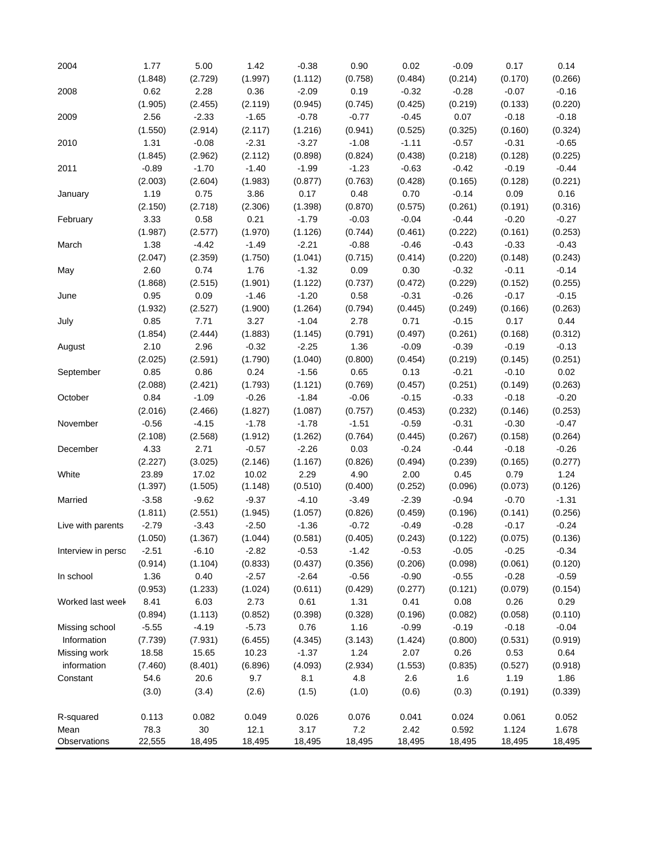| 2004               | 1.77    | 5.00    | 1.42    | $-0.38$ | 0.90    | 0.02    | $-0.09$ | 0.17    | 0.14    |
|--------------------|---------|---------|---------|---------|---------|---------|---------|---------|---------|
|                    | (1.848) | (2.729) | (1.997) | (1.112) | (0.758) | (0.484) | (0.214) | (0.170) | (0.266) |
| 2008               | 0.62    | 2.28    | 0.36    | $-2.09$ | 0.19    | $-0.32$ | $-0.28$ | $-0.07$ | $-0.16$ |
|                    | (1.905) | (2.455) | (2.119) | (0.945) | (0.745) | (0.425) | (0.219) | (0.133) | (0.220) |
| 2009               | 2.56    | $-2.33$ | $-1.65$ | $-0.78$ | $-0.77$ | $-0.45$ | 0.07    | $-0.18$ | $-0.18$ |
|                    | (1.550) | (2.914) | (2.117) | (1.216) | (0.941) | (0.525) | (0.325) | (0.160) | (0.324) |
| 2010               | 1.31    | $-0.08$ | $-2.31$ | $-3.27$ | $-1.08$ | $-1.11$ | $-0.57$ | $-0.31$ | $-0.65$ |
|                    | (1.845) | (2.962) | (2.112) | (0.898) | (0.824) | (0.438) | (0.218) | (0.128) | (0.225) |
| 2011               | $-0.89$ | $-1.70$ | $-1.40$ | $-1.99$ | $-1.23$ | $-0.63$ | $-0.42$ | $-0.19$ | $-0.44$ |
|                    | (2.003) | (2.604) | (1.983) | (0.877) | (0.763) | (0.428) | (0.165) | (0.128) | (0.221) |
| January            | 1.19    | 0.75    | 3.86    | 0.17    | 0.48    | 0.70    | $-0.14$ | 0.09    | 0.16    |
|                    | (2.150) | (2.718) | (2.306) | (1.398) | (0.870) | (0.575) | (0.261) | (0.191) | (0.316) |
| February           | 3.33    | 0.58    | 0.21    | $-1.79$ | $-0.03$ | $-0.04$ | $-0.44$ | $-0.20$ | $-0.27$ |
|                    | (1.987) | (2.577) | (1.970) | (1.126) | (0.744) | (0.461) | (0.222) | (0.161) | (0.253) |
| March              | 1.38    | $-4.42$ | $-1.49$ | $-2.21$ | $-0.88$ | $-0.46$ | $-0.43$ | $-0.33$ | $-0.43$ |
|                    | (2.047) | (2.359) | (1.750) | (1.041) | (0.715) | (0.414) | (0.220) | (0.148) | (0.243) |
| May                | 2.60    | 0.74    | 1.76    | $-1.32$ | 0.09    | 0.30    | $-0.32$ | $-0.11$ | $-0.14$ |
|                    | (1.868) | (2.515) | (1.901) | (1.122) | (0.737) | (0.472) | (0.229) | (0.152) | (0.255) |
| June               | 0.95    | 0.09    | $-1.46$ | $-1.20$ | 0.58    | $-0.31$ | $-0.26$ | $-0.17$ | $-0.15$ |
|                    | (1.932) | (2.527) | (1.900) | (1.264) | (0.794) | (0.445) | (0.249) | (0.166) | (0.263) |
| July               | 0.85    | 7.71    | 3.27    | $-1.04$ | 2.78    | 0.71    | $-0.15$ | 0.17    | 0.44    |
|                    | (1.854) | (2.444) | (1.883) | (1.145) | (0.791) | (0.497) | (0.261) | (0.168) | (0.312) |
| August             | 2.10    | 2.96    | $-0.32$ | $-2.25$ | 1.36    | $-0.09$ | $-0.39$ | $-0.19$ | $-0.13$ |
|                    | (2.025) | (2.591) | (1.790) | (1.040) | (0.800) | (0.454) | (0.219) | (0.145) | (0.251) |
| September          | 0.85    | 0.86    | 0.24    | $-1.56$ | 0.65    | 0.13    | $-0.21$ | $-0.10$ | 0.02    |
|                    | (2.088) | (2.421) | (1.793) | (1.121) | (0.769) | (0.457) | (0.251) | (0.149) | (0.263) |
| October            | 0.84    | $-1.09$ | $-0.26$ | $-1.84$ | $-0.06$ | $-0.15$ | $-0.33$ | $-0.18$ | $-0.20$ |
|                    | (2.016) | (2.466) | (1.827) | (1.087) | (0.757) | (0.453) | (0.232) | (0.146) | (0.253) |
| November           | $-0.56$ | $-4.15$ | $-1.78$ | $-1.78$ | $-1.51$ | $-0.59$ | $-0.31$ | $-0.30$ | $-0.47$ |
|                    | (2.108) | (2.568) | (1.912) | (1.262) | (0.764) | (0.445) | (0.267) | (0.158) | (0.264) |
| December           | 4.33    | 2.71    | $-0.57$ | $-2.26$ | 0.03    | $-0.24$ | $-0.44$ | $-0.18$ | $-0.26$ |
|                    | (2.227) | (3.025) | (2.146) | (1.167) | (0.826) | (0.494) | (0.239) | (0.165) | (0.277) |
| White              | 23.89   | 17.02   | 10.02   | 2.29    | 4.90    | 2.00    | 0.45    | 0.79    | 1.24    |
|                    | (1.397) | (1.505) | (1.148) | (0.510) | (0.400) | (0.252) | (0.096) | (0.073) | (0.126) |
| Married            | $-3.58$ | $-9.62$ | $-9.37$ | $-4.10$ | $-3.49$ | $-2.39$ | $-0.94$ | $-0.70$ | $-1.31$ |
|                    | (1.811) | (2.551) | (1.945) | (1.057) | (0.826) | (0.459) | (0.196) | (0.141) | (0.256) |
| Live with parents  | $-2.79$ | $-3.43$ | $-2.50$ | $-1.36$ | $-0.72$ | $-0.49$ | $-0.28$ | $-0.17$ | $-0.24$ |
|                    | (1.050) | (1.367) | (1.044) | (0.581) | (0.405) | (0.243) | (0.122) | (0.075) | (0.136) |
| Interview in persc | $-2.51$ | $-6.10$ | $-2.82$ | $-0.53$ | $-1.42$ | $-0.53$ | $-0.05$ | $-0.25$ | $-0.34$ |
|                    | (0.914) | (1.104) | (0.833) | (0.437) | (0.356) | (0.206) | (0.098) | (0.061) | (0.120) |
| In school          | 1.36    | 0.40    | $-2.57$ | $-2.64$ | $-0.56$ | $-0.90$ | $-0.55$ | $-0.28$ | $-0.59$ |
|                    | (0.953) | (1.233) | (1.024) | (0.611) | (0.429) | (0.277) | (0.121) | (0.079) | (0.154) |
| Worked last weel   | 8.41    | 6.03    | 2.73    | 0.61    | 1.31    | 0.41    | 0.08    | 0.26    | 0.29    |
|                    | (0.894) | (1.113) | (0.852) | (0.398) | (0.328) | (0.196) | (0.082) | (0.058) | (0.110) |
| Missing school     | $-5.55$ | $-4.19$ | $-5.73$ | 0.76    | 1.16    | $-0.99$ | $-0.19$ | $-0.18$ | $-0.04$ |
| Information        | (7.739) | (7.931) | (6.455) | (4.345) | (3.143) | (1.424) | (0.800) | (0.531) | (0.919) |
| Missing work       | 18.58   | 15.65   | 10.23   | $-1.37$ | 1.24    | 2.07    | 0.26    | 0.53    | 0.64    |
| information        | (7.460) | (8.401) | (6.896) | (4.093) | (2.934) | (1.553) | (0.835) | (0.527) | (0.918) |
| Constant           | 54.6    | 20.6    | 9.7     | 8.1     | 4.8     | 2.6     | 1.6     | 1.19    | 1.86    |
|                    | (3.0)   | (3.4)   | (2.6)   | (1.5)   | (1.0)   | (0.6)   | (0.3)   | (0.191) | (0.339) |
|                    |         |         |         |         |         |         |         |         |         |
| R-squared          | 0.113   | 0.082   | 0.049   | 0.026   | 0.076   | 0.041   | 0.024   | 0.061   | 0.052   |
| Mean               | 78.3    | $30\,$  | 12.1    | 3.17    | $7.2\,$ | 2.42    | 0.592   | 1.124   | 1.678   |
| Observations       | 22,555  | 18,495  | 18,495  | 18,495  | 18,495  | 18,495  | 18,495  | 18,495  | 18,495  |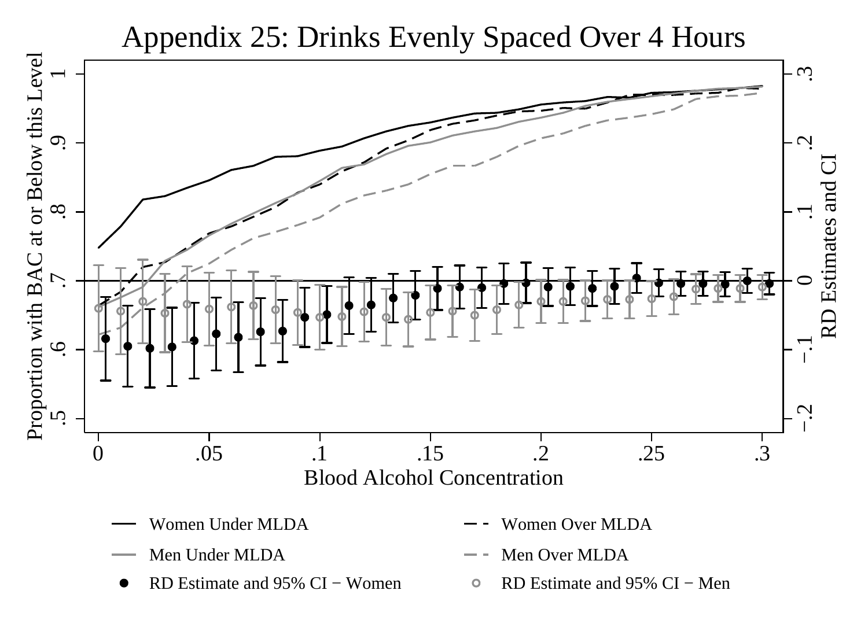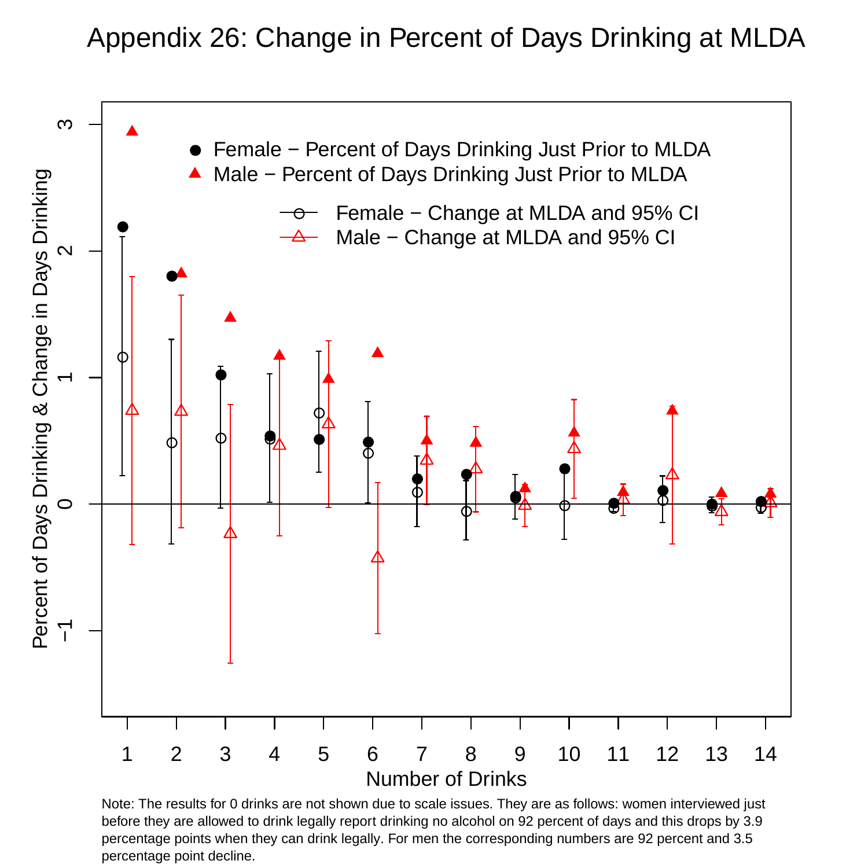## Appendix 26: Change in Percent of Days Drinking at MLDA



Note: The results for 0 drinks are not shown due to scale issues. They are as follows: women interviewed just before they are allowed to drink legally report drinking no alcohol on 92 percent of days and this drops by 3.9 percentage points when they can drink legally. For men the corresponding numbers are 92 percent and 3.5 percentage point decline.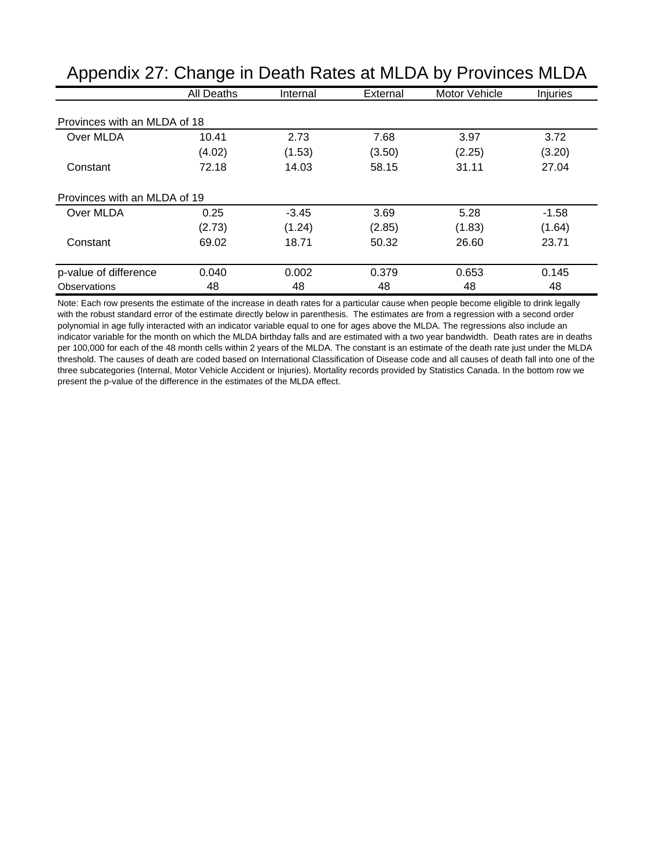| ັ                            |          |          | ╯             |                 |
|------------------------------|----------|----------|---------------|-----------------|
| <b>All Deaths</b>            | Internal | External | Motor Vehicle | <b>Injuries</b> |
| Provinces with an MLDA of 18 |          |          |               |                 |
| 10.41                        | 2.73     | 7.68     | 3.97          | 3.72            |
| (4.02)                       | (1.53)   | (3.50)   | (2.25)        | (3.20)          |
| 72.18                        | 14.03    | 58.15    | 31.11         | 27.04           |
| Provinces with an MLDA of 19 |          |          |               |                 |
| 0.25                         | $-3.45$  | 3.69     | 5.28          | $-1.58$         |
| (2.73)                       | (1.24)   | (2.85)   | (1.83)        | (1.64)          |
| 69.02                        | 18.71    | 50.32    | 26.60         | 23.71           |
| 0.040                        | 0.002    | 0.379    | 0.653         | 0.145           |
| 48                           | 48       | 48       | 48            | 48              |
|                              |          |          |               |                 |

Appendix 27: Change in Death Rates at MLDA by Provinces MLDA

Note: Each row presents the estimate of the increase in death rates for a particular cause when people become eligible to drink legally with the robust standard error of the estimate directly below in parenthesis. The estimates are from a regression with a second order polynomial in age fully interacted with an indicator variable equal to one for ages above the MLDA. The regressions also include an indicator variable for the month on which the MLDA birthday falls and are estimated with a two year bandwidth. Death rates are in deaths per 100,000 for each of the 48 month cells within 2 years of the MLDA. The constant is an estimate of the death rate just under the MLDA threshold. The causes of death are coded based on International Classification of Disease code and all causes of death fall into one of the three subcategories (Internal, Motor Vehicle Accident or Injuries). Mortality records provided by Statistics Canada. In the bottom row we present the p-value of the difference in the estimates of the MLDA effect.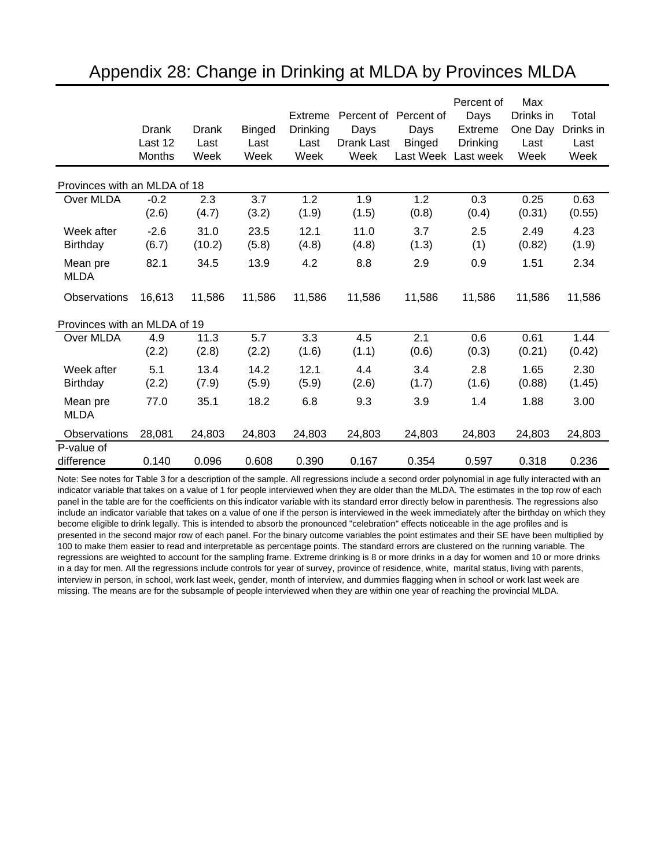|                              | Drank<br>Last 12<br><b>Months</b> | <b>Drank</b><br>Last<br>Week | <b>Binged</b><br>Last<br>Week | Extreme<br><b>Drinking</b><br>Last<br>Week | Days<br>Drank Last<br>Week | Percent of Percent of<br>Days<br><b>Binged</b><br>Last Week | Percent of<br>Days<br><b>Extreme</b><br><b>Drinking</b><br>Last week | Max<br>Drinks in<br>One Day<br>Last<br>Week | Total<br>Drinks in<br>Last<br>Week |
|------------------------------|-----------------------------------|------------------------------|-------------------------------|--------------------------------------------|----------------------------|-------------------------------------------------------------|----------------------------------------------------------------------|---------------------------------------------|------------------------------------|
| Provinces with an MLDA of 18 |                                   |                              |                               |                                            |                            |                                                             |                                                                      |                                             |                                    |
| <b>Over MLDA</b>             | $-0.2$<br>(2.6)                   | 2.3<br>(4.7)                 | $\overline{3.7}$<br>(3.2)     | 1.2<br>(1.9)                               | 1.9<br>(1.5)               | $\overline{1.2}$<br>(0.8)                                   | $\overline{0.3}$<br>(0.4)                                            | 0.25<br>(0.31)                              | 0.63<br>(0.55)                     |
| Week after<br>Birthday       | $-2.6$<br>(6.7)                   | 31.0<br>(10.2)               | 23.5<br>(5.8)                 | 12.1<br>(4.8)                              | 11.0<br>(4.8)              | 3.7<br>(1.3)                                                | 2.5<br>(1)                                                           | 2.49<br>(0.82)                              | 4.23<br>(1.9)                      |
| Mean pre<br><b>MLDA</b>      | 82.1                              | 34.5                         | 13.9                          | 4.2                                        | 8.8                        | 2.9                                                         | 0.9                                                                  | 1.51                                        | 2.34                               |
| Observations                 | 16,613                            | 11,586                       | 11,586                        | 11,586                                     | 11,586                     | 11,586                                                      | 11,586                                                               | 11,586                                      | 11,586                             |
| Provinces with an MLDA of 19 |                                   |                              |                               |                                            |                            |                                                             |                                                                      |                                             |                                    |
| Over MLDA                    | 4.9<br>(2.2)                      | 11.3<br>(2.8)                | 5.7<br>(2.2)                  | 3.3<br>(1.6)                               | 4.5<br>(1.1)               | 2.1<br>(0.6)                                                | 0.6<br>(0.3)                                                         | 0.61<br>(0.21)                              | 1.44<br>(0.42)                     |
| Week after<br>Birthday       | 5.1<br>(2.2)                      | 13.4<br>(7.9)                | 14.2<br>(5.9)                 | 12.1<br>(5.9)                              | 4.4<br>(2.6)               | 3.4<br>(1.7)                                                | 2.8<br>(1.6)                                                         | 1.65<br>(0.88)                              | 2.30<br>(1.45)                     |
| Mean pre<br><b>MLDA</b>      | 77.0                              | 35.1                         | 18.2                          | 6.8                                        | 9.3                        | 3.9                                                         | 1.4                                                                  | 1.88                                        | 3.00                               |
| Observations                 | 28,081                            | 24,803                       | 24,803                        | 24,803                                     | 24,803                     | 24,803                                                      | 24,803                                                               | 24,803                                      | 24,803                             |
| P-value of<br>difference     | 0.140                             | 0.096                        | 0.608                         | 0.390                                      | 0.167                      | 0.354                                                       | 0.597                                                                | 0.318                                       | 0.236                              |

## Appendix 28: Change in Drinking at MLDA by Provinces MLDA

Note: See notes for Table 3 for a description of the sample. All regressions include a second order polynomial in age fully interacted with an indicator variable that takes on a value of 1 for people interviewed when they are older than the MLDA. The estimates in the top row of each panel in the table are for the coefficients on this indicator variable with its standard error directly below in parenthesis. The regressions also include an indicator variable that takes on a value of one if the person is interviewed in the week immediately after the birthday on which they become eligible to drink legally. This is intended to absorb the pronounced "celebration" effects noticeable in the age profiles and is presented in the second major row of each panel. For the binary outcome variables the point estimates and their SE have been multiplied by 100 to make them easier to read and interpretable as percentage points. The standard errors are clustered on the running variable. The regressions are weighted to account for the sampling frame. Extreme drinking is 8 or more drinks in a day for women and 10 or more drinks in a day for men. All the regressions include controls for year of survey, province of residence, white, marital status, living with parents, interview in person, in school, work last week, gender, month of interview, and dummies flagging when in school or work last week are missing. The means are for the subsample of people interviewed when they are within one year of reaching the provincial MLDA.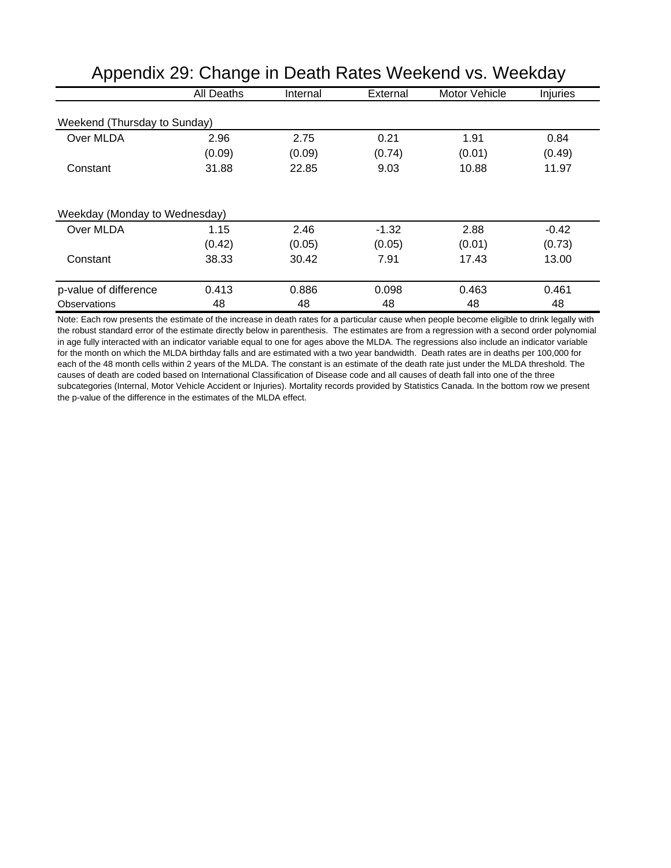| Appendix 29: Change in Death Rates Weekend vs. Weekday |            |          |          |                      |          |  |  |
|--------------------------------------------------------|------------|----------|----------|----------------------|----------|--|--|
|                                                        | All Deaths | Internal | External | <b>Motor Vehicle</b> | Injuries |  |  |
| Weekend (Thursday to Sunday)                           |            |          |          |                      |          |  |  |
| Over MLDA                                              | 2.96       | 2.75     | 0.21     | 1.91                 | 0.84     |  |  |
|                                                        | (0.09)     | (0.09)   | (0.74)   | (0.01)               | (0.49)   |  |  |
| Constant                                               | 31.88      | 22.85    | 9.03     | 10.88                | 11.97    |  |  |
| Weekday (Monday to Wednesday)                          |            |          |          |                      |          |  |  |
| Over MLDA                                              | 1.15       | 2.46     | $-1.32$  | 2.88                 | $-0.42$  |  |  |
|                                                        | (0.42)     | (0.05)   | (0.05)   | (0.01)               | (0.73)   |  |  |
| Constant                                               | 38.33      | 30.42    | 7.91     | 17.43                | 13.00    |  |  |
| p-value of difference                                  | 0.413      | 0.886    | 0.098    | 0.463                | 0.461    |  |  |
| Observations                                           | 48         | 48       | 48       | 48                   | 48       |  |  |

Note: Each row presents the estimate of the increase in death rates for a particular cause when people become eligible to drink legally with the robust standard error of the estimate directly below in parenthesis. The estimates are from a regression with a second order polynomial in age fully interacted with an indicator variable equal to one for ages above the MLDA. The regressions also include an indicator variable for the month on which the MLDA birthday falls and are estimated with a two year bandwidth. Death rates are in deaths per 100,000 for each of the 48 month cells within 2 years of the MLDA. The constant is an estimate of the death rate just under the MLDA threshold. The causes of death are coded based on International Classification of Disease code and all causes of death fall into one of the three subcategories (Internal, Motor Vehicle Accident or Injuries). Mortality records provided by Statistics Canada. In the bottom row we present the p-value of the difference in the estimates of the MLDA effect.